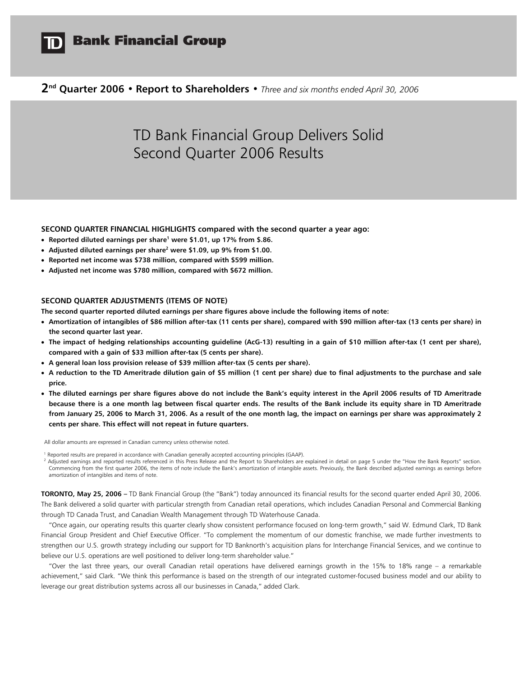

# **Bank Financial Group**

### **2nd Quarter 2006 • Report to Shareholders •** *Three and six months ended April 30, 2006*

# TD Bank Financial Group Delivers Solid Second Quarter 2006 Results

**SECOND QUARTER FINANCIAL HIGHLIGHTS compared with the second quarter a year ago:** 

- **•** Reported diluted earnings per share<sup>1</sup> were \$1.01, up 17% from \$.86.
- **•** Adjusted diluted earnings per share<sup>2</sup> were \$1.09, up 9% from \$1.00.
- **Reported net income was \$738 million, compared with \$599 million.**
- **Adjusted net income was \$780 million, compared with \$672 million.**

### **SECOND QUARTER ADJUSTMENTS (ITEMS OF NOTE)**

**The second quarter reported diluted earnings per share figures above include the following items of note:** 

- **Amortization of intangibles of \$86 million after-tax (11 cents per share), compared with \$90 million after-tax (13 cents per share) in the second quarter last year.**
- **The impact of hedging relationships accounting guideline (AcG-13) resulting in a gain of \$10 million after-tax (1 cent per share), compared with a gain of \$33 million after-tax (5 cents per share).**
- **A general loan loss provision release of \$39 million after-tax (5 cents per share).**
- **A reduction to the TD Ameritrade dilution gain of \$5 million (1 cent per share) due to final adjustments to the purchase and sale price.**
- **The diluted earnings per share figures above do not include the Bank's equity interest in the April 2006 results of TD Ameritrade because there is a one month lag between fiscal quarter ends. The results of the Bank include its equity share in TD Ameritrade from January 25, 2006 to March 31, 2006. As a result of the one month lag, the impact on earnings per share was approximately 2 cents per share. This effect will not repeat in future quarters.**

All dollar amounts are expressed in Canadian currency unless otherwise noted.

- 
- <sup>1</sup> Reported results are prepared in accordance with Canadian generally accepted accounting principles (GAAP).<br><sup>2</sup> Adjusted earnings and reported results referenced in this Press Release and the Report to Shareholders are Commencing from the first quarter 2006, the items of note include the Bank's amortization of intangible assets. Previously, the Bank described adjusted earnings as earnings before amortization of intangibles and items of note.

**TORONTO, May 25, 2006 –** TD Bank Financial Group (the "Bank") today announced its financial results for the second quarter ended April 30, 2006. The Bank delivered a solid quarter with particular strength from Canadian retail operations, which includes Canadian Personal and Commercial Banking through TD Canada Trust, and Canadian Wealth Management through TD Waterhouse Canada.

"Once again, our operating results this quarter clearly show consistent performance focused on long-term growth," said W. Edmund Clark, TD Bank Financial Group President and Chief Executive Officer. "To complement the momentum of our domestic franchise, we made further investments to strengthen our U.S. growth strategy including our support for TD Banknorth's acquisition plans for Interchange Financial Services, and we continue to believe our U.S. operations are well positioned to deliver long-term shareholder value."

"Over the last three years, our overall Canadian retail operations have delivered earnings growth in the 15% to 18% range – a remarkable achievement," said Clark. "We think this performance is based on the strength of our integrated customer-focused business model and our ability to leverage our great distribution systems across all our businesses in Canada," added Clark.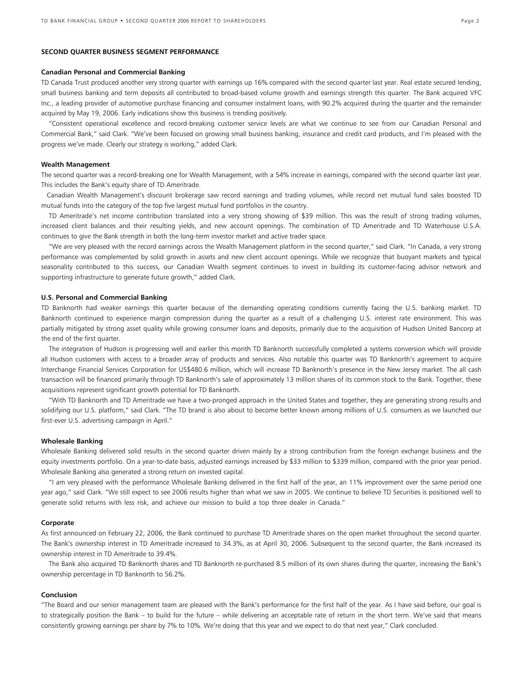### **SECOND QUARTER BUSINESS SEGMENT PERFORMANCE**

### **Canadian Personal and Commercial Banking**

TD Canada Trust produced another very strong quarter with earnings up 16% compared with the second quarter last year. Real estate secured lending, small business banking and term deposits all contributed to broad-based volume growth and earnings strength this quarter. The Bank acquired VFC Inc., a leading provider of automotive purchase financing and consumer instalment loans, with 90.2% acquired during the quarter and the remainder acquired by May 19, 2006. Early indications show this business is trending positively.

"Consistent operational excellence and record-breaking customer service levels are what we continue to see from our Canadian Personal and Commercial Bank," said Clark. "We've been focused on growing small business banking, insurance and credit card products, and I'm pleased with the progress we've made. Clearly our strategy is working," added Clark.

### **Wealth Management**

The second quarter was a record-breaking one for Wealth Management, with a 54% increase in earnings, compared with the second quarter last year. This includes the Bank's equity share of TD Ameritrade.

 Canadian Wealth Management's discount brokerage saw record earnings and trading volumes, while record net mutual fund sales boosted TD mutual funds into the category of the top five largest mutual fund portfolios in the country.

TD Ameritrade's net income contribution translated into a very strong showing of \$39 million. This was the result of strong trading volumes, increased client balances and their resulting yields, and new account openings. The combination of TD Ameritrade and TD Waterhouse U.S.A. continues to give the Bank strength in both the long-term investor market and active trader space.

"We are very pleased with the record earnings across the Wealth Management platform in the second quarter," said Clark. "In Canada, a very strong performance was complemented by solid growth in assets and new client account openings. While we recognize that buoyant markets and typical seasonality contributed to this success, our Canadian Wealth segment continues to invest in building its customer-facing advisor network and supporting infrastructure to generate future growth," added Clark.

### **U.S. Personal and Commercial Banking**

TD Banknorth had weaker earnings this quarter because of the demanding operating conditions currently facing the U.S. banking market. TD Banknorth continued to experience margin compression during the quarter as a result of a challenging U.S. interest rate environment. This was partially mitigated by strong asset quality while growing consumer loans and deposits, primarily due to the acquisition of Hudson United Bancorp at the end of the first quarter.

The integration of Hudson is progressing well and earlier this month TD Banknorth successfully completed a systems conversion which will provide all Hudson customers with access to a broader array of products and services. Also notable this quarter was TD Banknorth's agreement to acquire Interchange Financial Services Corporation for US\$480.6 million, which will increase TD Banknorth's presence in the New Jersey market. The all cash transaction will be financed primarily through TD Banknorth's sale of approximately 13 million shares of its common stock to the Bank. Together, these acquisitions represent significant growth potential for TD Banknorth.

"With TD Banknorth and TD Ameritrade we have a two-pronged approach in the United States and together, they are generating strong results and solidifying our U.S. platform," said Clark. "The TD brand is also about to become better known among millions of U.S. consumers as we launched our first-ever U.S. advertising campaign in April."

### **Wholesale Banking**

Wholesale Banking delivered solid results in the second quarter driven mainly by a strong contribution from the foreign exchange business and the equity investments portfolio. On a year-to-date basis, adjusted earnings increased by \$33 million to \$339 million, compared with the prior year period. Wholesale Banking also generated a strong return on invested capital.

"I am very pleased with the performance Wholesale Banking delivered in the first half of the year, an 11% improvement over the same period one year ago," said Clark. "We still expect to see 2006 results higher than what we saw in 2005. We continue to believe TD Securities is positioned well to generate solid returns with less risk, and achieve our mission to build a top three dealer in Canada."

#### **Corporate**

As first announced on February 22, 2006, the Bank continued to purchase TD Ameritrade shares on the open market throughout the second quarter. The Bank's ownership interest in TD Ameritrade increased to 34.3%, as at April 30, 2006. Subsequent to the second quarter, the Bank increased its ownership interest in TD Ameritrade to 39.4%.

The Bank also acquired TD Banknorth shares and TD Banknorth re-purchased 8.5 million of its own shares during the quarter, increasing the Bank's ownership percentage in TD Banknorth to 56.2%.

### **Conclusion**

"The Board and our senior management team are pleased with the Bank's performance for the first half of the year. As I have said before, our goal is to strategically position the Bank – to build for the future – while delivering an acceptable rate of return in the short term. We've said that means consistently growing earnings per share by 7% to 10%. We're doing that this year and we expect to do that next year," Clark concluded.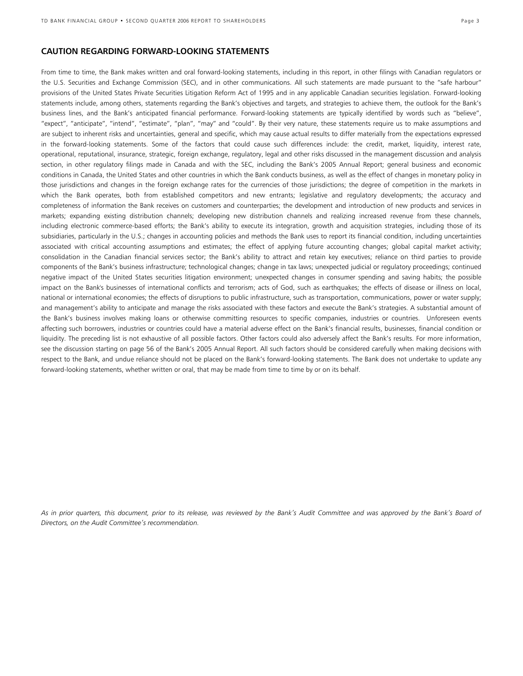### **CAUTION REGARDING FORWARD-LOOKING STATEMENTS**

From time to time, the Bank makes written and oral forward-looking statements, including in this report, in other filings with Canadian regulators or the U.S. Securities and Exchange Commission (SEC), and in other communications. All such statements are made pursuant to the "safe harbour" provisions of the United States Private Securities Litigation Reform Act of 1995 and in any applicable Canadian securities legislation. Forward-looking statements include, among others, statements regarding the Bank's objectives and targets, and strategies to achieve them, the outlook for the Bank's business lines, and the Bank's anticipated financial performance. Forward-looking statements are typically identified by words such as "believe", "expect", "anticipate", "intend", "estimate", "plan", "may" and "could". By their very nature, these statements require us to make assumptions and are subject to inherent risks and uncertainties, general and specific, which may cause actual results to differ materially from the expectations expressed in the forward-looking statements. Some of the factors that could cause such differences include: the credit, market, liquidity, interest rate, operational, reputational, insurance, strategic, foreign exchange, regulatory, legal and other risks discussed in the management discussion and analysis section, in other regulatory filings made in Canada and with the SEC, including the Bank's 2005 Annual Report; general business and economic conditions in Canada, the United States and other countries in which the Bank conducts business, as well as the effect of changes in monetary policy in those jurisdictions and changes in the foreign exchange rates for the currencies of those jurisdictions; the degree of competition in the markets in which the Bank operates, both from established competitors and new entrants; legislative and regulatory developments; the accuracy and completeness of information the Bank receives on customers and counterparties; the development and introduction of new products and services in markets; expanding existing distribution channels; developing new distribution channels and realizing increased revenue from these channels, including electronic commerce-based efforts; the Bank's ability to execute its integration, growth and acquisition strategies, including those of its subsidiaries, particularly in the U.S.; changes in accounting policies and methods the Bank uses to report its financial condition, including uncertainties associated with critical accounting assumptions and estimates; the effect of applying future accounting changes; global capital market activity; consolidation in the Canadian financial services sector; the Bank's ability to attract and retain key executives; reliance on third parties to provide components of the Bank's business infrastructure; technological changes; change in tax laws; unexpected judicial or regulatory proceedings; continued negative impact of the United States securities litigation environment; unexpected changes in consumer spending and saving habits; the possible impact on the Bank's businesses of international conflicts and terrorism; acts of God, such as earthquakes; the effects of disease or illness on local, national or international economies; the effects of disruptions to public infrastructure, such as transportation, communications, power or water supply; and management's ability to anticipate and manage the risks associated with these factors and execute the Bank's strategies. A substantial amount of the Bank's business involves making loans or otherwise committing resources to specific companies, industries or countries. Unforeseen events affecting such borrowers, industries or countries could have a material adverse effect on the Bank's financial results, businesses, financial condition or liquidity. The preceding list is not exhaustive of all possible factors. Other factors could also adversely affect the Bank's results. For more information, see the discussion starting on page 56 of the Bank's 2005 Annual Report. All such factors should be considered carefully when making decisions with respect to the Bank, and undue reliance should not be placed on the Bank's forward-looking statements. The Bank does not undertake to update any forward-looking statements, whether written or oral, that may be made from time to time by or on its behalf.

As in prior quarters, this document, prior to its release, was reviewed by the Bank's Audit Committee and was approved by the Bank's Board of *Directors, on the Audit Committee's recommendation.*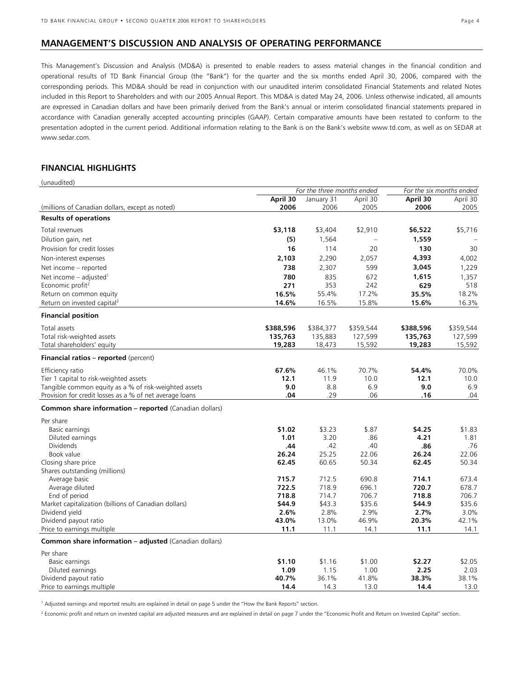### **MANAGEMENT'S DISCUSSION AND ANALYSIS OF OPERATING PERFORMANCE**

This Management's Discussion and Analysis (MD&A) is presented to enable readers to assess material changes in the financial condition and operational results of TD Bank Financial Group (the "Bank") for the quarter and the six months ended April 30, 2006, compared with the corresponding periods. This MD&A should be read in conjunction with our unaudited interim consolidated Financial Statements and related Notes included in this Report to Shareholders and with our 2005 Annual Report. This MD&A is dated May 24, 2006. Unless otherwise indicated, all amounts are expressed in Canadian dollars and have been primarily derived from the Bank's annual or interim consolidated financial statements prepared in accordance with Canadian generally accepted accounting principles (GAAP). Certain comparative amounts have been restated to conform to the presentation adopted in the current period. Additional information relating to the Bank is on the Bank's website www.td.com, as well as on SEDAR at www.sedar.com.

### **FINANCIAL HIGHLIGHTS**

| (unaudited)                                                   |                            |               |               |               |                          |
|---------------------------------------------------------------|----------------------------|---------------|---------------|---------------|--------------------------|
|                                                               | For the three months ended |               |               |               | For the six months ended |
|                                                               | April 30                   | January 31    | April 30      | April 30      | April 30                 |
| (millions of Canadian dollars, except as noted)               | 2006                       | 2006          | 2005          | 2006          | 2005                     |
| <b>Results of operations</b>                                  |                            |               |               |               |                          |
| Total revenues                                                | \$3,118                    | \$3,404       | \$2,910       | \$6,522       | \$5,716                  |
| Dilution gain, net                                            | (5)                        | 1,564         |               | 1,559         |                          |
| Provision for credit losses                                   | 16                         | 114           | 20            | 130           | 30                       |
| Non-interest expenses                                         | 2.103                      | 2,290         | 2,057         | 4,393         | 4,002                    |
| Net income - reported                                         | 738                        | 2,307         | 599           | 3,045         | 1,229                    |
| Net income $-$ adjusted <sup>1</sup>                          | 780                        | 835           | 672           | 1,615         | 1,357                    |
| Economic profit <sup>2</sup>                                  | 271                        | 353           | 242           | 629           | 518                      |
| Return on common equity                                       | 16.5%                      | 55.4%         | 17.2%         | 35.5%         | 18.2%                    |
| Return on invested capital <sup>2</sup>                       | 14.6%                      | 16.5%         | 15.8%         | 15.6%         | 16.3%                    |
|                                                               |                            |               |               |               |                          |
| <b>Financial position</b>                                     |                            |               |               |               |                          |
| Total assets                                                  | \$388,596                  | \$384,377     | \$359,544     | \$388,596     | \$359,544                |
| Total risk-weighted assets                                    | 135,763                    | 135,883       | 127,599       | 135,763       | 127,599                  |
| Total shareholders' equity                                    | 19,283                     | 18,473        | 15,592        | 19,283        | 15,592                   |
| <b>Financial ratios – reported</b> (percent)                  |                            |               |               |               |                          |
| Efficiency ratio                                              | 67.6%                      | 46.1%         | 70.7%         | 54.4%         | 70.0%                    |
| Tier 1 capital to risk-weighted assets                        | 12.1                       | 11.9          | 10.0          | 12.1          | 10.0                     |
| Tangible common equity as a % of risk-weighted assets         | 9.0                        | 8.8           | 6.9           | 9.0           | 6.9                      |
| Provision for credit losses as a % of net average loans       | .04                        | .29           | .06           | .16           | .04                      |
| <b>Common share information - reported</b> (Canadian dollars) |                            |               |               |               |                          |
| Per share                                                     |                            |               |               |               |                          |
| Basic earnings                                                | \$1.02                     | \$3.23        | \$.87         | \$4.25        | \$1.83                   |
| Diluted earnings                                              | 1.01                       | 3.20          | .86           | 4.21          | 1.81                     |
| <b>Dividends</b>                                              | .44                        | .42           | .40           | .86           | .76                      |
| Book value                                                    | 26.24                      | 25.25         | 22.06         | 26.24         | 22.06                    |
| Closing share price                                           | 62.45                      | 60.65         | 50.34         | 62.45         | 50.34                    |
| Shares outstanding (millions)                                 |                            |               |               |               |                          |
| Average basic                                                 | 715.7                      | 712.5         | 690.8         | 714.1         | 673.4                    |
| Average diluted                                               | 722.5                      | 718.9         | 696.1         | 720.7         | 678.7                    |
| End of period                                                 | 718.8                      | 714.7         | 706.7         | 718.8         | 706.7                    |
| Market capitalization (billions of Canadian dollars)          | \$44.9                     | \$43.3        | \$35.6        | \$44.9        | \$35.6<br>3.0%           |
| Dividend yield<br>Dividend payout ratio                       | 2.6%<br>43.0%              | 2.8%<br>13.0% | 2.9%<br>46.9% | 2.7%<br>20.3% | 42.1%                    |
| Price to earnings multiple                                    | 11.1                       | 11.1          | 14.1          | 11.1          | 14.1                     |
|                                                               |                            |               |               |               |                          |
| <b>Common share information - adjusted</b> (Canadian dollars) |                            |               |               |               |                          |
| Per share<br>Basic earnings                                   | \$1.10                     | \$1.16        | \$1.00        | \$2.27        | \$2.05                   |
| Diluted earnings                                              | 1.09                       | 1.15          | 1.00          | 2.25          | 2.03                     |
| Dividend payout ratio                                         | 40.7%                      | 36.1%         | 41.8%         | 38.3%         | 38.1%                    |
| Price to earnings multiple                                    | 14.4                       | 14.3          | 13.0          | 14.4          | 13.0                     |

1 Adjusted earnings and reported results are explained in detail on page 5 under the "How the Bank Reports" section.

<sup>2</sup> Economic profit and return on invested capital are adjusted measures and are explained in detail on page 7 under the "Economic Profit and Return on Invested Capital" section.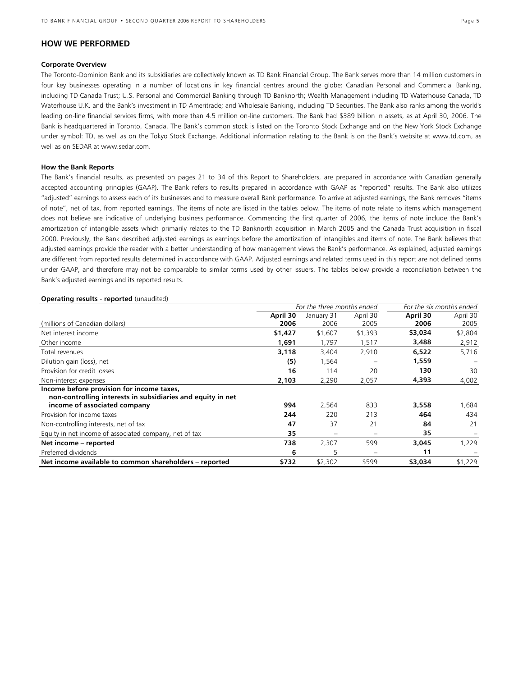### **HOW WE PERFORMED**

### **Corporate Overview**

The Toronto-Dominion Bank and its subsidiaries are collectively known as TD Bank Financial Group. The Bank serves more than 14 million customers in four key businesses operating in a number of locations in key financial centres around the globe: Canadian Personal and Commercial Banking, including TD Canada Trust; U.S. Personal and Commercial Banking through TD Banknorth; Wealth Management including TD Waterhouse Canada, TD Waterhouse U.K. and the Bank's investment in TD Ameritrade; and Wholesale Banking, including TD Securities. The Bank also ranks among the world's leading on-line financial services firms, with more than 4.5 million on-line customers. The Bank had \$389 billion in assets, as at April 30, 2006. The Bank is headquartered in Toronto, Canada. The Bank's common stock is listed on the Toronto Stock Exchange and on the New York Stock Exchange under symbol: TD, as well as on the Tokyo Stock Exchange. Additional information relating to the Bank is on the Bank's website at www.td.com, as well as on SEDAR at www.sedar.com.

### **How the Bank Reports**

The Bank's financial results, as presented on pages 21 to 34 of this Report to Shareholders, are prepared in accordance with Canadian generally accepted accounting principles (GAAP). The Bank refers to results prepared in accordance with GAAP as "reported" results. The Bank also utilizes "adjusted" earnings to assess each of its businesses and to measure overall Bank performance. To arrive at adjusted earnings, the Bank removes "items of note", net of tax, from reported earnings. The items of note are listed in the tables below. The items of note relate to items which management does not believe are indicative of underlying business performance. Commencing the first quarter of 2006, the items of note include the Bank's amortization of intangible assets which primarily relates to the TD Banknorth acquisition in March 2005 and the Canada Trust acquisition in fiscal 2000. Previously, the Bank described adjusted earnings as earnings before the amortization of intangibles and items of note. The Bank believes that adjusted earnings provide the reader with a better understanding of how management views the Bank's performance. As explained, adjusted earnings are different from reported results determined in accordance with GAAP. Adjusted earnings and related terms used in this report are not defined terms under GAAP, and therefore may not be comparable to similar terms used by other issuers. The tables below provide a reconciliation between the Bank's adjusted earnings and its reported results.

### **Operating results - reported** (unaudited)

|                                                                                                          |          | For the three months ended |          | For the six months ended |          |  |
|----------------------------------------------------------------------------------------------------------|----------|----------------------------|----------|--------------------------|----------|--|
|                                                                                                          | April 30 | January 31                 | April 30 | April 30                 | April 30 |  |
| (millions of Canadian dollars)                                                                           | 2006     | 2006                       | 2005     | 2006                     | 2005     |  |
| Net interest income                                                                                      | \$1,427  | \$1,607                    | \$1,393  | \$3,034                  | \$2,804  |  |
| Other income                                                                                             | 1,691    | 1,797                      | 1,517    | 3,488                    | 2,912    |  |
| Total revenues                                                                                           | 3,118    | 3,404                      | 2,910    | 6,522                    | 5,716    |  |
| Dilution gain (loss), net                                                                                | (5)      | 1,564                      |          | 1,559                    |          |  |
| Provision for credit losses                                                                              | 16       | 114                        | 20       | 130                      | 30       |  |
| Non-interest expenses                                                                                    | 2,103    | 2,290                      | 2,057    | 4,393                    | 4,002    |  |
| Income before provision for income taxes,<br>non-controlling interests in subsidiaries and equity in net |          |                            |          |                          |          |  |
| income of associated company                                                                             | 994      | 2,564                      | 833      | 3,558                    | 1,684    |  |
| Provision for income taxes                                                                               | 244      | 220                        | 213      | 464                      | 434      |  |
| Non-controlling interests, net of tax                                                                    | 47       | 37                         | 21       | 84                       | 21       |  |
| Equity in net income of associated company, net of tax                                                   | 35       |                            |          | 35                       |          |  |
| Net income – reported                                                                                    | 738      | 2,307                      | 599      | 3,045                    | 1,229    |  |
| Preferred dividends                                                                                      | 6        | 5                          |          | 11                       |          |  |
| Net income available to common shareholders - reported                                                   | \$732    | \$2,302                    | \$599    | \$3,034                  | \$1,229  |  |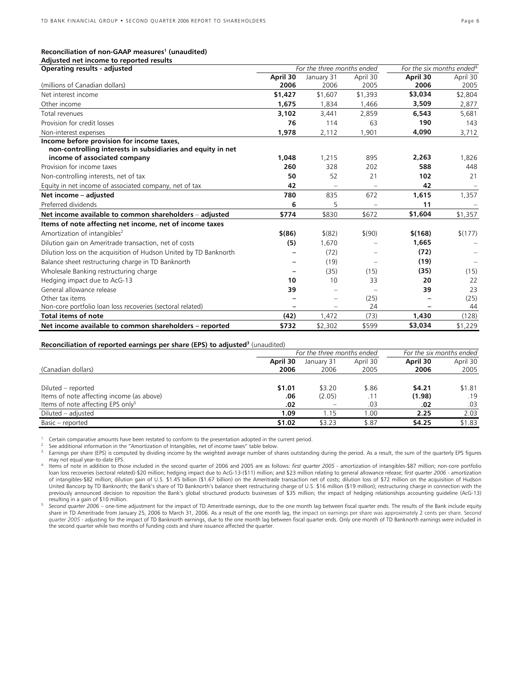### Reconciliation of non-GAAP measures<sup>1</sup> (unaudited)

| Adjusted net income to reported results                           |            |                            |          |                                       |          |  |
|-------------------------------------------------------------------|------------|----------------------------|----------|---------------------------------------|----------|--|
| Operating results - adjusted                                      |            | For the three months ended |          | For the six months ended <sup>4</sup> |          |  |
|                                                                   | April 30   | January 31                 | April 30 | April 30                              | April 30 |  |
| (millions of Canadian dollars)                                    | 2006       | 2006                       | 2005     | 2006                                  | 2005     |  |
| Net interest income                                               | \$1,427    | \$1,607                    | \$1,393  | \$3,034                               | \$2,804  |  |
| Other income                                                      | 1,675      | 1,834                      | 1,466    | 3,509                                 | 2,877    |  |
| Total revenues                                                    | 3,102      | 3,441                      | 2,859    | 6,543                                 | 5,681    |  |
| Provision for credit losses                                       | 76         | 114                        | 63       | 190                                   | 143      |  |
| Non-interest expenses                                             | 1,978      | 2,112                      | 1,901    | 4,090                                 | 3,712    |  |
| Income before provision for income taxes,                         |            |                            |          |                                       |          |  |
| non-controlling interests in subsidiaries and equity in net       |            |                            |          |                                       |          |  |
| income of associated company                                      | 1.048      | 1,215                      | 895      | 2,263                                 | 1,826    |  |
| Provision for income taxes                                        | 260        | 328                        | 202      | 588                                   | 448      |  |
| Non-controlling interests, net of tax                             | 50         | 52                         | 21       | 102                                   | 21       |  |
| Equity in net income of associated company, net of tax            | 42         |                            |          | 42                                    |          |  |
| Net income - adjusted                                             | 780        | 835                        | 672      | 1,615                                 | 1,357    |  |
| Preferred dividends                                               | 6          | 5                          |          | 11                                    |          |  |
| Net income available to common shareholders - adjusted            | \$774      | \$830                      | \$672    | \$1,604                               | \$1,357  |  |
| Items of note affecting net income, net of income taxes           |            |                            |          |                                       |          |  |
| Amortization of intangibles <sup>2</sup>                          | $$^{(86)}$ | \$ (82)                    | \$(90)   | \$(168)                               | \$(177)  |  |
| Dilution gain on Ameritrade transaction, net of costs             | (5)        | 1,670                      |          | 1,665                                 |          |  |
| Dilution loss on the acquisition of Hudson United by TD Banknorth |            | (72)                       |          | (72)                                  |          |  |
| Balance sheet restructuring charge in TD Banknorth                |            | (19)                       |          | (19)                                  |          |  |
| Wholesale Banking restructuring charge                            |            | (35)                       | (15)     | (35)                                  | (15)     |  |
| Hedging impact due to AcG-13                                      | 10         | 10                         | 33       | 20                                    | 22       |  |
| General allowance release                                         | 39         |                            |          | 39                                    | 23       |  |
| Other tax items                                                   |            | $\qquad \qquad =$          | (25)     |                                       | (25)     |  |
| Non-core portfolio loan loss recoveries (sectoral related)        |            |                            | 24       |                                       | 44       |  |
| <b>Total items of note</b>                                        | (42)       | 1,472                      | (73)     | 1,430                                 | (128)    |  |
| Net income available to common shareholders - reported            | \$732      | \$2,302                    | \$599    | \$3,034                               | \$1,229  |  |

### **Reconciliation of reported earnings per share (EPS) to adjusted<sup>3</sup> (unaudited)**

|                                               |          | For the three months ended | For the six months ended |          |          |
|-----------------------------------------------|----------|----------------------------|--------------------------|----------|----------|
|                                               | April 30 | January 31                 | April 30                 | April 30 | April 30 |
| (Canadian dollars)                            | 2006     | 2006                       | 2005                     | 2006     | 2005     |
|                                               |          |                            |                          |          |          |
| Diluted – reported                            | \$1.01   | \$3.20                     | \$.86                    | \$4.21   | \$1.81   |
| Items of note affecting income (as above)     | .06      | (2.05)                     | .11                      | (1.98)   | .19      |
| Items of note affecting EPS only <sup>5</sup> | .02      | -                          | .03                      | .02      | .03      |
| Diluted – adiusted                            | 1.09     | 1.15                       | 00.1                     | 2.25     | 2.03     |
| Basic - reported                              | \$1.02   | \$3.23                     | \$.87                    | \$4.25   | \$1.83   |

<sup>1.</sup> Certain comparative amounts have been restated to conform to the presentation adopted in the current period.<br><sup>2.</sup> See additional information in the "Amortization of Intangibles, net of income taxes" table below.<br><sup>3.</sup>

may not equal year-to-date EPS. 4. Items of note in addition to those included in the second quarter of 2006 and 2005 are as follows: *first quarter 2005* - amortization of intangibles-\$87 million; non-core portfolio loan loss recoveries (sectoral related)-\$20 million; hedging impact due to AcG-13-(\$11) million; and \$23 million relating to general allowance release; *first quarter 2006* - amortization of intangibles-\$82 million; dilution gain of U.S. \$1.45 billion (\$1.67 billion) on the Ameritrade transaction net of costs; dilution loss of \$72 million on the acquisition of Hudson United Bancorp by TD Banknorth; the Bank's share of TD Banknorth's balance sheet restructuring charge of U.S. \$16 million (\$19 million); restructuring charge in connection with the previously announced decision to reposition the Bank's global structured products businesses of \$35 million; the impact of hedging relationships accounting guideline (AcG-13)

resulting in a gain of \$10 million.<br><sup>5.</sup> Second quarter 2006 – one-time adjustment for the impact of TD Ameritrade earnings, due to the one month lag between fiscal quarter ends. The results of the Bank include equity share in TD Ameritrade from January 25, 2006 to March 31, 2006. As a result of the one month lag, the impact on earnings per share was approximately 2 cents per share. S*econd quarter 2005 - a*djusting for the impact of TD Banknorth earnings, due to the one month lag between fiscal quarter ends. Only one month of TD Banknorth earnings were included in the second quarter while two months of funding costs and share issuance affected the quarter.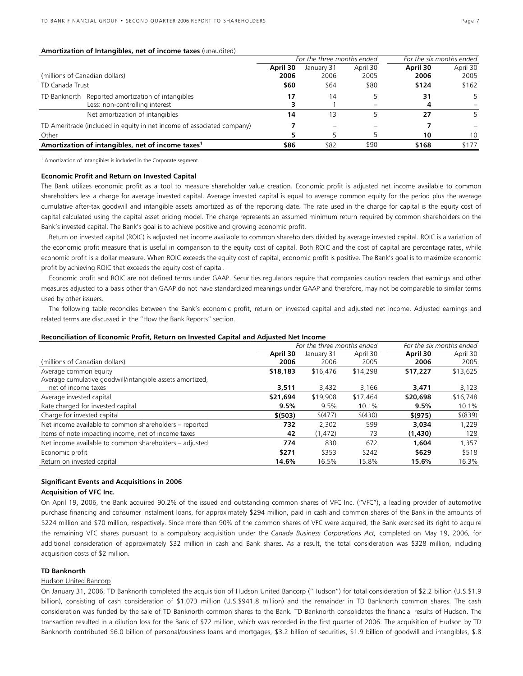### **Amortization of Intangibles, net of income taxes** (unaudited)

|                 |                                                                        |          | For the three months ended |          | For the six months ended |          |  |
|-----------------|------------------------------------------------------------------------|----------|----------------------------|----------|--------------------------|----------|--|
|                 |                                                                        | April 30 | January 31                 | April 30 | April 30                 | April 30 |  |
|                 | (millions of Canadian dollars)                                         | 2006     | 2006                       | 2005     | 2006                     | 2005     |  |
| TD Canada Trust |                                                                        | \$60     | \$64                       | \$80     | \$124                    | \$162    |  |
|                 | TD Banknorth Reported amortization of intangibles                      | 17       | 14                         |          | 31                       | 5.       |  |
|                 | Less: non-controlling interest                                         |          |                            |          |                          |          |  |
|                 | Net amortization of intangibles                                        | 14       | 13                         |          | 27                       | 5.       |  |
|                 | TD Ameritrade (included in equity in net income of associated company) |          |                            |          |                          |          |  |
| Other           |                                                                        |          |                            |          | 10                       | 10       |  |
|                 | Amortization of intangibles, net of income taxes <sup>1</sup>          | \$86     | \$82                       | \$90     | \$168                    | \$177    |  |
|                 |                                                                        |          |                            |          |                          |          |  |

<sup>1</sup> Amortization of intangibles is included in the Corporate segment.

### **Economic Profit and Return on Invested Capital**

The Bank utilizes economic profit as a tool to measure shareholder value creation. Economic profit is adjusted net income available to common shareholders less a charge for average invested capital. Average invested capital is equal to average common equity for the period plus the average cumulative after-tax goodwill and intangible assets amortized as of the reporting date. The rate used in the charge for capital is the equity cost of capital calculated using the capital asset pricing model. The charge represents an assumed minimum return required by common shareholders on the Bank's invested capital. The Bank's goal is to achieve positive and growing economic profit.

Return on invested capital (ROIC) is adjusted net income available to common shareholders divided by average invested capital. ROIC is a variation of the economic profit measure that is useful in comparison to the equity cost of capital. Both ROIC and the cost of capital are percentage rates, while economic profit is a dollar measure. When ROIC exceeds the equity cost of capital, economic profit is positive. The Bank's goal is to maximize economic profit by achieving ROIC that exceeds the equity cost of capital.

Economic profit and ROIC are not defined terms under GAAP. Securities regulators require that companies caution readers that earnings and other measures adjusted to a basis other than GAAP do not have standardized meanings under GAAP and therefore, may not be comparable to similar terms used by other issuers.

The following table reconciles between the Bank's economic profit, return on invested capital and adjusted net income. Adjusted earnings and related terms are discussed in the "How the Bank Reports" section.

#### **Reconciliation of Economic Profit, Return on Invested Capital and Adjusted Net Income**

|                                                          |          | For the three months ended |          | For the six months ended |          |  |
|----------------------------------------------------------|----------|----------------------------|----------|--------------------------|----------|--|
|                                                          | April 30 | January 31                 | April 30 | April 30                 | April 30 |  |
| (millions of Canadian dollars)                           | 2006     | 2006                       | 2005     | 2006                     | 2005     |  |
| Average common equity                                    | \$18,183 | \$16,476                   | \$14,298 | \$17,227                 | \$13,625 |  |
| Average cumulative goodwill/intangible assets amortized, |          |                            |          |                          |          |  |
| net of income taxes                                      | 3,511    | 3,432                      | 3,166    | 3,471                    | 3,123    |  |
| Average invested capital                                 | \$21,694 | \$19,908                   | \$17,464 | \$20,698                 | \$16,748 |  |
| Rate charged for invested capital                        | 9.5%     | 9.5%                       | 10.1%    | 9.5%                     | 10.1%    |  |
| Charge for invested capital                              | \$ (503) | \$(477)                    | \$(430)  | \$(975)                  | \$(839)  |  |
| Net income available to common shareholders - reported   | 732      | 2,302                      | 599      | 3,034                    | 1,229    |  |
| Items of note impacting income, net of income taxes      | 42       | (1, 472)                   | 73       | (1,430)                  | 128      |  |
| Net income available to common shareholders - adjusted   | 774      | 830                        | 672      | 1,604                    | 1,357    |  |
| Economic profit                                          | \$271    | \$353                      | \$242    | \$629                    | \$518    |  |
| Return on invested capital                               | 14.6%    | 16.5%                      | 15.8%    | 15.6%                    | 16.3%    |  |

### **Significant Events and Acquisitions in 2006**

### **Acquisition of VFC Inc.**

On April 19, 2006, the Bank acquired 90.2% of the issued and outstanding common shares of VFC Inc. ("VFC"), a leading provider of automotive purchase financing and consumer instalment loans, for approximately \$294 million, paid in cash and common shares of the Bank in the amounts of \$224 million and \$70 million, respectively. Since more than 90% of the common shares of VFC were acquired, the Bank exercised its right to acquire the remaining VFC shares pursuant to a compulsory acquisition under the *Canada Business Corporations Act,* completed on May 19, 2006, for additional consideration of approximately \$32 million in cash and Bank shares. As a result, the total consideration was \$328 million, including acquisition costs of \$2 million.

### **TD Banknorth**

### Hudson United Bancorp

On January 31, 2006, TD Banknorth completed the acquisition of Hudson United Bancorp ("Hudson") for total consideration of \$2.2 billion (U.S.\$1.9 billion), consisting of cash consideration of \$1,073 million (U.S.\$941.8 million) and the remainder in TD Banknorth common shares. The cash consideration was funded by the sale of TD Banknorth common shares to the Bank. TD Banknorth consolidates the financial results of Hudson. The transaction resulted in a dilution loss for the Bank of \$72 million, which was recorded in the first quarter of 2006. The acquisition of Hudson by TD Banknorth contributed \$6.0 billion of personal/business loans and mortgages, \$3.2 billion of securities, \$1.9 billion of goodwill and intangibles, \$.8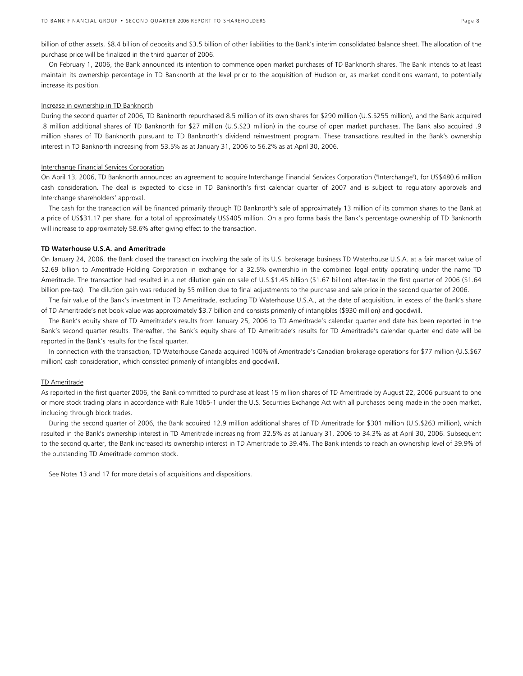billion of other assets, \$8.4 billion of deposits and \$3.5 billion of other liabilities to the Bank's interim consolidated balance sheet. The allocation of the purchase price will be finalized in the third quarter of 2006.

On February 1, 2006, the Bank announced its intention to commence open market purchases of TD Banknorth shares. The Bank intends to at least maintain its ownership percentage in TD Banknorth at the level prior to the acquisition of Hudson or, as market conditions warrant, to potentially increase its position.

#### Increase in ownership in TD Banknorth

During the second quarter of 2006, TD Banknorth repurchased 8.5 million of its own shares for \$290 million (U.S.\$255 million), and the Bank acquired .8 million additional shares of TD Banknorth for \$27 million (U.S.\$23 million) in the course of open market purchases. The Bank also acquired .9 million shares of TD Banknorth pursuant to TD Banknorth's dividend reinvestment program. These transactions resulted in the Bank's ownership interest in TD Banknorth increasing from 53.5% as at January 31, 2006 to 56.2% as at April 30, 2006.

### Interchange Financial Services Corporation

On April 13, 2006, TD Banknorth announced an agreement to acquire Interchange Financial Services Corporation ("Interchange"), for US\$480.6 million cash consideration. The deal is expected to close in TD Banknorth's first calendar quarter of 2007 and is subject to regulatory approvals and Interchange shareholders' approval.

The cash for the transaction will be financed primarily through TD Banknorth's sale of approximately 13 million of its common shares to the Bank at a price of US\$31.17 per share, for a total of approximately US\$405 million. On a pro forma basis the Bank's percentage ownership of TD Banknorth will increase to approximately 58.6% after giving effect to the transaction.

### **TD Waterhouse U.S.A. and Ameritrade**

On January 24, 2006, the Bank closed the transaction involving the sale of its U.S. brokerage business TD Waterhouse U.S.A. at a fair market value of \$2.69 billion to Ameritrade Holding Corporation in exchange for a 32.5% ownership in the combined legal entity operating under the name TD Ameritrade. The transaction had resulted in a net dilution gain on sale of U.S.\$1.45 billion (\$1.67 billion) after-tax in the first quarter of 2006 (\$1.64 billion pre-tax). The dilution gain was reduced by \$5 million due to final adjustments to the purchase and sale price in the second quarter of 2006.

The fair value of the Bank's investment in TD Ameritrade, excluding TD Waterhouse U.S.A., at the date of acquisition, in excess of the Bank's share of TD Ameritrade's net book value was approximately \$3.7 billion and consists primarily of intangibles (\$930 million) and goodwill.

The Bank's equity share of TD Ameritrade's results from January 25, 2006 to TD Ameritrade's calendar quarter end date has been reported in the Bank's second quarter results. Thereafter, the Bank's equity share of TD Ameritrade's results for TD Ameritrade's calendar quarter end date will be reported in the Bank's results for the fiscal quarter.

In connection with the transaction, TD Waterhouse Canada acquired 100% of Ameritrade's Canadian brokerage operations for \$77 million (U.S.\$67 million) cash consideration, which consisted primarily of intangibles and goodwill.

#### TD Ameritrade

As reported in the first quarter 2006, the Bank committed to purchase at least 15 million shares of TD Ameritrade by August 22, 2006 pursuant to one or more stock trading plans in accordance with Rule 10b5-1 under the U.S. Securities Exchange Act with all purchases being made in the open market, including through block trades.

During the second quarter of 2006, the Bank acquired 12.9 million additional shares of TD Ameritrade for \$301 million (U.S.\$263 million), which resulted in the Bank's ownership interest in TD Ameritrade increasing from 32.5% as at January 31, 2006 to 34.3% as at April 30, 2006. Subsequent to the second quarter, the Bank increased its ownership interest in TD Ameritrade to 39.4%. The Bank intends to reach an ownership level of 39.9% of the outstanding TD Ameritrade common stock.

See Notes 13 and 17 for more details of acquisitions and dispositions.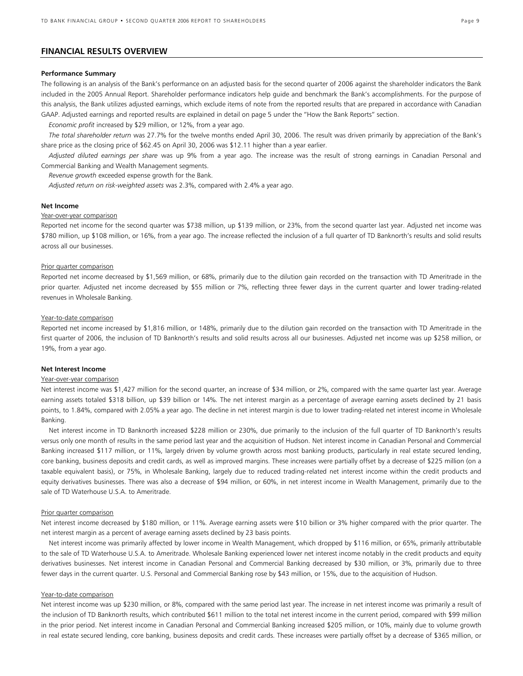### **FINANCIAL RESULTS OVERVIEW**

### **Performance Summary**

The following is an analysis of the Bank's performance on an adjusted basis for the second quarter of 2006 against the shareholder indicators the Bank included in the 2005 Annual Report. Shareholder performance indicators help guide and benchmark the Bank's accomplishments. For the purpose of this analysis, the Bank utilizes adjusted earnings, which exclude items of note from the reported results that are prepared in accordance with Canadian GAAP. Adjusted earnings and reported results are explained in detail on page 5 under the "How the Bank Reports" section.

*Economic profit* increased by \$29 million, or 12%, from a year ago.

*The total shareholder return* was 27.7% for the twelve months ended April 30, 2006. The result was driven primarily by appreciation of the Bank's share price as the closing price of \$62.45 on April 30, 2006 was \$12.11 higher than a year earlier.

*Adjusted diluted earnings per share* was up 9% from a year ago. The increase was the result of strong earnings in Canadian Personal and Commercial Banking and Wealth Management segments.

*Revenue growth* exceeded expense growth for the Bank.

*Adjusted return on risk-weighted assets* was 2.3%, compared with 2.4% a year ago.

### **Net Income**

### Year-over-year comparison

Reported net income for the second quarter was \$738 million, up \$139 million, or 23%, from the second quarter last year. Adjusted net income was \$780 million, up \$108 million, or 16%, from a year ago. The increase reflected the inclusion of a full quarter of TD Banknorth's results and solid results across all our businesses.

### Prior quarter comparison

Reported net income decreased by \$1,569 million, or 68%, primarily due to the dilution gain recorded on the transaction with TD Ameritrade in the prior quarter. Adjusted net income decreased by \$55 million or 7%, reflecting three fewer days in the current quarter and lower trading-related revenues in Wholesale Banking.

### Year-to-date comparison

Reported net income increased by \$1,816 million, or 148%, primarily due to the dilution gain recorded on the transaction with TD Ameritrade in the first quarter of 2006, the inclusion of TD Banknorth's results and solid results across all our businesses. Adjusted net income was up \$258 million, or 19%, from a year ago.

### **Net Interest Income**

### Year-over-year comparison

Net interest income was \$1,427 million for the second quarter, an increase of \$34 million, or 2%, compared with the same quarter last year. Average earning assets totaled \$318 billion, up \$39 billion or 14%. The net interest margin as a percentage of average earning assets declined by 21 basis points, to 1.84%, compared with 2.05% a year ago. The decline in net interest margin is due to lower trading-related net interest income in Wholesale Banking.

Net interest income in TD Banknorth increased \$228 million or 230%, due primarily to the inclusion of the full quarter of TD Banknorth's results versus only one month of results in the same period last year and the acquisition of Hudson. Net interest income in Canadian Personal and Commercial Banking increased \$117 million, or 11%, largely driven by volume growth across most banking products, particularly in real estate secured lending, core banking, business deposits and credit cards, as well as improved margins. These increases were partially offset by a decrease of \$225 million (on a taxable equivalent basis), or 75%, in Wholesale Banking, largely due to reduced trading-related net interest income within the credit products and equity derivatives businesses. There was also a decrease of \$94 million, or 60%, in net interest income in Wealth Management, primarily due to the sale of TD Waterhouse U.S.A. to Ameritrade.

### Prior quarter comparison

Net interest income decreased by \$180 million, or 11%. Average earning assets were \$10 billion or 3% higher compared with the prior quarter. The net interest margin as a percent of average earning assets declined by 23 basis points.

Net interest income was primarily affected by lower income in Wealth Management, which dropped by \$116 million, or 65%, primarily attributable to the sale of TD Waterhouse U.S.A. to Ameritrade. Wholesale Banking experienced lower net interest income notably in the credit products and equity derivatives businesses. Net interest income in Canadian Personal and Commercial Banking decreased by \$30 million, or 3%, primarily due to three fewer days in the current quarter. U.S. Personal and Commercial Banking rose by \$43 million, or 15%, due to the acquisition of Hudson.

### Year-to-date comparison

Net interest income was up \$230 million, or 8%, compared with the same period last year. The increase in net interest income was primarily a result of the inclusion of TD Banknorth results, which contributed \$611 million to the total net interest income in the current period, compared with \$99 million in the prior period. Net interest income in Canadian Personal and Commercial Banking increased \$205 million, or 10%, mainly due to volume growth in real estate secured lending, core banking, business deposits and credit cards. These increases were partially offset by a decrease of \$365 million, or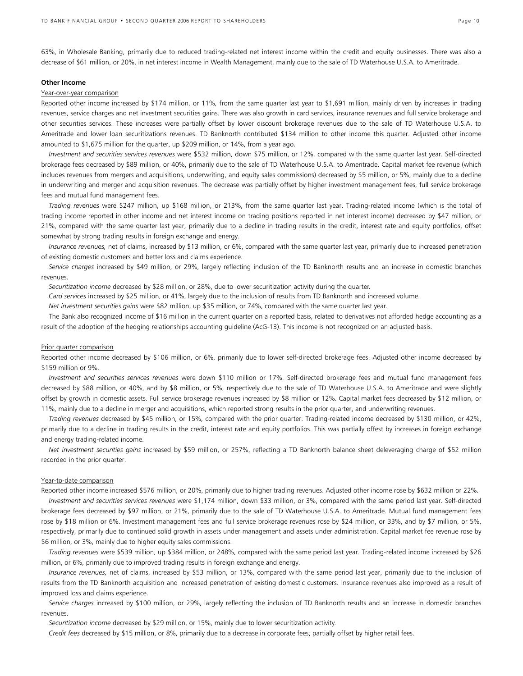63%, in Wholesale Banking, primarily due to reduced trading-related net interest income within the credit and equity businesses. There was also a decrease of \$61 million, or 20%, in net interest income in Wealth Management, mainly due to the sale of TD Waterhouse U.S.A. to Ameritrade.

### **Other Income**

### Year-over-year comparison

Reported other income increased by \$174 million, or 11%, from the same quarter last year to \$1,691 million, mainly driven by increases in trading revenues, service charges and net investment securities gains. There was also growth in card services, insurance revenues and full service brokerage and other securities services. These increases were partially offset by lower discount brokerage revenues due to the sale of TD Waterhouse U.S.A. to Ameritrade and lower loan securitizations revenues. TD Banknorth contributed \$134 million to other income this quarter. Adjusted other income amounted to \$1,675 million for the quarter, up \$209 million, or 14%, from a year ago.

*Investment and securities services revenues* were \$532 million, down \$75 million, or 12%, compared with the same quarter last year. Self-directed brokerage fees decreased by \$89 million, or 40%, primarily due to the sale of TD Waterhouse U.S.A. to Ameritrade. Capital market fee revenue (which includes revenues from mergers and acquisitions, underwriting, and equity sales commissions) decreased by \$5 million, or 5%, mainly due to a decline in underwriting and merger and acquisition revenues. The decrease was partially offset by higher investment management fees, full service brokerage fees and mutual fund management fees.

*Trading revenues* were \$247 million, up \$168 million, or 213%, from the same quarter last year. Trading-related income (which is the total of trading income reported in other income and net interest income on trading positions reported in net interest income) decreased by \$47 million, or 21%, compared with the same quarter last year, primarily due to a decline in trading results in the credit, interest rate and equity portfolios, offset somewhat by strong trading results in foreign exchange and energy.

*Insurance revenues,* net of claims, increased by \$13 million, or 6%, compared with the same quarter last year, primarily due to increased penetration of existing domestic customers and better loss and claims experience.

*Service charges* increased by \$49 million, or 29%, largely reflecting inclusion of the TD Banknorth results and an increase in domestic branches revenues.

*Securitization income* decreased by \$28 million, or 28%, due to lower securitization activity during the quarter.

*Card services* increased by \$25 million, or 41%, largely due to the inclusion of results from TD Banknorth and increased volume.

*Net investment securities gains* were \$82 million, up \$35 million, or 74%, compared with the same quarter last year.

The Bank also recognized income of \$16 million in the current quarter on a reported basis, related to derivatives not afforded hedge accounting as a result of the adoption of the hedging relationships accounting guideline (AcG-13). This income is not recognized on an adjusted basis.

#### Prior quarter comparison

Reported other income decreased by \$106 million, or 6%, primarily due to lower self-directed brokerage fees. Adjusted other income decreased by \$159 million or 9%.

*Investment and securities services revenues* were down \$110 million or 17%. Self-directed brokerage fees and mutual fund management fees decreased by \$88 million, or 40%, and by \$8 million, or 5%, respectively due to the sale of TD Waterhouse U.S.A. to Ameritrade and were slightly offset by growth in domestic assets. Full service brokerage revenues increased by \$8 million or 12%. Capital market fees decreased by \$12 million, or 11%, mainly due to a decline in merger and acquisitions, which reported strong results in the prior quarter, and underwriting revenues.

*Trading revenues* decreased by \$45 million, or 15%, compared with the prior quarter. Trading-related income decreased by \$130 million, or 42%, primarily due to a decline in trading results in the credit, interest rate and equity portfolios. This was partially offest by increases in foreign exchange and energy trading-related income.

*Net investment securities gains* increased by \$59 million, or 257%, reflecting a TD Banknorth balance sheet deleveraging charge of \$52 million recorded in the prior quarter.

### Year-to-date comparison

Reported other income increased \$576 million, or 20%, primarily due to higher trading revenues. Adjusted other income rose by \$632 million or 22%. *Investment and securities services revenues* were \$1,174 million, down \$33 million, or 3%, compared with the same period last year. Self-directed brokerage fees decreased by \$97 million, or 21%, primarily due to the sale of TD Waterhouse U.S.A. to Ameritrade. Mutual fund management fees rose by \$18 million or 6%. Investment management fees and full service brokerage revenues rose by \$24 million, or 33%, and by \$7 million, or 5%, respectively, primarily due to continued solid growth in assets under management and assets under administration. Capital market fee revenue rose by \$6 million, or 3%, mainly due to higher equity sales commissions.

*Trading revenues* were \$539 million, up \$384 million, or 248%, compared with the same period last year. Trading-related income increased by \$26 million, or 6%, primarily due to improved trading results in foreign exchange and energy.

*Insurance revenues,* net of claims, increased by \$53 million, or 13%, compared with the same period last year, primarily due to the inclusion of results from the TD Banknorth acquisition and increased penetration of existing domestic customers. Insurance revenues also improved as a result of improved loss and claims experience.

*Service charges* increased by \$100 million, or 29%, largely reflecting the inclusion of TD Banknorth results and an increase in domestic branches revenues.

*Securitization income* decreased by \$29 million, or 15%, mainly due to lower securitization activity.

*Credit fees* decreased by \$15 million, or 8%, primarily due to a decrease in corporate fees, partially offset by higher retail fees.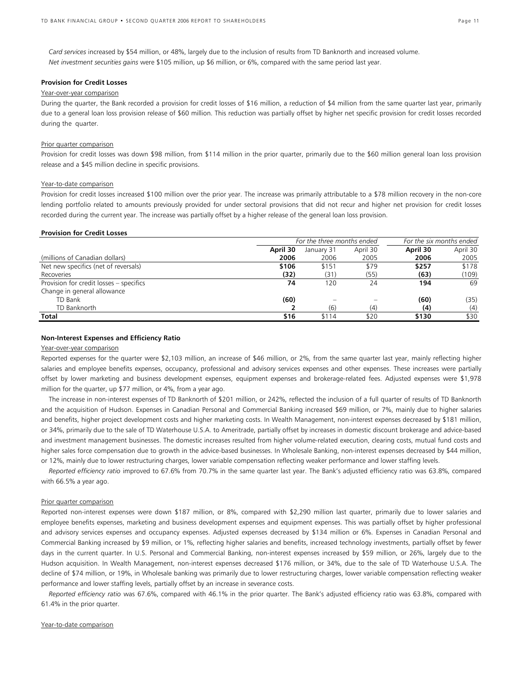*Card services* increased by \$54 million, or 48%, largely due to the inclusion of results from TD Banknorth and increased volume. *Net investment securities gains* were \$105 million, up \$6 million, or 6%, compared with the same period last year.

### **Provision for Credit Losses**

### Year-over-year comparison

During the quarter, the Bank recorded a provision for credit losses of \$16 million, a reduction of \$4 million from the same quarter last year, primarily due to a general loan loss provision release of \$60 million. This reduction was partially offset by higher net specific provision for credit losses recorded during the quarter.

### Prior quarter comparison

Provision for credit losses was down \$98 million, from \$114 million in the prior quarter, primarily due to the \$60 million general loan loss provision release and a \$45 million decline in specific provisions.

#### Year-to-date comparison

Provision for credit losses increased \$100 million over the prior year. The increase was primarily attributable to a \$78 million recovery in the non-core lending portfolio related to amounts previously provided for under sectoral provisions that did not recur and higher net provision for credit losses recorded during the current year. The increase was partially offset by a higher release of the general loan loss provision.

### **Provision for Credit Losses**

|                                         |          | For the three months ended | For the six months ended |          |          |
|-----------------------------------------|----------|----------------------------|--------------------------|----------|----------|
|                                         | April 30 | January 31                 | April 30                 | April 30 | April 30 |
| (millions of Canadian dollars)          | 2006     | 2006                       | 2005                     | 2006     | 2005     |
| Net new specifics (net of reversals)    | \$106    | \$151                      | \$79                     | \$257    | \$178    |
| Recoveries                              | (32)     | (31)                       | (55)                     | (63)     | (109)    |
| Provision for credit losses - specifics | 74       | 120                        | 24                       | 194      | 69       |
| Change in general allowance             |          |                            |                          |          |          |
| TD Bank                                 | (60)     |                            |                          | (60)     | (35)     |
| TD Banknorth                            |          | (6)                        | (4)                      | (4)      | (4)      |
| Total                                   | \$16     | \$114                      | \$20                     | \$130    | \$30     |

### **Non-Interest Expenses and Efficiency Ratio**

### Year-over-year comparison

Reported expenses for the quarter were \$2,103 million, an increase of \$46 million, or 2%, from the same quarter last year, mainly reflecting higher salaries and employee benefits expenses, occupancy, professional and advisory services expenses and other expenses. These increases were partially offset by lower marketing and business development expenses, equipment expenses and brokerage-related fees. Adjusted expenses were \$1,978 million for the quarter, up \$77 million, or 4%, from a year ago.

The increase in non-interest expenses of TD Banknorth of \$201 million, or 242%, reflected the inclusion of a full quarter of results of TD Banknorth and the acquisition of Hudson. Expenses in Canadian Personal and Commercial Banking increased \$69 million, or 7%, mainly due to higher salaries and benefits, higher project development costs and higher marketing costs. In Wealth Management, non-interest expenses decreased by \$181 million, or 34%, primarily due to the sale of TD Waterhouse U.S.A. to Ameritrade, partially offset by increases in domestic discount brokerage and advice-based and investment management businesses. The domestic increases resulted from higher volume-related execution, clearing costs, mutual fund costs and higher sales force compensation due to growth in the advice-based businesses. In Wholesale Banking, non-interest expenses decreased by \$44 million, or 12%, mainly due to lower restructuring charges, lower variable compensation reflecting weaker performance and lower staffing levels.

*Reported efficiency ratio* improved to 67.6% from 70.7% in the same quarter last year. The Bank's adjusted efficiency ratio was 63.8%, compared with 66.5% a year ago.

### Prior quarter comparison

Reported non-interest expenses were down \$187 million, or 8%, compared with \$2,290 million last quarter, primarily due to lower salaries and employee benefits expenses, marketing and business development expenses and equipment expenses. This was partially offset by higher professional and advisory services expenses and occupancy expenses. Adjusted expenses decreased by \$134 million or 6%. Expenses in Canadian Personal and Commercial Banking increased by \$9 million, or 1%, reflecting higher salaries and benefits, increased technology investments, partially offset by fewer days in the current quarter. In U.S. Personal and Commercial Banking, non-interest expenses increased by \$59 million, or 26%, largely due to the Hudson acquisition. In Wealth Management, non-interest expenses decreased \$176 million, or 34%, due to the sale of TD Waterhouse U.S.A. The decline of \$74 million, or 19%, in Wholesale banking was primarily due to lower restructuring charges, lower variable compensation reflecting weaker performance and lower staffing levels, partially offset by an increase in severance costs.

*Reported efficiency ratio* was 67.6%, compared with 46.1% in the prior quarter. The Bank's adjusted efficiency ratio was 63.8%, compared with 61.4% in the prior quarter.

### Year-to-date comparison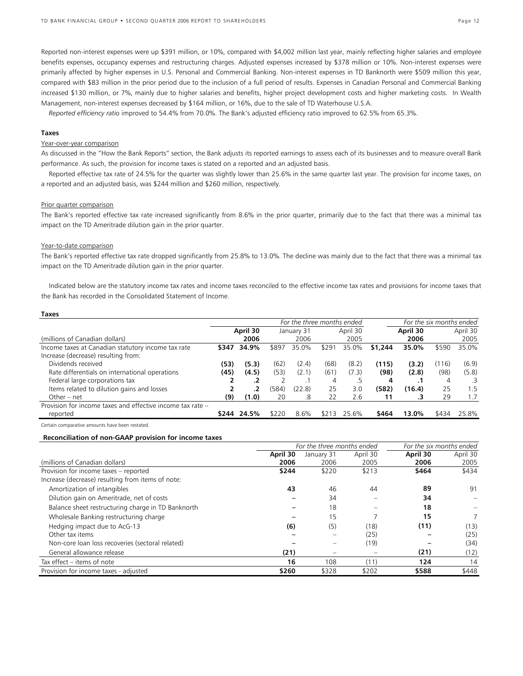Reported non-interest expenses were up \$391 million, or 10%, compared with \$4,002 million last year, mainly reflecting higher salaries and employee benefits expenses, occupancy expenses and restructuring charges. Adjusted expenses increased by \$378 million or 10%. Non-interest expenses were primarily affected by higher expenses in U.S. Personal and Commercial Banking. Non-interest expenses in TD Banknorth were \$509 million this year, compared with \$83 million in the prior period due to the inclusion of a full period of results. Expenses in Canadian Personal and Commercial Banking increased \$130 million, or 7%, mainly due to higher salaries and benefits, higher project development costs and higher marketing costs. In Wealth Management, non-interest expenses decreased by \$164 million, or 16%, due to the sale of TD Waterhouse U.S.A.

*Reported efficiency ratio* improved to 54.4% from 70.0%. The Bank's adjusted efficiency ratio improved to 62.5% from 65.3%.

### **Taxes**

### Year-over-year comparison

As discussed in the "How the Bank Reports" section, the Bank adjusts its reported earnings to assess each of its businesses and to measure overall Bank performance. As such, the provision for income taxes is stated on a reported and an adjusted basis.

Reported effective tax rate of 24.5% for the quarter was slightly lower than 25.6% in the same quarter last year. The provision for income taxes, on a reported and an adjusted basis, was \$244 million and \$260 million, respectively.

#### Prior quarter comparison

The Bank's reported effective tax rate increased significantly from 8.6% in the prior quarter, primarily due to the fact that there was a minimal tax impact on the TD Ameritrade dilution gain in the prior quarter.

### Year-to-date comparison

The Bank's reported effective tax rate dropped significantly from 25.8% to 13.0%. The decline was mainly due to the fact that there was a minimal tax impact on the TD Ameritrade dilution gain in the prior quarter.

Indicated below are the statutory income tax rates and income taxes reconciled to the effective income tax rates and provisions for income taxes that the Bank has recorded in the Consolidated Statement of Income.

| <b>Taxes</b>                                               |       |            |       |                            |           |          |         |                          |       |          |
|------------------------------------------------------------|-------|------------|-------|----------------------------|-----------|----------|---------|--------------------------|-------|----------|
|                                                            |       |            |       | For the three months ended |           |          |         | For the six months ended |       |          |
|                                                            |       | April 30   |       | January 31                 |           | April 30 |         | April 30                 |       | April 30 |
| (millions of Canadian dollars)                             |       | 2006       |       | 2006                       |           | 2005     |         | 2006                     |       | 2005     |
| Income taxes at Canadian statutory income tax rate         | \$347 | 34.9%      | \$897 | 35.0%                      | \$291     | 35.0%    | \$1,244 | 35.0%                    | \$590 | 35.0%    |
| Increase (decrease) resulting from:                        |       |            |       |                            |           |          |         |                          |       |          |
| Dividends received                                         | (53)  | (5.3)      | (62)  | (2.4)                      | (68)      | (8.2)    | (115)   | (3.2)                    | (116) | (6.9)    |
| Rate differentials on international operations             | (45)  | (4.5)      | (53)  | (2.1)                      | (61)      | (7.3)    | (98)    | (2.8)                    | (98)  | (5.8)    |
| Federal large corporations tax                             |       | .2         |       |                            | 4         | .5       | 4       |                          | 4     |          |
| Items related to dilution gains and losses                 |       | $\cdot$ .2 | (584) | (22.8)                     | 25        | 3.0      | (582)   | (16.4)                   | 25    | 1.5      |
| Other $-$ net                                              | (9)   | (1.0)      | 20    | .8                         | 22        | 2.6      | 11      |                          | 29    | 1.7      |
| Provision for income taxes and effective income tax rate - |       |            |       |                            |           |          |         |                          |       |          |
| reported                                                   | \$244 | 24.5%      | \$220 | 8.6%                       | 3<br>\$21 | 25.6%    | \$464   | 13.0%                    | \$434 | 25.8%    |

Certain comparative amounts have been restated.

### **Reconciliation of non-GAAP provision for income taxes**

|                                                    |          | For the three months ended |          | For the six months ended |          |
|----------------------------------------------------|----------|----------------------------|----------|--------------------------|----------|
|                                                    | April 30 | January 31                 | April 30 | April 30                 | April 30 |
| (millions of Canadian dollars)                     | 2006     | 2006                       | 2005     | 2006                     | 2005     |
| Provision for income taxes - reported              | \$244    | \$220                      | \$213    | \$464                    | \$434    |
| Increase (decrease) resulting from items of note:  |          |                            |          |                          |          |
| Amortization of intangibles                        | 43       | 46                         | 44       | 89                       | 91       |
| Dilution gain on Ameritrade, net of costs          |          | 34                         |          | 34                       |          |
| Balance sheet restructuring charge in TD Banknorth |          | 18                         |          | 18                       |          |
| Wholesale Banking restructuring charge             |          | 15                         |          | 15                       |          |
| Hedging impact due to AcG-13                       | (6)      | (5)                        | (18)     | (11)                     | (13)     |
| Other tax items                                    |          |                            | (25)     |                          | (25)     |
| Non-core loan loss recoveries (sectoral related)   |          |                            | (19)     |                          | (34)     |
| General allowance release                          | (21)     |                            |          | (21)                     | (12)     |
| Tax effect – items of note                         | 16       | 108                        | (11)     | 124                      | 14       |
| Provision for income taxes - adjusted              | \$260    | \$328                      | \$202    | \$588                    | \$448    |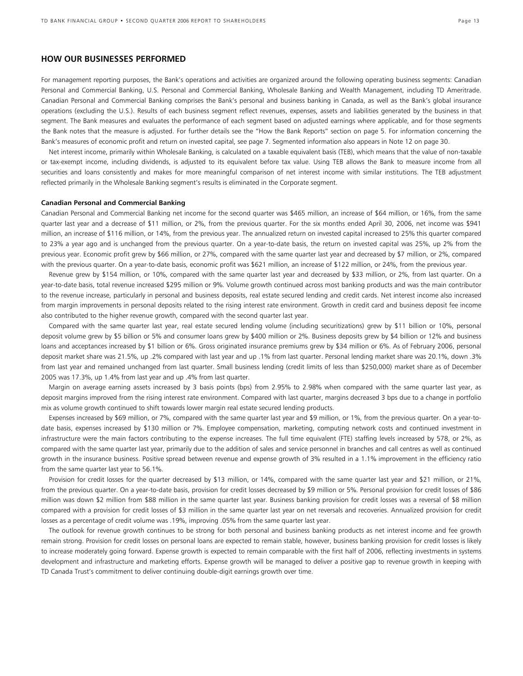### **HOW OUR BUSINESSES PERFORMED**

For management reporting purposes, the Bank's operations and activities are organized around the following operating business segments: Canadian Personal and Commercial Banking, U.S. Personal and Commercial Banking, Wholesale Banking and Wealth Management, including TD Ameritrade. Canadian Personal and Commercial Banking comprises the Bank's personal and business banking in Canada, as well as the Bank's global insurance operations (excluding the U.S.). Results of each business segment reflect revenues, expenses, assets and liabilities generated by the business in that segment. The Bank measures and evaluates the performance of each segment based on adjusted earnings where applicable, and for those segments the Bank notes that the measure is adjusted. For further details see the "How the Bank Reports" section on page 5. For information concerning the Bank's measures of economic profit and return on invested capital, see page 7. Segmented information also appears in Note 12 on page 30.

Net interest income, primarily within Wholesale Banking, is calculated on a taxable equivalent basis (TEB), which means that the value of non-taxable or tax-exempt income, including dividends, is adjusted to its equivalent before tax value. Using TEB allows the Bank to measure income from all securities and loans consistently and makes for more meaningful comparison of net interest income with similar institutions. The TEB adjustment reflected primarily in the Wholesale Banking segment's results is eliminated in the Corporate segment.

### **Canadian Personal and Commercial Banking**

Canadian Personal and Commercial Banking net income for the second quarter was \$465 million, an increase of \$64 million, or 16%, from the same quarter last year and a decrease of \$11 million, or 2%, from the previous quarter. For the six months ended April 30, 2006, net income was \$941 million, an increase of \$116 million, or 14%, from the previous year. The annualized return on invested capital increased to 25% this quarter compared to 23% a year ago and is unchanged from the previous quarter. On a year-to-date basis, the return on invested capital was 25%, up 2% from the previous year. Economic profit grew by \$66 million, or 27%, compared with the same quarter last year and decreased by \$7 million, or 2%, compared with the previous quarter. On a year-to-date basis, economic profit was \$621 million, an increase of \$122 million, or 24%, from the previous year.

Revenue grew by \$154 million, or 10%, compared with the same quarter last year and decreased by \$33 million, or 2%, from last quarter. On a year-to-date basis, total revenue increased \$295 million or 9%. Volume growth continued across most banking products and was the main contributor to the revenue increase, particularly in personal and business deposits, real estate secured lending and credit cards. Net interest income also increased from margin improvements in personal deposits related to the rising interest rate environment. Growth in credit card and business deposit fee income also contributed to the higher revenue growth, compared with the second quarter last year.

Compared with the same quarter last year, real estate secured lending volume (including securitizations) grew by \$11 billion or 10%, personal deposit volume grew by \$5 billion or 5% and consumer loans grew by \$400 million or 2%. Business deposits grew by \$4 billion or 12% and business loans and acceptances increased by \$1 billion or 6%. Gross originated insurance premiums grew by \$34 million or 6%. As of February 2006, personal deposit market share was 21.5%, up .2% compared with last year and up .1% from last quarter. Personal lending market share was 20.1%, down .3% from last year and remained unchanged from last quarter. Small business lending (credit limits of less than \$250,000) market share as of December 2005 was 17.3%, up 1.4% from last year and up .4% from last quarter.

Margin on average earning assets increased by 3 basis points (bps) from 2.95% to 2.98% when compared with the same quarter last year, as deposit margins improved from the rising interest rate environment. Compared with last quarter, margins decreased 3 bps due to a change in portfolio mix as volume growth continued to shift towards lower margin real estate secured lending products.

Expenses increased by \$69 million, or 7%, compared with the same quarter last year and \$9 million, or 1%, from the previous quarter. On a year-todate basis, expenses increased by \$130 million or 7%. Employee compensation, marketing, computing network costs and continued investment in infrastructure were the main factors contributing to the expense increases. The full time equivalent (FTE) staffing levels increased by 578, or 2%, as compared with the same quarter last year, primarily due to the addition of sales and service personnel in branches and call centres as well as continued growth in the insurance business. Positive spread between revenue and expense growth of 3% resulted in a 1.1% improvement in the efficiency ratio from the same quarter last year to 56.1%.

Provision for credit losses for the quarter decreased by \$13 million, or 14%, compared with the same quarter last year and \$21 million, or 21%, from the previous quarter. On a year-to-date basis, provision for credit losses decreased by \$9 million or 5%. Personal provision for credit losses of \$86 million was down \$2 million from \$88 million in the same quarter last year. Business banking provision for credit losses was a reversal of \$8 million compared with a provision for credit losses of \$3 million in the same quarter last year on net reversals and recoveries. Annualized provision for credit losses as a percentage of credit volume was .19%, improving .05% from the same quarter last year.

The outlook for revenue growth continues to be strong for both personal and business banking products as net interest income and fee growth remain strong. Provision for credit losses on personal loans are expected to remain stable, however, business banking provision for credit losses is likely to increase moderately going forward. Expense growth is expected to remain comparable with the first half of 2006, reflecting investments in systems development and infrastructure and marketing efforts. Expense growth will be managed to deliver a positive gap to revenue growth in keeping with TD Canada Trust's commitment to deliver continuing double-digit earnings growth over time.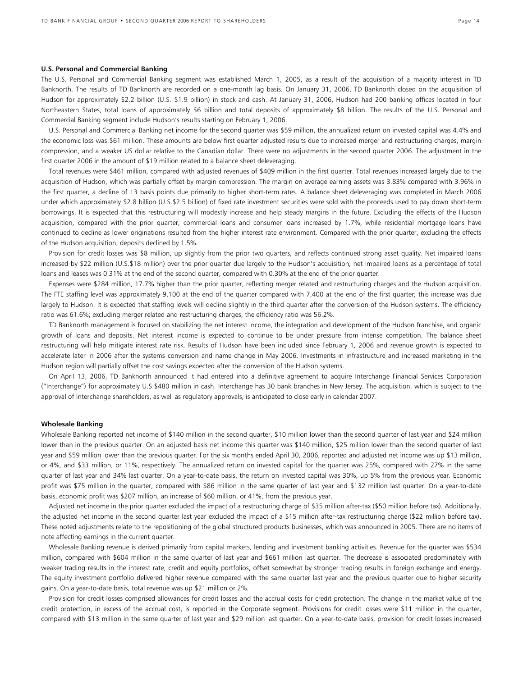### **U.S. Personal and Commercial Banking**

The U.S. Personal and Commercial Banking segment was established March 1, 2005, as a result of the acquisition of a majority interest in TD Banknorth. The results of TD Banknorth are recorded on a one-month lag basis. On January 31, 2006, TD Banknorth closed on the acquisition of Hudson for approximately \$2.2 billion (U.S. \$1.9 billion) in stock and cash. At January 31, 2006, Hudson had 200 banking offices located in four Northeastern States, total loans of approximately \$6 billion and total deposits of approximately \$8 billion. The results of the U.S. Personal and Commercial Banking segment include Hudson's results starting on February 1, 2006.

U.S. Personal and Commercial Banking net income for the second quarter was \$59 million, the annualized return on invested capital was 4.4% and the economic loss was \$61 million. These amounts are below first quarter adjusted results due to increased merger and restructuring charges, margin compression, and a weaker US dollar relative to the Canadian dollar. There were no adjustments in the second quarter 2006. The adjustment in the first quarter 2006 in the amount of \$19 million related to a balance sheet deleveraging.

Total revenues were \$461 million, compared with adjusted revenues of \$409 million in the first quarter. Total revenues increased largely due to the acquisition of Hudson, which was partially offset by margin compression. The margin on average earning assets was 3.83% compared with 3.96% in the first quarter, a decline of 13 basis points due primarily to higher short-term rates. A balance sheet deleveraging was completed in March 2006 under which approximately \$2.8 billion (U.S.\$2.5 billion) of fixed rate investment securities were sold with the proceeds used to pay down short-term borrowings. It is expected that this restructuring will modestly increase and help steady margins in the future. Excluding the effects of the Hudson acquisition, compared with the prior quarter, commercial loans and consumer loans increased by 1.7%, while residential mortgage loans have continued to decline as lower originations resulted from the higher interest rate environment. Compared with the prior quarter, excluding the effects of the Hudson acquisition, deposits declined by 1.5%.

Provision for credit losses was \$8 million, up slightly from the prior two quarters, and reflects continued strong asset quality. Net impaired loans increased by \$22 million (U.S.\$18 million) over the prior quarter due largely to the Hudson's acquisition; net impaired loans as a percentage of total loans and leases was 0.31% at the end of the second quarter, compared with 0.30% at the end of the prior quarter.

Expenses were \$284 million, 17.7% higher than the prior quarter, reflecting merger related and restructuring charges and the Hudson acquisition. The FTE staffing level was approximately 9,100 at the end of the quarter compared with 7,400 at the end of the first quarter; this increase was due largely to Hudson. It is expected that staffing levels will decline slightly in the third quarter after the conversion of the Hudson systems. The efficiency ratio was 61.6%; excluding merger related and restructuring charges, the efficiency ratio was 56.2%.

TD Banknorth management is focused on stabilizing the net interest income, the integration and development of the Hudson franchise, and organic growth of loans and deposits. Net interest income is expected to continue to be under pressure from intense competition. The balance sheet restructuring will help mitigate interest rate risk. Results of Hudson have been included since February 1, 2006 and revenue growth is expected to accelerate later in 2006 after the systems conversion and name change in May 2006. Investments in infrastructure and increased marketing in the Hudson region will partially offset the cost savings expected after the conversion of the Hudson systems.

On April 13, 2006, TD Banknorth announced it had entered into a definitive agreement to acquire Interchange Financial Services Corporation ("Interchange") for approximately U.S.\$480 million in cash. Interchange has 30 bank branches in New Jersey. The acquisition, which is subject to the approval of Interchange shareholders, as well as regulatory approvals, is anticipated to close early in calendar 2007.

#### **Wholesale Banking**

Wholesale Banking reported net income of \$140 million in the second quarter, \$10 million lower than the second quarter of last year and \$24 million lower than in the previous quarter. On an adjusted basis net income this quarter was \$140 million, \$25 million lower than the second quarter of last year and \$59 million lower than the previous quarter. For the six months ended April 30, 2006, reported and adjusted net income was up \$13 million, or 4%, and \$33 million, or 11%, respectively. The annualized return on invested capital for the quarter was 25%, compared with 27% in the same quarter of last year and 34% last quarter. On a year-to-date basis, the return on invested capital was 30%, up 5% from the previous year. Economic profit was \$75 million in the quarter, compared with \$86 million in the same quarter of last year and \$132 million last quarter. On a year-to-date basis, economic profit was \$207 million, an increase of \$60 million, or 41%, from the previous year.

Adjusted net income in the prior quarter excluded the impact of a restructuring charge of \$35 million after-tax (\$50 million before tax). Additionally, the adjusted net income in the second quarter last year excluded the impact of a \$15 million after-tax restructuring charge (\$22 million before tax). These noted adjustments relate to the repositioning of the global structured products businesses, which was announced in 2005. There are no items of note affecting earnings in the current quarter.

Wholesale Banking revenue is derived primarily from capital markets, lending and investment banking activities. Revenue for the quarter was \$534 million, compared with \$604 million in the same quarter of last year and \$661 million last quarter. The decrease is associated predominately with weaker trading results in the interest rate, credit and equity portfolios, offset somewhat by stronger trading results in foreign exchange and energy. The equity investment portfolio delivered higher revenue compared with the same quarter last year and the previous quarter due to higher security gains. On a year-to-date basis, total revenue was up \$21 million or 2%.

Provision for credit losses comprised allowances for credit losses and the accrual costs for credit protection. The change in the market value of the credit protection, in excess of the accrual cost, is reported in the Corporate segment. Provisions for credit losses were \$11 million in the quarter, compared with \$13 million in the same quarter of last year and \$29 million last quarter. On a year-to-date basis, provision for credit losses increased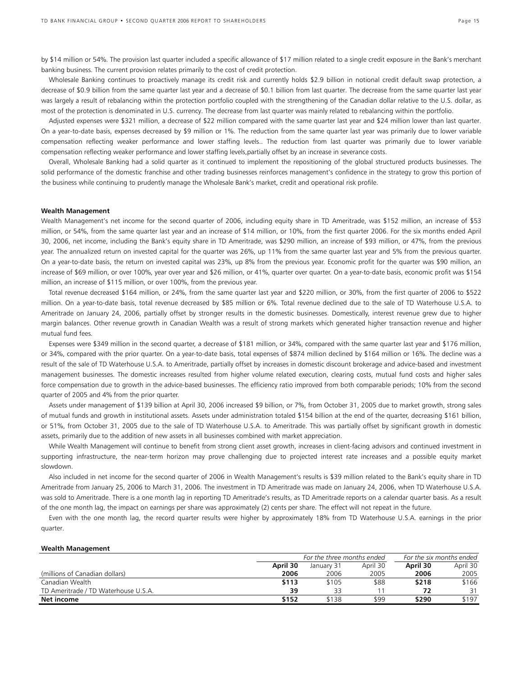by \$14 million or 54%. The provision last quarter included a specific allowance of \$17 million related to a single credit exposure in the Bank's merchant banking business. The current provision relates primarily to the cost of credit protection.

Wholesale Banking continues to proactively manage its credit risk and currently holds \$2.9 billion in notional credit default swap protection, a decrease of \$0.9 billion from the same quarter last year and a decrease of \$0.1 billion from last quarter. The decrease from the same quarter last year was largely a result of rebalancing within the protection portfolio coupled with the strengthening of the Canadian dollar relative to the U.S. dollar, as most of the protection is denominated in U.S. currency. The decrease from last quarter was mainly related to rebalancing within the portfolio.

Adjusted expenses were \$321 million, a decrease of \$22 million compared with the same quarter last year and \$24 million lower than last quarter. On a year-to-date basis, expenses decreased by \$9 million or 1%. The reduction from the same quarter last year was primarily due to lower variable compensation reflecting weaker performance and lower staffing levels.. The reduction from last quarter was primarily due to lower variable compensation reflecting weaker performance and lower staffing levels,partially offset by an increase in severance costs.

Overall, Wholesale Banking had a solid quarter as it continued to implement the repositioning of the global structured products businesses. The solid performance of the domestic franchise and other trading businesses reinforces management's confidence in the strategy to grow this portion of the business while continuing to prudently manage the Wholesale Bank's market, credit and operational risk profile.

#### **Wealth Management**

Wealth Management's net income for the second quarter of 2006, including equity share in TD Ameritrade, was \$152 million, an increase of \$53 million, or 54%, from the same quarter last year and an increase of \$14 million, or 10%, from the first quarter 2006. For the six months ended April 30, 2006, net income, including the Bank's equity share in TD Ameritrade, was \$290 million, an increase of \$93 million, or 47%, from the previous year. The annualized return on invested capital for the quarter was 26%, up 11% from the same quarter last year and 5% from the previous quarter. On a year-to-date basis, the return on invested capital was 23%, up 8% from the previous year. Economic profit for the quarter was \$90 million, an increase of \$69 million, or over 100%, year over year and \$26 million, or 41%, quarter over quarter. On a year-to-date basis, economic profit was \$154 million, an increase of \$115 million, or over 100%, from the previous year.

Total revenue decreased \$164 million, or 24%, from the same quarter last year and \$220 million, or 30%, from the first quarter of 2006 to \$522 million. On a year-to-date basis, total revenue decreased by \$85 million or 6%. Total revenue declined due to the sale of TD Waterhouse U.S.A. to Ameritrade on January 24, 2006, partially offset by stronger results in the domestic businesses. Domestically, interest revenue grew due to higher margin balances. Other revenue growth in Canadian Wealth was a result of strong markets which generated higher transaction revenue and higher mutual fund fees.

Expenses were \$349 million in the second quarter, a decrease of \$181 million, or 34%, compared with the same quarter last year and \$176 million, or 34%, compared with the prior quarter. On a year-to-date basis, total expenses of \$874 million declined by \$164 million or 16%. The decline was a result of the sale of TD Waterhouse U.S.A. to Ameritrade, partially offset by increases in domestic discount brokerage and advice-based and investment management businesses. The domestic increases resulted from higher volume related execution, clearing costs, mutual fund costs and higher sales force compensation due to growth in the advice-based businesses. The efficiency ratio improved from both comparable periods; 10% from the second quarter of 2005 and 4% from the prior quarter.

Assets under management of \$139 billion at April 30, 2006 increased \$9 billion, or 7%, from October 31, 2005 due to market growth, strong sales of mutual funds and growth in institutional assets. Assets under administration totaled \$154 billion at the end of the quarter, decreasing \$161 billion, or 51%, from October 31, 2005 due to the sale of TD Waterhouse U.S.A. to Ameritrade. This was partially offset by significant growth in domestic assets, primarily due to the addition of new assets in all businesses combined with market appreciation.

While Wealth Management will continue to benefit from strong client asset growth, increases in client-facing advisors and continued investment in supporting infrastructure, the near-term horizon may prove challenging due to projected interest rate increases and a possible equity market slowdown.

Also included in net income for the second quarter of 2006 in Wealth Management's results is \$39 million related to the Bank's equity share in TD Ameritrade from January 25, 2006 to March 31, 2006. The investment in TD Ameritrade was made on January 24, 2006, when TD Waterhouse U.S.A. was sold to Ameritrade. There is a one month lag in reporting TD Ameritrade's results, as TD Ameritrade reports on a calendar quarter basis. As a result of the one month lag, the impact on earnings per share was approximately (2) cents per share. The effect will not repeat in the future.

Even with the one month lag, the record quarter results were higher by approximately 18% from TD Waterhouse U.S.A. earnings in the prior quarter.

### **Wealth Management**

|                                      | For the three months ended |            |          | For the six months ended |          |  |
|--------------------------------------|----------------------------|------------|----------|--------------------------|----------|--|
|                                      | April 30                   | January 31 | April 30 | April 30                 | April 30 |  |
| (millions of Canadian dollars)       | 2006                       | 2006       | 2005     | 2006                     | 2005     |  |
| Canadian Wealth                      | \$113                      | \$105      | \$88     | \$218                    | \$166    |  |
| TD Ameritrade / TD Waterhouse U.S.A. | 39                         | コ          |          |                          | 31       |  |
| Net income                           | \$152                      | \$138      | \$99     | \$290                    | \$197    |  |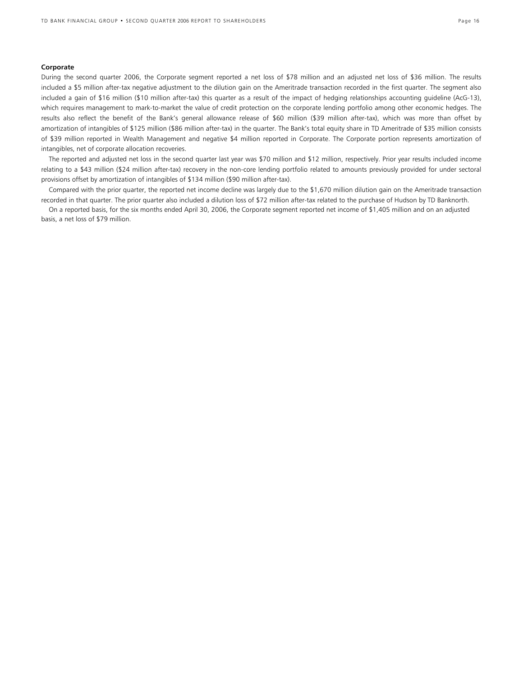### **Corporate**

During the second quarter 2006, the Corporate segment reported a net loss of \$78 million and an adjusted net loss of \$36 million. The results included a \$5 million after-tax negative adjustment to the dilution gain on the Ameritrade transaction recorded in the first quarter. The segment also included a gain of \$16 million (\$10 million after-tax) this quarter as a result of the impact of hedging relationships accounting guideline (AcG-13), which requires management to mark-to-market the value of credit protection on the corporate lending portfolio among other economic hedges. The results also reflect the benefit of the Bank's general allowance release of \$60 million (\$39 million after-tax), which was more than offset by amortization of intangibles of \$125 million (\$86 million after-tax) in the quarter. The Bank's total equity share in TD Ameritrade of \$35 million consists of \$39 million reported in Wealth Management and negative \$4 million reported in Corporate. The Corporate portion represents amortization of intangibles, net of corporate allocation recoveries.

The reported and adjusted net loss in the second quarter last year was \$70 million and \$12 million, respectively. Prior year results included income relating to a \$43 million (\$24 million after-tax) recovery in the non-core lending portfolio related to amounts previously provided for under sectoral provisions offset by amortization of intangibles of \$134 million (\$90 million after-tax).

Compared with the prior quarter, the reported net income decline was largely due to the \$1,670 million dilution gain on the Ameritrade transaction recorded in that quarter. The prior quarter also included a dilution loss of \$72 million after-tax related to the purchase of Hudson by TD Banknorth.

On a reported basis, for the six months ended April 30, 2006, the Corporate segment reported net income of \$1,405 million and on an adjusted basis, a net loss of \$79 million.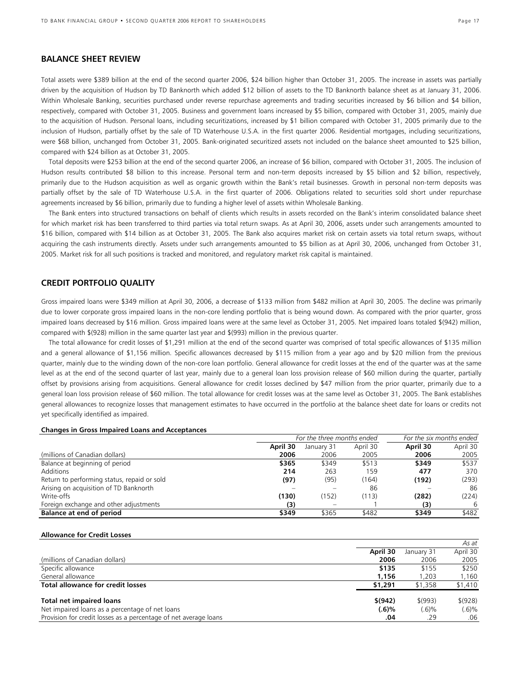### **BALANCE SHEET REVIEW**

Total assets were \$389 billion at the end of the second quarter 2006, \$24 billion higher than October 31, 2005. The increase in assets was partially driven by the acquisition of Hudson by TD Banknorth which added \$12 billion of assets to the TD Banknorth balance sheet as at January 31, 2006. Within Wholesale Banking, securities purchased under reverse repurchase agreements and trading securities increased by \$6 billion and \$4 billion, respectively, compared with October 31, 2005. Business and government loans increased by \$5 billion, compared with October 31, 2005, mainly due to the acquisition of Hudson. Personal loans, including securitizations, increased by \$1 billion compared with October 31, 2005 primarily due to the inclusion of Hudson, partially offset by the sale of TD Waterhouse U.S.A. in the first quarter 2006. Residential mortgages, including securitizations, were \$68 billion, unchanged from October 31, 2005. Bank-originated securitized assets not included on the balance sheet amounted to \$25 billion, compared with \$24 billion as at October 31, 2005.

Total deposits were \$253 billion at the end of the second quarter 2006, an increase of \$6 billion, compared with October 31, 2005. The inclusion of Hudson results contributed \$8 billion to this increase. Personal term and non-term deposits increased by \$5 billion and \$2 billion, respectively, primarily due to the Hudson acquisition as well as organic growth within the Bank's retail businesses. Growth in personal non-term deposits was partially offset by the sale of TD Waterhouse U.S.A. in the first quarter of 2006. Obligations related to securities sold short under repurchase agreements increased by \$6 billion, primarily due to funding a higher level of assets within Wholesale Banking.

The Bank enters into structured transactions on behalf of clients which results in assets recorded on the Bank's interim consolidated balance sheet for which market risk has been transferred to third parties via total return swaps. As at April 30, 2006, assets under such arrangements amounted to \$16 billion, compared with \$14 billion as at October 31, 2005. The Bank also acquires market risk on certain assets via total return swaps, without acquiring the cash instruments directly. Assets under such arrangements amounted to \$5 billion as at April 30, 2006, unchanged from October 31, 2005. Market risk for all such positions is tracked and monitored, and regulatory market risk capital is maintained.

### **CREDIT PORTFOLIO QUALITY**

Gross impaired loans were \$349 million at April 30, 2006, a decrease of \$133 million from \$482 million at April 30, 2005. The decline was primarily due to lower corporate gross impaired loans in the non-core lending portfolio that is being wound down. As compared with the prior quarter, gross impaired loans decreased by \$16 million. Gross impaired loans were at the same level as October 31, 2005. Net impaired loans totaled \$(942) million, compared with \$(928) million in the same quarter last year and \$(993) million in the previous quarter.

The total allowance for credit losses of \$1,291 million at the end of the second quarter was comprised of total specific allowances of \$135 million and a general allowance of \$1,156 million. Specific allowances decreased by \$115 million from a year ago and by \$20 million from the previous quarter, mainly due to the winding down of the non-core loan portfolio. General allowance for credit losses at the end of the quarter was at the same level as at the end of the second quarter of last year, mainly due to a general loan loss provision release of \$60 million during the quarter, partially offset by provisions arising from acquisitions. General allowance for credit losses declined by \$47 million from the prior quarter, primarily due to a general loan loss provision release of \$60 million. The total allowance for credit losses was at the same level as October 31, 2005. The Bank establishes general allowances to recognize losses that management estimates to have occurred in the portfolio at the balance sheet date for loans or credits not yet specifically identified as impaired.

#### **Changes in Gross Impaired Loans and Acceptances**

|                                             | For the three months ended |            |          | For the six months ended |          |  |
|---------------------------------------------|----------------------------|------------|----------|--------------------------|----------|--|
|                                             | April 30                   | January 31 | April 30 | April 30                 | April 30 |  |
| (millions of Canadian dollars)              | 2006                       | 2006       | 2005     | 2006                     | 2005     |  |
| Balance at beginning of period              | \$365                      | \$349      | \$513    | \$349                    | \$537    |  |
| Additions                                   | 214                        | 263        | 159      | 477                      | 370      |  |
| Return to performing status, repaid or sold | (97)                       | (95)       | (164)    | (192)                    | (293)    |  |
| Arising on acquisition of TD Banknorth      |                            |            | 86       |                          | 86       |  |
| Write-offs                                  | (130)                      | (152)      | (113)    | (282)                    | (224)    |  |
| Foreign exchange and other adjustments      | (3)                        |            |          | (3)                      | 6        |  |
| Balance at end of period                    | \$349                      | \$365      | \$482    | \$349                    | \$482    |  |

### **Allowance for Credit Losses**

|                                                                  |          |            | As at     |
|------------------------------------------------------------------|----------|------------|-----------|
|                                                                  | April 30 | January 31 | April 30  |
| (millions of Canadian dollars)                                   | 2006     | 2006       | 2005      |
| Specific allowance                                               | \$135    | \$155      | \$250     |
| General allowance                                                | 1,156    | 1.203      | 1,160     |
| Total allowance for credit losses                                | \$1,291  | \$1,358    | \$1,410   |
| Total net impaired loans                                         | \$(942)  | \$ (993)   | \$ (928)  |
| Net impaired loans as a percentage of net loans                  | (.6)%    | (.6)%      | $(0.6)$ % |
| Provision for credit losses as a percentage of net average loans | .04      | .29        | .06       |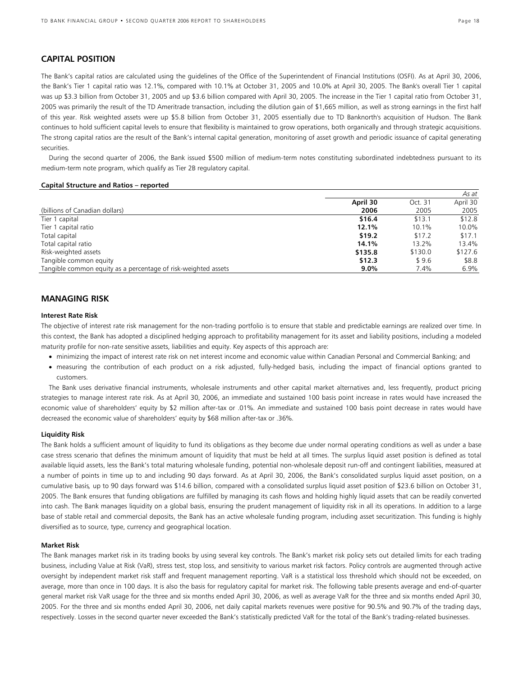### **CAPITAL POSITION**

The Bank's capital ratios are calculated using the guidelines of the Office of the Superintendent of Financial Institutions (OSFI). As at April 30, 2006, the Bank's Tier 1 capital ratio was 12.1%, compared with 10.1% at October 31, 2005 and 10.0% at April 30, 2005. The Bank's overall Tier 1 capital was up \$3.3 billion from October 31, 2005 and up \$3.6 billion compared with April 30, 2005. The increase in the Tier 1 capital ratio from October 31, 2005 was primarily the result of the TD Ameritrade transaction, including the dilution gain of \$1,665 million, as well as strong earnings in the first half of this year. Risk weighted assets were up \$5.8 billion from October 31, 2005 essentially due to TD Banknorth's acquisition of Hudson. The Bank continues to hold sufficient capital levels to ensure that flexibility is maintained to grow operations, both organically and through strategic acquisitions. The strong capital ratios are the result of the Bank's internal capital generation, monitoring of asset growth and periodic issuance of capital generating securities.

During the second quarter of 2006, the Bank issued \$500 million of medium-term notes constituting subordinated indebtedness pursuant to its medium-term note program, which qualify as Tier 2B regulatory capital.

### **Capital Structure and Ratios – reported**

|                                                                |          |         | As at    |
|----------------------------------------------------------------|----------|---------|----------|
|                                                                | April 30 | Oct. 31 | April 30 |
| (billions of Canadian dollars)                                 | 2006     | 2005    | 2005     |
| Tier 1 capital                                                 | \$16.4   | \$13.1  | \$12.8   |
| Tier 1 capital ratio                                           | 12.1%    | 10.1%   | 10.0%    |
| Total capital                                                  | \$19.2   | \$17.2  | \$17.1   |
| Total capital ratio                                            | 14.1%    | 13.2%   | 13.4%    |
| Risk-weighted assets                                           | \$135.8  | \$130.0 | \$127.6  |
| Tangible common equity                                         | \$12.3   | \$9.6   | \$8.8    |
| Tangible common equity as a percentage of risk-weighted assets | $9.0\%$  | 7.4%    | 6.9%     |

### **MANAGING RISK**

### **Interest Rate Risk**

The objective of interest rate risk management for the non-trading portfolio is to ensure that stable and predictable earnings are realized over time. In this context, the Bank has adopted a disciplined hedging approach to profitability management for its asset and liability positions, including a modeled maturity profile for non-rate sensitive assets, liabilities and equity. Key aspects of this approach are:

- minimizing the impact of interest rate risk on net interest income and economic value within Canadian Personal and Commercial Banking; and
- measuring the contribution of each product on a risk adjusted, fully-hedged basis, including the impact of financial options granted to customers.

The Bank uses derivative financial instruments, wholesale instruments and other capital market alternatives and, less frequently, product pricing strategies to manage interest rate risk. As at April 30, 2006, an immediate and sustained 100 basis point increase in rates would have increased the economic value of shareholders' equity by \$2 million after-tax or .01%. An immediate and sustained 100 basis point decrease in rates would have decreased the economic value of shareholders' equity by \$68 million after-tax or .36%.

### **Liquidity Risk**

The Bank holds a sufficient amount of liquidity to fund its obligations as they become due under normal operating conditions as well as under a base case stress scenario that defines the minimum amount of liquidity that must be held at all times. The surplus liquid asset position is defined as total available liquid assets, less the Bank's total maturing wholesale funding, potential non-wholesale deposit run-off and contingent liabilities, measured at a number of points in time up to and including 90 days forward. As at April 30, 2006, the Bank's consolidated surplus liquid asset position, on a cumulative basis*,* up to 90 days forward was \$14.6 billion, compared with a consolidated surplus liquid asset position of \$23.6 billion on October 31, 2005. The Bank ensures that funding obligations are fulfilled by managing its cash flows and holding highly liquid assets that can be readily converted into cash. The Bank manages liquidity on a global basis, ensuring the prudent management of liquidity risk in all its operations. In addition to a large base of stable retail and commercial deposits, the Bank has an active wholesale funding program, including asset securitization. This funding is highly diversified as to source, type, currency and geographical location.

### **Market Risk**

The Bank manages market risk in its trading books by using several key controls. The Bank's market risk policy sets out detailed limits for each trading business, including Value at Risk (VaR), stress test, stop loss, and sensitivity to various market risk factors. Policy controls are augmented through active oversight by independent market risk staff and frequent management reporting. VaR is a statistical loss threshold which should not be exceeded, on average, more than once in 100 days. It is also the basis for regulatory capital for market risk. The following table presents average and end-of-quarter general market risk VaR usage for the three and six months ended April 30, 2006, as well as average VaR for the three and six months ended April 30, 2005. For the three and six months ended April 30, 2006, net daily capital markets revenues were positive for 90.5% and 90.7% of the trading days, respectively. Losses in the second quarter never exceeded the Bank's statistically predicted VaR for the total of the Bank's trading-related businesses.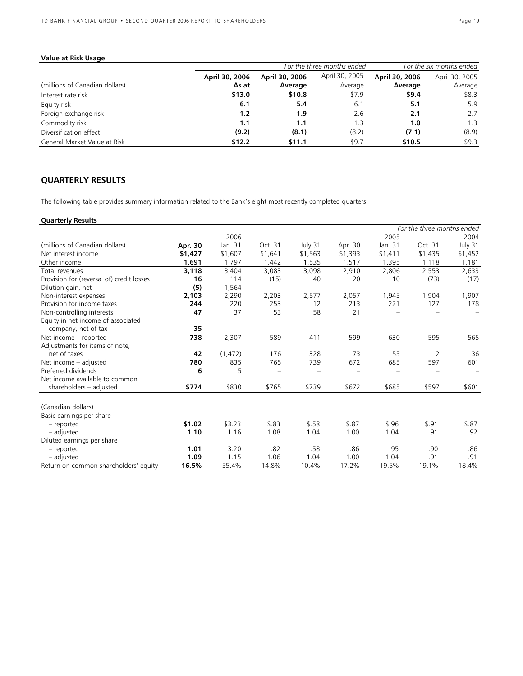| Value at Risk Usage            |                |                |                            |                          |                |  |
|--------------------------------|----------------|----------------|----------------------------|--------------------------|----------------|--|
|                                |                |                | For the three months ended | For the six months ended |                |  |
|                                | April 30, 2006 | April 30, 2006 | April 30, 2005             | April 30, 2006           | April 30, 2005 |  |
| (millions of Canadian dollars) | As at          | Average        | Average                    | Average                  | Average        |  |
| Interest rate risk             | \$13.0         | \$10.8         | \$7.9                      | \$9.4                    | \$8.3          |  |
| Equity risk                    | 6.1            | 5.4            | 6.1                        | 5.1                      | 5.9            |  |
| Foreign exchange risk          | 1.2            | 1.9            | 2.6                        | 2.1                      | 2.7            |  |
| Commodity risk                 | 1.1            | 1.1            | 1.3                        | 1.0                      | 1.3            |  |
| Diversification effect         | (9.2)          | (8.1)          | (8.2)                      | (7.1)                    | (8.9)          |  |
| General Market Value at Risk   | \$12.2         | \$11.1         | \$9.7                      | \$10.5                   | \$9.3          |  |

## **QUARTERLY RESULTS**

The following table provides summary information related to the Bank's eight most recently completed quarters.

### **Quarterly Results**

|                                           |         |          |                   |                          |         |         | For the three months ended |         |
|-------------------------------------------|---------|----------|-------------------|--------------------------|---------|---------|----------------------------|---------|
|                                           |         | 2006     |                   |                          |         | 2005    |                            | 2004    |
| (millions of Canadian dollars)            | Apr. 30 | Jan. 31  | Oct. 31           | July 31                  | Apr. 30 | Jan. 31 | Oct. 31                    | July 31 |
| Net interest income                       | \$1,427 | \$1,607  | \$1,641           | \$1,563                  | \$1,393 | \$1,411 | \$1,435                    | \$1,452 |
| Other income                              | 1,691   | 1,797    | 1,442             | 1,535                    | 1,517   | 1,395   | 1,118                      | 1,181   |
| Total revenues                            | 3,118   | 3,404    | 3,083             | 3,098                    | 2,910   | 2,806   | 2,553                      | 2,633   |
| Provision for (reversal of) credit losses | 16      | 114      | (15)              | 40                       | 20      | 10      | (73)                       | (17)    |
| Dilution gain, net                        | (5)     | 1,564    |                   |                          |         |         |                            |         |
| Non-interest expenses                     | 2,103   | 2,290    | 2,203             | 2,577                    | 2,057   | 1,945   | 1,904                      | 1,907   |
| Provision for income taxes                | 244     | 220      | 253               | 12                       | 213     | 221     | 127                        | 178     |
| Non-controlling interests                 | 47      | 37       | 53                | 58                       | 21      |         |                            |         |
| Equity in net income of associated        |         |          |                   |                          |         |         |                            |         |
| company, net of tax                       | 35      |          | $\qquad \qquad -$ | $\overline{\phantom{m}}$ |         |         |                            |         |
| Net income - reported                     | 738     | 2,307    | 589               | 411                      | 599     | 630     | 595                        | 565     |
| Adjustments for items of note,            |         |          |                   |                          |         |         |                            |         |
| net of taxes                              | 42      | (1, 472) | 176               | 328                      | 73      | 55      | 2                          | 36      |
| Net income - adjusted                     | 780     | 835      | 765               | 739                      | 672     | 685     | 597                        | 601     |
| Preferred dividends                       | 6       | 5        |                   |                          |         |         |                            |         |
| Net income available to common            |         |          |                   |                          |         |         |                            |         |
| shareholders - adjusted                   | \$774   | \$830    | \$765             | \$739                    | \$672   | \$685   | \$597                      | \$601   |
| (Canadian dollars)                        |         |          |                   |                          |         |         |                            |         |
| Basic earnings per share                  |         |          |                   |                          |         |         |                            |         |
| - reported                                | \$1.02  | \$3.23   | \$.83             | \$.58                    | \$.87   | \$.96   | \$.91                      | \$.87   |
| - adjusted                                | 1.10    | 1.16     | 1.08              | 1.04                     | 1.00    | 1.04    | .91                        | .92     |
| Diluted earnings per share                |         |          |                   |                          |         |         |                            |         |
| - reported                                | 1.01    | 3.20     | .82               | .58                      | .86     | .95     | .90                        | .86     |
| $-$ adjusted                              | 1.09    | 1.15     | 1.06              | 1.04                     | 1.00    | 1.04    | .91                        | .91     |
| Return on common shareholders' equity     | 16.5%   | 55.4%    | 14.8%             | 10.4%                    | 17.2%   | 19.5%   | 19.1%                      | 18.4%   |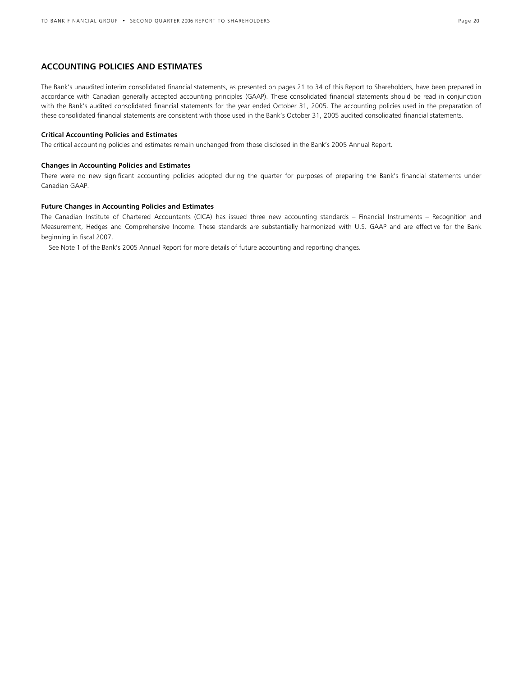### **ACCOUNTING POLICIES AND ESTIMATES**

The Bank's unaudited interim consolidated financial statements, as presented on pages 21 to 34 of this Report to Shareholders, have been prepared in accordance with Canadian generally accepted accounting principles (GAAP). These consolidated financial statements should be read in conjunction with the Bank's audited consolidated financial statements for the year ended October 31, 2005. The accounting policies used in the preparation of these consolidated financial statements are consistent with those used in the Bank's October 31, 2005 audited consolidated financial statements.

### **Critical Accounting Policies and Estimates**

The critical accounting policies and estimates remain unchanged from those disclosed in the Bank's 2005 Annual Report.

### **Changes in Accounting Policies and Estimates**

There were no new significant accounting policies adopted during the quarter for purposes of preparing the Bank's financial statements under Canadian GAAP.

### **Future Changes in Accounting Policies and Estimates**

The Canadian Institute of Chartered Accountants (CICA) has issued three new accounting standards – Financial Instruments – Recognition and Measurement, Hedges and Comprehensive Income. These standards are substantially harmonized with U.S. GAAP and are effective for the Bank beginning in fiscal 2007.

See Note 1 of the Bank's 2005 Annual Report for more details of future accounting and reporting changes.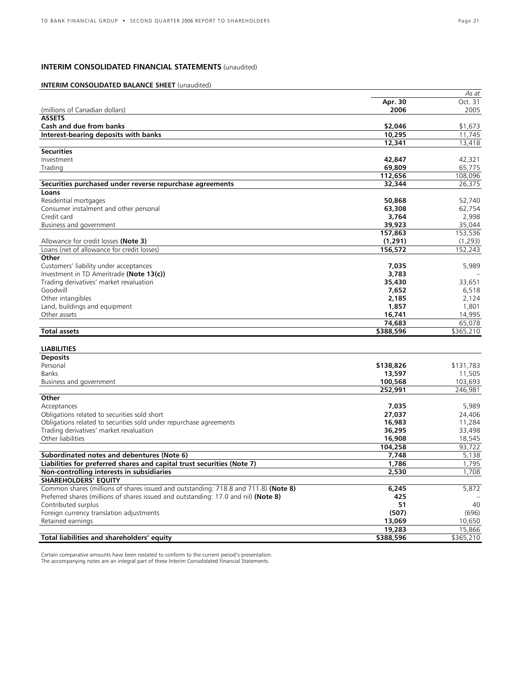### **INTERIM CONSOLIDATED FINANCIAL STATEMENTS** (unaudited)

### **INTERIM CONSOLIDATED BALANCE SHEET** (unaudited)

|                                                                                     |           | As at     |
|-------------------------------------------------------------------------------------|-----------|-----------|
|                                                                                     | Apr. 30   | Oct. 31   |
| (millions of Canadian dollars)                                                      | 2006      | 2005      |
| <b>ASSETS</b>                                                                       |           |           |
| Cash and due from banks                                                             | \$2,046   | \$1,673   |
| Interest-bearing deposits with banks                                                | 10,295    | 11,745    |
|                                                                                     | 12,341    | 13,418    |
| <b>Securities</b>                                                                   |           |           |
| Investment                                                                          | 42,847    | 42,321    |
| Trading                                                                             | 69,809    | 65,775    |
|                                                                                     | 112,656   | 108,096   |
| Securities purchased under reverse repurchase agreements                            | 32,344    | 26,375    |
| Loans                                                                               |           |           |
| Residential mortgages                                                               | 50,868    | 52,740    |
| Consumer instalment and other personal                                              | 63,308    | 62,754    |
| Credit card                                                                         | 3,764     | 2,998     |
| Business and government                                                             | 39,923    | 35,044    |
|                                                                                     | 157,863   | 153,536   |
| Allowance for credit losses (Note 3)                                                | (1, 291)  | (1, 293)  |
| Loans (net of allowance for credit losses)                                          | 156,572   | 152,243   |
| Other                                                                               |           |           |
| Customers' liability under acceptances                                              | 7,035     | 5,989     |
| Investment in TD Ameritrade (Note 13(c))                                            | 3,783     |           |
| Trading derivatives' market revaluation                                             | 35,430    | 33,651    |
| Goodwill                                                                            | 7,652     | 6,518     |
| Other intangibles                                                                   | 2,185     | 2,124     |
| Land, buildings and equipment                                                       | 1,857     | 1,801     |
| Other assets                                                                        | 16,741    | 14,995    |
|                                                                                     | 74,683    | 65,078    |
| <b>Total assets</b>                                                                 | \$388,596 | \$365,210 |
|                                                                                     |           |           |
| <b>LIABILITIES</b>                                                                  |           |           |
| <b>Deposits</b>                                                                     |           |           |
| Personal                                                                            | \$138,826 | \$131,783 |
| <b>Banks</b>                                                                        | 13,597    | 11,505    |
| Business and government                                                             | 100,568   | 103,693   |
|                                                                                     | 252,991   | 246,981   |
| Other                                                                               |           |           |
| Acceptances                                                                         | 7,035     | 5,989     |
| Obligations related to securities sold short                                        | 27,037    | 24,406    |
| Obligations related to securities sold under repurchase agreements                  | 16,983    | 11,284    |
| Trading derivatives' market revaluation                                             | 36,295    | 33,498    |
| Other liabilities                                                                   | 16,908    | 18,545    |
|                                                                                     | 104,258   | 93,722    |
| Subordinated notes and debentures (Note 6)                                          | 7,748     | 5,138     |
| Liabilities for preferred shares and capital trust securities (Note 7)              | 1,786     | 1,795     |
| Non-controlling interests in subsidiaries                                           | 2,530     | 1,708     |
| <b>SHAREHOLDERS' EQUITY</b>                                                         |           |           |
| Common shares (millions of shares issued and outstanding: 718.8 and 711.8) (Note 8) | 6,245     | 5,872     |
| Preferred shares (millions of shares issued and outstanding: 17.0 and nil) (Note 8) | 425       |           |
| Contributed surplus                                                                 | 51        | 40        |
| Foreign currency translation adjustments                                            | (507)     | (696)     |
| Retained earnings                                                                   | 13,069    | 10,650    |
|                                                                                     | 19,283    | 15,866    |
| Total liabilities and shareholders' equity                                          | \$388,596 | \$365,210 |

Certain comparative amounts have been restated to conform to the current period's presentation. The accompanying notes are an integral part of these Interim Consolidated Financial Statements.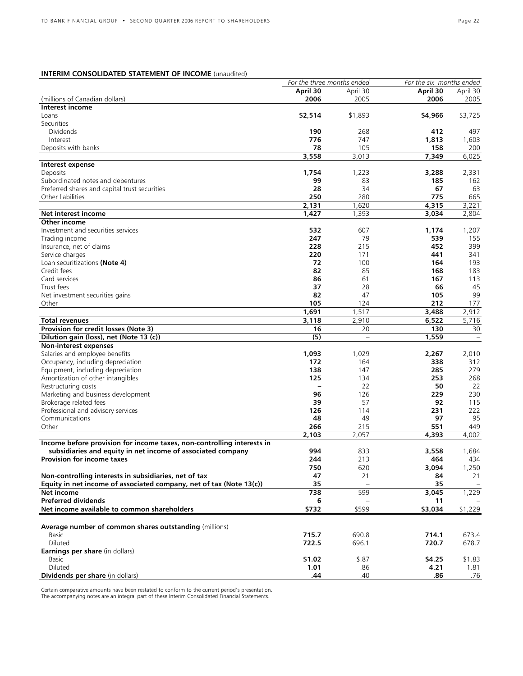### **INTERIM CONSOLIDATED STATEMENT OF INCOME** (unaudited)

|                                                                        | For the three months ended |          | For the six months ended |                   |
|------------------------------------------------------------------------|----------------------------|----------|--------------------------|-------------------|
|                                                                        | April 30                   | April 30 | April 30                 | April 30          |
| (millions of Canadian dollars)                                         | 2006                       | 2005     | 2006                     | 2005              |
| Interest income                                                        |                            |          |                          |                   |
| Loans                                                                  | \$2,514                    | \$1,893  | \$4,966                  | \$3,725           |
| Securities                                                             |                            |          |                          |                   |
| <b>Dividends</b>                                                       | 190                        | 268      | 412                      | 497               |
| Interest                                                               | 776                        | 747      | 1,813                    | 1,603             |
| Deposits with banks                                                    | 78                         | 105      | 158                      | 200               |
|                                                                        | 3,558                      | 3,013    | 7,349                    | 6,025             |
|                                                                        |                            |          |                          |                   |
| Interest expense                                                       |                            |          |                          |                   |
| Deposits                                                               | 1,754                      | 1,223    | 3,288                    | 2,331             |
| Subordinated notes and debentures                                      | 99                         | 83       | 185                      | 162               |
| Preferred shares and capital trust securities                          | 28                         | 34       | 67                       | 63                |
| Other liabilities                                                      | 250                        | 280      | 775                      | 665               |
|                                                                        | 2,131                      | 1,620    | 4,315                    | 3,221             |
| Net interest income                                                    | 1,427                      | 1,393    | 3,034                    | 2,804             |
| Other income                                                           |                            |          |                          |                   |
| Investment and securities services                                     | 532                        | 607      | 1,174                    | 1,207             |
| Trading income                                                         | 247                        | 79       | 539                      | 155               |
| Insurance, net of claims                                               | 228                        | 215      | 452                      | 399               |
| Service charges                                                        | 220                        | 171      | 441                      | 341               |
| Loan securitizations (Note 4)                                          | 72                         | 100      | 164                      | 193               |
| Credit fees                                                            | 82                         | 85       | 168                      | 183               |
| Card services                                                          | 86                         | 61       | 167                      | 113               |
|                                                                        |                            |          |                          |                   |
| Trust fees                                                             | 37                         | 28       | 66                       | 45                |
| Net investment securities gains                                        | 82                         | 47       | 105                      | 99                |
| Other                                                                  | 105                        | 124      | 212                      | 177               |
|                                                                        | 1,691                      | 1,517    | 3,488                    | 2,912             |
| <b>Total revenues</b>                                                  | 3,118                      | 2,910    | 6,522                    | 5,716             |
| Provision for credit losses (Note 3)                                   | 16                         | 20       | 130                      | 30                |
| Dilution gain (loss), net (Note 13 (c))                                | (5)                        | $\equiv$ | 1,559                    | $\qquad \qquad -$ |
| Non-interest expenses                                                  |                            |          |                          |                   |
| Salaries and employee benefits                                         | 1,093                      | 1,029    | 2,267                    | 2,010             |
| Occupancy, including depreciation                                      | 172                        | 164      | 338                      | 312               |
| Equipment, including depreciation                                      | 138                        | 147      | 285                      | 279               |
| Amortization of other intangibles                                      | 125                        | 134      | 253                      | 268               |
| Restructuring costs                                                    |                            | 22       | 50                       | 22                |
| Marketing and business development                                     | 96                         | 126      | 229                      | 230               |
| Brokerage related fees                                                 | 39                         | 57       | 92                       | 115               |
|                                                                        | 126                        | 114      | 231                      | 222               |
| Professional and advisory services<br>Communications                   |                            |          |                          |                   |
|                                                                        | 48                         | 49       | 97                       | 95                |
| Other                                                                  | 266                        | 215      | 551                      | 449               |
|                                                                        | 2,103                      | 2,057    | 4,393                    | 4,002             |
| Income before provision for income taxes, non-controlling interests in |                            |          |                          |                   |
| subsidiaries and equity in net income of associated company            | 994                        | 833      | 3,558                    | 1,684             |
| <b>Provision for income taxes</b>                                      | 244                        | 213      | 464                      | 434               |
|                                                                        | 750                        | 620      | 3,094                    | 1,250             |
| Non-controlling interests in subsidiaries, net of tax                  | 47                         | 21       | 84                       | 21                |
| Equity in net income of associated company, net of tax (Note 13(c))    | 35                         |          | 35                       |                   |
| Net income                                                             | 738                        | 599      | 3,045                    | 1,229             |
| <b>Preferred dividends</b>                                             | 6                          |          | 11                       |                   |
| Net income available to common shareholders                            | \$732                      | \$599    | $\frac{1}{53,034}$       | \$1,229           |
|                                                                        |                            |          |                          |                   |
|                                                                        |                            |          |                          |                   |
| Average number of common shares outstanding (millions)                 |                            |          |                          |                   |
| Basic                                                                  | 715.7                      | 690.8    | 714.1                    | 673.4             |
| Diluted                                                                | 722.5                      | 696.1    | 720.7                    | 678.7             |
| Earnings per share (in dollars)                                        |                            |          |                          |                   |
| Basic                                                                  | \$1.02                     | \$.87    | \$4.25                   | \$1.83            |
| Diluted                                                                | 1.01                       | .86      | 4.21                     | 1.81              |
| Dividends per share (in dollars)                                       | .44                        | .40      | .86                      | .76               |

Certain comparative amounts have been restated to conform to the current period's presentation.

The accompanying notes are an integral part of these Interim Consolidated Financial Statements.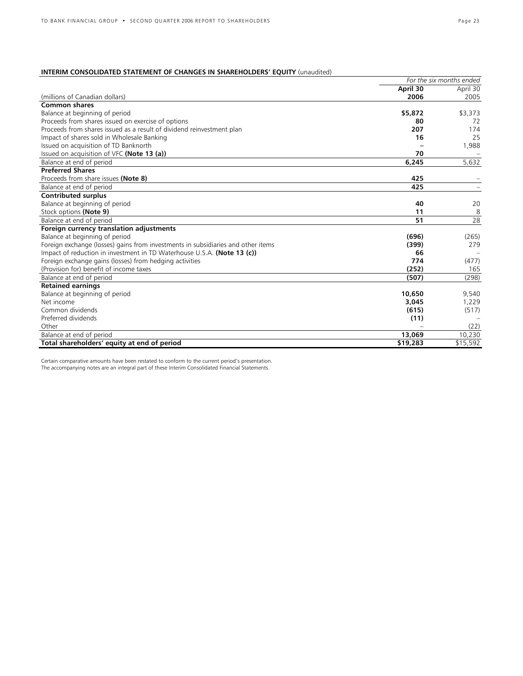### **INTERIM CONSOLIDATED STATEMENT OF CHANGES IN SHAREHOLDERS' EQUITY** (unaudited)

|                                                                                  |          | For the six months ended |
|----------------------------------------------------------------------------------|----------|--------------------------|
|                                                                                  | April 30 | April 30                 |
| (millions of Canadian dollars)                                                   | 2006     | 2005                     |
| <b>Common shares</b>                                                             |          |                          |
| Balance at beginning of period                                                   | \$5,872  | \$3,373                  |
| Proceeds from shares issued on exercise of options                               | 80       | 72                       |
| Proceeds from shares issued as a result of dividend reinvestment plan            | 207      | 174                      |
| Impact of shares sold in Wholesale Banking                                       | 16       | 25                       |
| Issued on acquisition of TD Banknorth                                            |          | 1,988                    |
| Issued on acquisition of VFC (Note 13 (a))                                       | 70       |                          |
| Balance at end of period                                                         | 6,245    | 5,632                    |
| <b>Preferred Shares</b>                                                          |          |                          |
| Proceeds from share issues (Note 8)                                              | 425      |                          |
| Balance at end of period                                                         | 425      |                          |
| <b>Contributed surplus</b>                                                       |          |                          |
| Balance at beginning of period                                                   | 40       | 20                       |
| Stock options (Note 9)                                                           | 11       | 8                        |
| Balance at end of period                                                         | 51       | 28                       |
| Foreign currency translation adjustments                                         |          |                          |
| Balance at beginning of period                                                   | (696)    | (265)                    |
| Foreign exchange (losses) gains from investments in subsidiaries and other items | (399)    | 279                      |
| Impact of reduction in investment in TD Waterhouse U.S.A. (Note 13 (c))          | 66       |                          |
| Foreign exchange gains (losses) from hedging activities                          | 774      | (477)                    |
| (Provision for) benefit of income taxes                                          | (252)    | 165                      |
| Balance at end of period                                                         | (507)    | (298)                    |
| <b>Retained earnings</b>                                                         |          |                          |
| Balance at beginning of period                                                   | 10,650   | 9,540                    |
| Net income                                                                       | 3,045    | 1,229                    |
| Common dividends                                                                 | (615)    | (517)                    |
| Preferred dividends                                                              | (11)     |                          |
| Other                                                                            |          | (22)                     |
| Balance at end of period                                                         | 13,069   | 10,230                   |
| Total shareholders' equity at end of period                                      | \$19,283 | \$15,592                 |

Certain comparative amounts have been restated to conform to the current period's presentation. The accompanying notes are an integral part of these Interim Consolidated Financial Statements.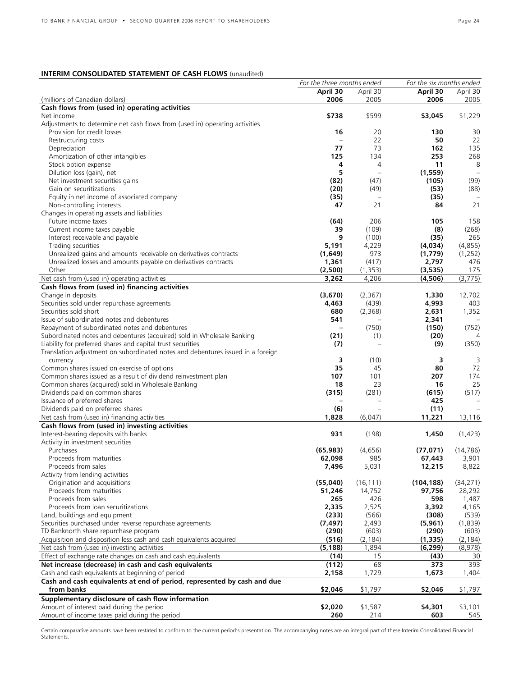### **INTERIM CONSOLIDATED STATEMENT OF CASH FLOWS** (unaudited)

| 2006<br>2006<br>(millions of Canadian dollars)<br>2005<br>2005<br>Cash flows from (used in) operating activities<br>\$3,045<br>Net income<br>\$738<br>\$599<br>\$1,229<br>Adjustments to determine net cash flows from (used in) operating activities<br>Provision for credit losses<br>16<br>20<br>130<br>30<br>Restructuring costs<br>22<br>50<br>22<br>$\equiv$<br>77<br>73<br>135<br>Depreciation<br>162<br>Amortization of other intangibles<br>125<br>134<br>253<br>268<br>8<br>Stock option expense<br>4<br>4<br>11<br>5<br>Dilution loss (gain), net<br>(1, 559)<br>$\overline{\phantom{a}}$<br>(82)<br>(47)<br>(105)<br>(99)<br>Net investment securities gains<br>Gain on securitizations<br>(53)<br>(88)<br>(20)<br>(49)<br>Equity in net income of associated company<br>(35)<br>(35)<br>21<br>Non-controlling interests<br>47<br>21<br>84<br>Changes in operating assets and liabilities<br>Future income taxes<br>206<br>105<br>158<br>(64)<br>39<br>(109)<br>(8)<br>(268)<br>Current income taxes payable<br>9<br>(35)<br>(100)<br>265<br>Interest receivable and payable<br>Trading securities<br>5,191<br>(4,034)<br>(4,855)<br>4,229<br>Unrealized gains and amounts receivable on derivatives contracts<br>(1,649)<br>973<br>(1,779)<br>(1,252)<br>Unrealized losses and amounts payable on derivatives contracts<br>1,361<br>(417)<br>2,797<br>476<br>(2,500)<br>(1, 353)<br>(3,535)<br>175<br>Other<br>(3,775)<br>3,262<br>4,206<br>(4,506)<br>Net cash from (used in) operating activities<br>Cash flows from (used in) financing activities<br>Change in deposits<br>(3,670)<br>1,330<br>12,702<br>(2,367)<br>Securities sold under repurchase agreements<br>4,463<br>(439)<br>4,993<br>403<br>Securities sold short<br>680<br>(2,368)<br>2,631<br>1,352<br>Issue of subordinated notes and debentures<br>541<br>2,341<br>Repayment of subordinated notes and debentures<br>(750)<br>(150)<br>(752)<br>$\qquad \qquad -$<br>Subordinated notes and debentures (acquired) sold in Wholesale Banking<br>(21)<br>(1)<br>(20)<br>4<br>Liability for preferred shares and capital trust securities<br>(350)<br>(7)<br>(9)<br>$\equiv$<br>Translation adjustment on subordinated notes and debentures issued in a foreign<br>3<br>з<br>(10)<br>3<br>currency<br>35<br>72<br>Common shares issued on exercise of options<br>45<br>80<br>Common shares issued as a result of dividend reinvestment plan<br>107<br>101<br>207<br>174<br>25<br>Common shares (acquired) sold in Wholesale Banking<br>18<br>23<br>16<br>Dividends paid on common shares<br>(315)<br>(281)<br>(615)<br>(517)<br>Issuance of preferred shares<br>425<br>Dividends paid on preferred shares<br>(11)<br>(6)<br>(6,047)<br>13,116<br>1,828<br>11,221<br>Net cash from (used in) financing activities<br>Cash flows from (used in) investing activities<br>Interest-bearing deposits with banks<br>931<br>(198)<br>1,450<br>(1, 423)<br>Activity in investment securities<br>Purchases<br>(77, 071)<br>(14, 786)<br>(65, 983)<br>(4,656)<br>Proceeds from maturities<br>62,098<br>985<br>3,901<br>67,443<br>Proceeds from sales<br>7,496<br>5,031<br>12,215<br>8,822<br>Activity from lending activities<br>Origination and acquisitions<br>(55,040)<br>(16, 111)<br>(104, 188)<br>(34, 271)<br>Proceeds from maturities<br>14,752<br>51,246<br>97,756<br>28,292<br>Proceeds from sales<br>265<br>426<br>598<br>1,487<br>Proceeds from loan securitizations<br>2,335<br>2,525<br>3,392<br>4,165<br>Land, buildings and equipment<br>(233)<br>(566)<br>(308)<br>(539)<br>Securities purchased under reverse repurchase agreements<br>(7, 497)<br>2,493<br>(5,961)<br>(1,839)<br>TD Banknorth share repurchase program<br>(290)<br>(603)<br>(290)<br>(603)<br>(2, 184)<br>Acquisition and disposition less cash and cash equivalents acquired<br>(516)<br>(1, 335)<br>(2, 184)<br>Net cash from (used in) investing activities<br>(5, 188)<br>1,894<br>(6, 299)<br>(8,978)<br>(14)<br>Effect of exchange rate changes on cash and cash equivalents<br>15<br>(43)<br>30<br>Net increase (decrease) in cash and cash equivalents<br>(112)<br>68<br>373<br>393<br>Cash and cash equivalents at beginning of period<br>2,158<br>1,729<br>1,673<br>1,404<br>Cash and cash equivalents at end of period, represented by cash and due<br>from banks<br>\$2,046<br>\$1,797<br>\$2,046<br>\$1,797<br>Supplementary disclosure of cash flow information<br>\$2,020<br>\$1,587<br>Amount of interest paid during the period<br>\$4,301<br>\$3,101<br>Amount of income taxes paid during the period<br>260<br>214<br>603<br>545 | For the three months ended |          | For the six months ended |          |
|---------------------------------------------------------------------------------------------------------------------------------------------------------------------------------------------------------------------------------------------------------------------------------------------------------------------------------------------------------------------------------------------------------------------------------------------------------------------------------------------------------------------------------------------------------------------------------------------------------------------------------------------------------------------------------------------------------------------------------------------------------------------------------------------------------------------------------------------------------------------------------------------------------------------------------------------------------------------------------------------------------------------------------------------------------------------------------------------------------------------------------------------------------------------------------------------------------------------------------------------------------------------------------------------------------------------------------------------------------------------------------------------------------------------------------------------------------------------------------------------------------------------------------------------------------------------------------------------------------------------------------------------------------------------------------------------------------------------------------------------------------------------------------------------------------------------------------------------------------------------------------------------------------------------------------------------------------------------------------------------------------------------------------------------------------------------------------------------------------------------------------------------------------------------------------------------------------------------------------------------------------------------------------------------------------------------------------------------------------------------------------------------------------------------------------------------------------------------------------------------------------------------------------------------------------------------------------------------------------------------------------------------------------------------------------------------------------------------------------------------------------------------------------------------------------------------------------------------------------------------------------------------------------------------------------------------------------------------------------------------------------------------------------------------------------------------------------------------------------------------------------------------------------------------------------------------------------------------------------------------------------------------------------------------------------------------------------------------------------------------------------------------------------------------------------------------------------------------------------------------------------------------------------------------------------------------------------------------------------------------------------------------------------------------------------------------------------------------------------------------------------------------------------------------------------------------------------------------------------------------------------------------------------------------------------------------------------------------------------------------------------------------------------------------------------------------------------------------------------------------------------------------------------------------------------------------------------------------------------------------------------------------------------------------------------------------------------------------------------------------------------------------------------------------------------------------------------------------------------------------------------------------------------------------------------------------------------------------------------|----------------------------|----------|--------------------------|----------|
|                                                                                                                                                                                                                                                                                                                                                                                                                                                                                                                                                                                                                                                                                                                                                                                                                                                                                                                                                                                                                                                                                                                                                                                                                                                                                                                                                                                                                                                                                                                                                                                                                                                                                                                                                                                                                                                                                                                                                                                                                                                                                                                                                                                                                                                                                                                                                                                                                                                                                                                                                                                                                                                                                                                                                                                                                                                                                                                                                                                                                                                                                                                                                                                                                                                                                                                                                                                                                                                                                                                                                                                                                                                                                                                                                                                                                                                                                                                                                                                                                                                                                                                                                                                                                                                                                                                                                                                                                                                                                                                                                                                                         | April 30                   | April 30 | April 30                 | April 30 |
|                                                                                                                                                                                                                                                                                                                                                                                                                                                                                                                                                                                                                                                                                                                                                                                                                                                                                                                                                                                                                                                                                                                                                                                                                                                                                                                                                                                                                                                                                                                                                                                                                                                                                                                                                                                                                                                                                                                                                                                                                                                                                                                                                                                                                                                                                                                                                                                                                                                                                                                                                                                                                                                                                                                                                                                                                                                                                                                                                                                                                                                                                                                                                                                                                                                                                                                                                                                                                                                                                                                                                                                                                                                                                                                                                                                                                                                                                                                                                                                                                                                                                                                                                                                                                                                                                                                                                                                                                                                                                                                                                                                                         |                            |          |                          |          |
|                                                                                                                                                                                                                                                                                                                                                                                                                                                                                                                                                                                                                                                                                                                                                                                                                                                                                                                                                                                                                                                                                                                                                                                                                                                                                                                                                                                                                                                                                                                                                                                                                                                                                                                                                                                                                                                                                                                                                                                                                                                                                                                                                                                                                                                                                                                                                                                                                                                                                                                                                                                                                                                                                                                                                                                                                                                                                                                                                                                                                                                                                                                                                                                                                                                                                                                                                                                                                                                                                                                                                                                                                                                                                                                                                                                                                                                                                                                                                                                                                                                                                                                                                                                                                                                                                                                                                                                                                                                                                                                                                                                                         |                            |          |                          |          |
|                                                                                                                                                                                                                                                                                                                                                                                                                                                                                                                                                                                                                                                                                                                                                                                                                                                                                                                                                                                                                                                                                                                                                                                                                                                                                                                                                                                                                                                                                                                                                                                                                                                                                                                                                                                                                                                                                                                                                                                                                                                                                                                                                                                                                                                                                                                                                                                                                                                                                                                                                                                                                                                                                                                                                                                                                                                                                                                                                                                                                                                                                                                                                                                                                                                                                                                                                                                                                                                                                                                                                                                                                                                                                                                                                                                                                                                                                                                                                                                                                                                                                                                                                                                                                                                                                                                                                                                                                                                                                                                                                                                                         |                            |          |                          |          |
|                                                                                                                                                                                                                                                                                                                                                                                                                                                                                                                                                                                                                                                                                                                                                                                                                                                                                                                                                                                                                                                                                                                                                                                                                                                                                                                                                                                                                                                                                                                                                                                                                                                                                                                                                                                                                                                                                                                                                                                                                                                                                                                                                                                                                                                                                                                                                                                                                                                                                                                                                                                                                                                                                                                                                                                                                                                                                                                                                                                                                                                                                                                                                                                                                                                                                                                                                                                                                                                                                                                                                                                                                                                                                                                                                                                                                                                                                                                                                                                                                                                                                                                                                                                                                                                                                                                                                                                                                                                                                                                                                                                                         |                            |          |                          |          |
|                                                                                                                                                                                                                                                                                                                                                                                                                                                                                                                                                                                                                                                                                                                                                                                                                                                                                                                                                                                                                                                                                                                                                                                                                                                                                                                                                                                                                                                                                                                                                                                                                                                                                                                                                                                                                                                                                                                                                                                                                                                                                                                                                                                                                                                                                                                                                                                                                                                                                                                                                                                                                                                                                                                                                                                                                                                                                                                                                                                                                                                                                                                                                                                                                                                                                                                                                                                                                                                                                                                                                                                                                                                                                                                                                                                                                                                                                                                                                                                                                                                                                                                                                                                                                                                                                                                                                                                                                                                                                                                                                                                                         |                            |          |                          |          |
|                                                                                                                                                                                                                                                                                                                                                                                                                                                                                                                                                                                                                                                                                                                                                                                                                                                                                                                                                                                                                                                                                                                                                                                                                                                                                                                                                                                                                                                                                                                                                                                                                                                                                                                                                                                                                                                                                                                                                                                                                                                                                                                                                                                                                                                                                                                                                                                                                                                                                                                                                                                                                                                                                                                                                                                                                                                                                                                                                                                                                                                                                                                                                                                                                                                                                                                                                                                                                                                                                                                                                                                                                                                                                                                                                                                                                                                                                                                                                                                                                                                                                                                                                                                                                                                                                                                                                                                                                                                                                                                                                                                                         |                            |          |                          |          |
|                                                                                                                                                                                                                                                                                                                                                                                                                                                                                                                                                                                                                                                                                                                                                                                                                                                                                                                                                                                                                                                                                                                                                                                                                                                                                                                                                                                                                                                                                                                                                                                                                                                                                                                                                                                                                                                                                                                                                                                                                                                                                                                                                                                                                                                                                                                                                                                                                                                                                                                                                                                                                                                                                                                                                                                                                                                                                                                                                                                                                                                                                                                                                                                                                                                                                                                                                                                                                                                                                                                                                                                                                                                                                                                                                                                                                                                                                                                                                                                                                                                                                                                                                                                                                                                                                                                                                                                                                                                                                                                                                                                                         |                            |          |                          |          |
|                                                                                                                                                                                                                                                                                                                                                                                                                                                                                                                                                                                                                                                                                                                                                                                                                                                                                                                                                                                                                                                                                                                                                                                                                                                                                                                                                                                                                                                                                                                                                                                                                                                                                                                                                                                                                                                                                                                                                                                                                                                                                                                                                                                                                                                                                                                                                                                                                                                                                                                                                                                                                                                                                                                                                                                                                                                                                                                                                                                                                                                                                                                                                                                                                                                                                                                                                                                                                                                                                                                                                                                                                                                                                                                                                                                                                                                                                                                                                                                                                                                                                                                                                                                                                                                                                                                                                                                                                                                                                                                                                                                                         |                            |          |                          |          |
|                                                                                                                                                                                                                                                                                                                                                                                                                                                                                                                                                                                                                                                                                                                                                                                                                                                                                                                                                                                                                                                                                                                                                                                                                                                                                                                                                                                                                                                                                                                                                                                                                                                                                                                                                                                                                                                                                                                                                                                                                                                                                                                                                                                                                                                                                                                                                                                                                                                                                                                                                                                                                                                                                                                                                                                                                                                                                                                                                                                                                                                                                                                                                                                                                                                                                                                                                                                                                                                                                                                                                                                                                                                                                                                                                                                                                                                                                                                                                                                                                                                                                                                                                                                                                                                                                                                                                                                                                                                                                                                                                                                                         |                            |          |                          |          |
|                                                                                                                                                                                                                                                                                                                                                                                                                                                                                                                                                                                                                                                                                                                                                                                                                                                                                                                                                                                                                                                                                                                                                                                                                                                                                                                                                                                                                                                                                                                                                                                                                                                                                                                                                                                                                                                                                                                                                                                                                                                                                                                                                                                                                                                                                                                                                                                                                                                                                                                                                                                                                                                                                                                                                                                                                                                                                                                                                                                                                                                                                                                                                                                                                                                                                                                                                                                                                                                                                                                                                                                                                                                                                                                                                                                                                                                                                                                                                                                                                                                                                                                                                                                                                                                                                                                                                                                                                                                                                                                                                                                                         |                            |          |                          |          |
|                                                                                                                                                                                                                                                                                                                                                                                                                                                                                                                                                                                                                                                                                                                                                                                                                                                                                                                                                                                                                                                                                                                                                                                                                                                                                                                                                                                                                                                                                                                                                                                                                                                                                                                                                                                                                                                                                                                                                                                                                                                                                                                                                                                                                                                                                                                                                                                                                                                                                                                                                                                                                                                                                                                                                                                                                                                                                                                                                                                                                                                                                                                                                                                                                                                                                                                                                                                                                                                                                                                                                                                                                                                                                                                                                                                                                                                                                                                                                                                                                                                                                                                                                                                                                                                                                                                                                                                                                                                                                                                                                                                                         |                            |          |                          |          |
|                                                                                                                                                                                                                                                                                                                                                                                                                                                                                                                                                                                                                                                                                                                                                                                                                                                                                                                                                                                                                                                                                                                                                                                                                                                                                                                                                                                                                                                                                                                                                                                                                                                                                                                                                                                                                                                                                                                                                                                                                                                                                                                                                                                                                                                                                                                                                                                                                                                                                                                                                                                                                                                                                                                                                                                                                                                                                                                                                                                                                                                                                                                                                                                                                                                                                                                                                                                                                                                                                                                                                                                                                                                                                                                                                                                                                                                                                                                                                                                                                                                                                                                                                                                                                                                                                                                                                                                                                                                                                                                                                                                                         |                            |          |                          |          |
|                                                                                                                                                                                                                                                                                                                                                                                                                                                                                                                                                                                                                                                                                                                                                                                                                                                                                                                                                                                                                                                                                                                                                                                                                                                                                                                                                                                                                                                                                                                                                                                                                                                                                                                                                                                                                                                                                                                                                                                                                                                                                                                                                                                                                                                                                                                                                                                                                                                                                                                                                                                                                                                                                                                                                                                                                                                                                                                                                                                                                                                                                                                                                                                                                                                                                                                                                                                                                                                                                                                                                                                                                                                                                                                                                                                                                                                                                                                                                                                                                                                                                                                                                                                                                                                                                                                                                                                                                                                                                                                                                                                                         |                            |          |                          |          |
|                                                                                                                                                                                                                                                                                                                                                                                                                                                                                                                                                                                                                                                                                                                                                                                                                                                                                                                                                                                                                                                                                                                                                                                                                                                                                                                                                                                                                                                                                                                                                                                                                                                                                                                                                                                                                                                                                                                                                                                                                                                                                                                                                                                                                                                                                                                                                                                                                                                                                                                                                                                                                                                                                                                                                                                                                                                                                                                                                                                                                                                                                                                                                                                                                                                                                                                                                                                                                                                                                                                                                                                                                                                                                                                                                                                                                                                                                                                                                                                                                                                                                                                                                                                                                                                                                                                                                                                                                                                                                                                                                                                                         |                            |          |                          |          |
|                                                                                                                                                                                                                                                                                                                                                                                                                                                                                                                                                                                                                                                                                                                                                                                                                                                                                                                                                                                                                                                                                                                                                                                                                                                                                                                                                                                                                                                                                                                                                                                                                                                                                                                                                                                                                                                                                                                                                                                                                                                                                                                                                                                                                                                                                                                                                                                                                                                                                                                                                                                                                                                                                                                                                                                                                                                                                                                                                                                                                                                                                                                                                                                                                                                                                                                                                                                                                                                                                                                                                                                                                                                                                                                                                                                                                                                                                                                                                                                                                                                                                                                                                                                                                                                                                                                                                                                                                                                                                                                                                                                                         |                            |          |                          |          |
|                                                                                                                                                                                                                                                                                                                                                                                                                                                                                                                                                                                                                                                                                                                                                                                                                                                                                                                                                                                                                                                                                                                                                                                                                                                                                                                                                                                                                                                                                                                                                                                                                                                                                                                                                                                                                                                                                                                                                                                                                                                                                                                                                                                                                                                                                                                                                                                                                                                                                                                                                                                                                                                                                                                                                                                                                                                                                                                                                                                                                                                                                                                                                                                                                                                                                                                                                                                                                                                                                                                                                                                                                                                                                                                                                                                                                                                                                                                                                                                                                                                                                                                                                                                                                                                                                                                                                                                                                                                                                                                                                                                                         |                            |          |                          |          |
|                                                                                                                                                                                                                                                                                                                                                                                                                                                                                                                                                                                                                                                                                                                                                                                                                                                                                                                                                                                                                                                                                                                                                                                                                                                                                                                                                                                                                                                                                                                                                                                                                                                                                                                                                                                                                                                                                                                                                                                                                                                                                                                                                                                                                                                                                                                                                                                                                                                                                                                                                                                                                                                                                                                                                                                                                                                                                                                                                                                                                                                                                                                                                                                                                                                                                                                                                                                                                                                                                                                                                                                                                                                                                                                                                                                                                                                                                                                                                                                                                                                                                                                                                                                                                                                                                                                                                                                                                                                                                                                                                                                                         |                            |          |                          |          |
|                                                                                                                                                                                                                                                                                                                                                                                                                                                                                                                                                                                                                                                                                                                                                                                                                                                                                                                                                                                                                                                                                                                                                                                                                                                                                                                                                                                                                                                                                                                                                                                                                                                                                                                                                                                                                                                                                                                                                                                                                                                                                                                                                                                                                                                                                                                                                                                                                                                                                                                                                                                                                                                                                                                                                                                                                                                                                                                                                                                                                                                                                                                                                                                                                                                                                                                                                                                                                                                                                                                                                                                                                                                                                                                                                                                                                                                                                                                                                                                                                                                                                                                                                                                                                                                                                                                                                                                                                                                                                                                                                                                                         |                            |          |                          |          |
|                                                                                                                                                                                                                                                                                                                                                                                                                                                                                                                                                                                                                                                                                                                                                                                                                                                                                                                                                                                                                                                                                                                                                                                                                                                                                                                                                                                                                                                                                                                                                                                                                                                                                                                                                                                                                                                                                                                                                                                                                                                                                                                                                                                                                                                                                                                                                                                                                                                                                                                                                                                                                                                                                                                                                                                                                                                                                                                                                                                                                                                                                                                                                                                                                                                                                                                                                                                                                                                                                                                                                                                                                                                                                                                                                                                                                                                                                                                                                                                                                                                                                                                                                                                                                                                                                                                                                                                                                                                                                                                                                                                                         |                            |          |                          |          |
|                                                                                                                                                                                                                                                                                                                                                                                                                                                                                                                                                                                                                                                                                                                                                                                                                                                                                                                                                                                                                                                                                                                                                                                                                                                                                                                                                                                                                                                                                                                                                                                                                                                                                                                                                                                                                                                                                                                                                                                                                                                                                                                                                                                                                                                                                                                                                                                                                                                                                                                                                                                                                                                                                                                                                                                                                                                                                                                                                                                                                                                                                                                                                                                                                                                                                                                                                                                                                                                                                                                                                                                                                                                                                                                                                                                                                                                                                                                                                                                                                                                                                                                                                                                                                                                                                                                                                                                                                                                                                                                                                                                                         |                            |          |                          |          |
|                                                                                                                                                                                                                                                                                                                                                                                                                                                                                                                                                                                                                                                                                                                                                                                                                                                                                                                                                                                                                                                                                                                                                                                                                                                                                                                                                                                                                                                                                                                                                                                                                                                                                                                                                                                                                                                                                                                                                                                                                                                                                                                                                                                                                                                                                                                                                                                                                                                                                                                                                                                                                                                                                                                                                                                                                                                                                                                                                                                                                                                                                                                                                                                                                                                                                                                                                                                                                                                                                                                                                                                                                                                                                                                                                                                                                                                                                                                                                                                                                                                                                                                                                                                                                                                                                                                                                                                                                                                                                                                                                                                                         |                            |          |                          |          |
|                                                                                                                                                                                                                                                                                                                                                                                                                                                                                                                                                                                                                                                                                                                                                                                                                                                                                                                                                                                                                                                                                                                                                                                                                                                                                                                                                                                                                                                                                                                                                                                                                                                                                                                                                                                                                                                                                                                                                                                                                                                                                                                                                                                                                                                                                                                                                                                                                                                                                                                                                                                                                                                                                                                                                                                                                                                                                                                                                                                                                                                                                                                                                                                                                                                                                                                                                                                                                                                                                                                                                                                                                                                                                                                                                                                                                                                                                                                                                                                                                                                                                                                                                                                                                                                                                                                                                                                                                                                                                                                                                                                                         |                            |          |                          |          |
|                                                                                                                                                                                                                                                                                                                                                                                                                                                                                                                                                                                                                                                                                                                                                                                                                                                                                                                                                                                                                                                                                                                                                                                                                                                                                                                                                                                                                                                                                                                                                                                                                                                                                                                                                                                                                                                                                                                                                                                                                                                                                                                                                                                                                                                                                                                                                                                                                                                                                                                                                                                                                                                                                                                                                                                                                                                                                                                                                                                                                                                                                                                                                                                                                                                                                                                                                                                                                                                                                                                                                                                                                                                                                                                                                                                                                                                                                                                                                                                                                                                                                                                                                                                                                                                                                                                                                                                                                                                                                                                                                                                                         |                            |          |                          |          |
|                                                                                                                                                                                                                                                                                                                                                                                                                                                                                                                                                                                                                                                                                                                                                                                                                                                                                                                                                                                                                                                                                                                                                                                                                                                                                                                                                                                                                                                                                                                                                                                                                                                                                                                                                                                                                                                                                                                                                                                                                                                                                                                                                                                                                                                                                                                                                                                                                                                                                                                                                                                                                                                                                                                                                                                                                                                                                                                                                                                                                                                                                                                                                                                                                                                                                                                                                                                                                                                                                                                                                                                                                                                                                                                                                                                                                                                                                                                                                                                                                                                                                                                                                                                                                                                                                                                                                                                                                                                                                                                                                                                                         |                            |          |                          |          |
|                                                                                                                                                                                                                                                                                                                                                                                                                                                                                                                                                                                                                                                                                                                                                                                                                                                                                                                                                                                                                                                                                                                                                                                                                                                                                                                                                                                                                                                                                                                                                                                                                                                                                                                                                                                                                                                                                                                                                                                                                                                                                                                                                                                                                                                                                                                                                                                                                                                                                                                                                                                                                                                                                                                                                                                                                                                                                                                                                                                                                                                                                                                                                                                                                                                                                                                                                                                                                                                                                                                                                                                                                                                                                                                                                                                                                                                                                                                                                                                                                                                                                                                                                                                                                                                                                                                                                                                                                                                                                                                                                                                                         |                            |          |                          |          |
|                                                                                                                                                                                                                                                                                                                                                                                                                                                                                                                                                                                                                                                                                                                                                                                                                                                                                                                                                                                                                                                                                                                                                                                                                                                                                                                                                                                                                                                                                                                                                                                                                                                                                                                                                                                                                                                                                                                                                                                                                                                                                                                                                                                                                                                                                                                                                                                                                                                                                                                                                                                                                                                                                                                                                                                                                                                                                                                                                                                                                                                                                                                                                                                                                                                                                                                                                                                                                                                                                                                                                                                                                                                                                                                                                                                                                                                                                                                                                                                                                                                                                                                                                                                                                                                                                                                                                                                                                                                                                                                                                                                                         |                            |          |                          |          |
|                                                                                                                                                                                                                                                                                                                                                                                                                                                                                                                                                                                                                                                                                                                                                                                                                                                                                                                                                                                                                                                                                                                                                                                                                                                                                                                                                                                                                                                                                                                                                                                                                                                                                                                                                                                                                                                                                                                                                                                                                                                                                                                                                                                                                                                                                                                                                                                                                                                                                                                                                                                                                                                                                                                                                                                                                                                                                                                                                                                                                                                                                                                                                                                                                                                                                                                                                                                                                                                                                                                                                                                                                                                                                                                                                                                                                                                                                                                                                                                                                                                                                                                                                                                                                                                                                                                                                                                                                                                                                                                                                                                                         |                            |          |                          |          |
|                                                                                                                                                                                                                                                                                                                                                                                                                                                                                                                                                                                                                                                                                                                                                                                                                                                                                                                                                                                                                                                                                                                                                                                                                                                                                                                                                                                                                                                                                                                                                                                                                                                                                                                                                                                                                                                                                                                                                                                                                                                                                                                                                                                                                                                                                                                                                                                                                                                                                                                                                                                                                                                                                                                                                                                                                                                                                                                                                                                                                                                                                                                                                                                                                                                                                                                                                                                                                                                                                                                                                                                                                                                                                                                                                                                                                                                                                                                                                                                                                                                                                                                                                                                                                                                                                                                                                                                                                                                                                                                                                                                                         |                            |          |                          |          |
|                                                                                                                                                                                                                                                                                                                                                                                                                                                                                                                                                                                                                                                                                                                                                                                                                                                                                                                                                                                                                                                                                                                                                                                                                                                                                                                                                                                                                                                                                                                                                                                                                                                                                                                                                                                                                                                                                                                                                                                                                                                                                                                                                                                                                                                                                                                                                                                                                                                                                                                                                                                                                                                                                                                                                                                                                                                                                                                                                                                                                                                                                                                                                                                                                                                                                                                                                                                                                                                                                                                                                                                                                                                                                                                                                                                                                                                                                                                                                                                                                                                                                                                                                                                                                                                                                                                                                                                                                                                                                                                                                                                                         |                            |          |                          |          |
|                                                                                                                                                                                                                                                                                                                                                                                                                                                                                                                                                                                                                                                                                                                                                                                                                                                                                                                                                                                                                                                                                                                                                                                                                                                                                                                                                                                                                                                                                                                                                                                                                                                                                                                                                                                                                                                                                                                                                                                                                                                                                                                                                                                                                                                                                                                                                                                                                                                                                                                                                                                                                                                                                                                                                                                                                                                                                                                                                                                                                                                                                                                                                                                                                                                                                                                                                                                                                                                                                                                                                                                                                                                                                                                                                                                                                                                                                                                                                                                                                                                                                                                                                                                                                                                                                                                                                                                                                                                                                                                                                                                                         |                            |          |                          |          |
|                                                                                                                                                                                                                                                                                                                                                                                                                                                                                                                                                                                                                                                                                                                                                                                                                                                                                                                                                                                                                                                                                                                                                                                                                                                                                                                                                                                                                                                                                                                                                                                                                                                                                                                                                                                                                                                                                                                                                                                                                                                                                                                                                                                                                                                                                                                                                                                                                                                                                                                                                                                                                                                                                                                                                                                                                                                                                                                                                                                                                                                                                                                                                                                                                                                                                                                                                                                                                                                                                                                                                                                                                                                                                                                                                                                                                                                                                                                                                                                                                                                                                                                                                                                                                                                                                                                                                                                                                                                                                                                                                                                                         |                            |          |                          |          |
|                                                                                                                                                                                                                                                                                                                                                                                                                                                                                                                                                                                                                                                                                                                                                                                                                                                                                                                                                                                                                                                                                                                                                                                                                                                                                                                                                                                                                                                                                                                                                                                                                                                                                                                                                                                                                                                                                                                                                                                                                                                                                                                                                                                                                                                                                                                                                                                                                                                                                                                                                                                                                                                                                                                                                                                                                                                                                                                                                                                                                                                                                                                                                                                                                                                                                                                                                                                                                                                                                                                                                                                                                                                                                                                                                                                                                                                                                                                                                                                                                                                                                                                                                                                                                                                                                                                                                                                                                                                                                                                                                                                                         |                            |          |                          |          |
|                                                                                                                                                                                                                                                                                                                                                                                                                                                                                                                                                                                                                                                                                                                                                                                                                                                                                                                                                                                                                                                                                                                                                                                                                                                                                                                                                                                                                                                                                                                                                                                                                                                                                                                                                                                                                                                                                                                                                                                                                                                                                                                                                                                                                                                                                                                                                                                                                                                                                                                                                                                                                                                                                                                                                                                                                                                                                                                                                                                                                                                                                                                                                                                                                                                                                                                                                                                                                                                                                                                                                                                                                                                                                                                                                                                                                                                                                                                                                                                                                                                                                                                                                                                                                                                                                                                                                                                                                                                                                                                                                                                                         |                            |          |                          |          |
|                                                                                                                                                                                                                                                                                                                                                                                                                                                                                                                                                                                                                                                                                                                                                                                                                                                                                                                                                                                                                                                                                                                                                                                                                                                                                                                                                                                                                                                                                                                                                                                                                                                                                                                                                                                                                                                                                                                                                                                                                                                                                                                                                                                                                                                                                                                                                                                                                                                                                                                                                                                                                                                                                                                                                                                                                                                                                                                                                                                                                                                                                                                                                                                                                                                                                                                                                                                                                                                                                                                                                                                                                                                                                                                                                                                                                                                                                                                                                                                                                                                                                                                                                                                                                                                                                                                                                                                                                                                                                                                                                                                                         |                            |          |                          |          |
|                                                                                                                                                                                                                                                                                                                                                                                                                                                                                                                                                                                                                                                                                                                                                                                                                                                                                                                                                                                                                                                                                                                                                                                                                                                                                                                                                                                                                                                                                                                                                                                                                                                                                                                                                                                                                                                                                                                                                                                                                                                                                                                                                                                                                                                                                                                                                                                                                                                                                                                                                                                                                                                                                                                                                                                                                                                                                                                                                                                                                                                                                                                                                                                                                                                                                                                                                                                                                                                                                                                                                                                                                                                                                                                                                                                                                                                                                                                                                                                                                                                                                                                                                                                                                                                                                                                                                                                                                                                                                                                                                                                                         |                            |          |                          |          |
|                                                                                                                                                                                                                                                                                                                                                                                                                                                                                                                                                                                                                                                                                                                                                                                                                                                                                                                                                                                                                                                                                                                                                                                                                                                                                                                                                                                                                                                                                                                                                                                                                                                                                                                                                                                                                                                                                                                                                                                                                                                                                                                                                                                                                                                                                                                                                                                                                                                                                                                                                                                                                                                                                                                                                                                                                                                                                                                                                                                                                                                                                                                                                                                                                                                                                                                                                                                                                                                                                                                                                                                                                                                                                                                                                                                                                                                                                                                                                                                                                                                                                                                                                                                                                                                                                                                                                                                                                                                                                                                                                                                                         |                            |          |                          |          |
|                                                                                                                                                                                                                                                                                                                                                                                                                                                                                                                                                                                                                                                                                                                                                                                                                                                                                                                                                                                                                                                                                                                                                                                                                                                                                                                                                                                                                                                                                                                                                                                                                                                                                                                                                                                                                                                                                                                                                                                                                                                                                                                                                                                                                                                                                                                                                                                                                                                                                                                                                                                                                                                                                                                                                                                                                                                                                                                                                                                                                                                                                                                                                                                                                                                                                                                                                                                                                                                                                                                                                                                                                                                                                                                                                                                                                                                                                                                                                                                                                                                                                                                                                                                                                                                                                                                                                                                                                                                                                                                                                                                                         |                            |          |                          |          |
|                                                                                                                                                                                                                                                                                                                                                                                                                                                                                                                                                                                                                                                                                                                                                                                                                                                                                                                                                                                                                                                                                                                                                                                                                                                                                                                                                                                                                                                                                                                                                                                                                                                                                                                                                                                                                                                                                                                                                                                                                                                                                                                                                                                                                                                                                                                                                                                                                                                                                                                                                                                                                                                                                                                                                                                                                                                                                                                                                                                                                                                                                                                                                                                                                                                                                                                                                                                                                                                                                                                                                                                                                                                                                                                                                                                                                                                                                                                                                                                                                                                                                                                                                                                                                                                                                                                                                                                                                                                                                                                                                                                                         |                            |          |                          |          |
|                                                                                                                                                                                                                                                                                                                                                                                                                                                                                                                                                                                                                                                                                                                                                                                                                                                                                                                                                                                                                                                                                                                                                                                                                                                                                                                                                                                                                                                                                                                                                                                                                                                                                                                                                                                                                                                                                                                                                                                                                                                                                                                                                                                                                                                                                                                                                                                                                                                                                                                                                                                                                                                                                                                                                                                                                                                                                                                                                                                                                                                                                                                                                                                                                                                                                                                                                                                                                                                                                                                                                                                                                                                                                                                                                                                                                                                                                                                                                                                                                                                                                                                                                                                                                                                                                                                                                                                                                                                                                                                                                                                                         |                            |          |                          |          |
|                                                                                                                                                                                                                                                                                                                                                                                                                                                                                                                                                                                                                                                                                                                                                                                                                                                                                                                                                                                                                                                                                                                                                                                                                                                                                                                                                                                                                                                                                                                                                                                                                                                                                                                                                                                                                                                                                                                                                                                                                                                                                                                                                                                                                                                                                                                                                                                                                                                                                                                                                                                                                                                                                                                                                                                                                                                                                                                                                                                                                                                                                                                                                                                                                                                                                                                                                                                                                                                                                                                                                                                                                                                                                                                                                                                                                                                                                                                                                                                                                                                                                                                                                                                                                                                                                                                                                                                                                                                                                                                                                                                                         |                            |          |                          |          |
|                                                                                                                                                                                                                                                                                                                                                                                                                                                                                                                                                                                                                                                                                                                                                                                                                                                                                                                                                                                                                                                                                                                                                                                                                                                                                                                                                                                                                                                                                                                                                                                                                                                                                                                                                                                                                                                                                                                                                                                                                                                                                                                                                                                                                                                                                                                                                                                                                                                                                                                                                                                                                                                                                                                                                                                                                                                                                                                                                                                                                                                                                                                                                                                                                                                                                                                                                                                                                                                                                                                                                                                                                                                                                                                                                                                                                                                                                                                                                                                                                                                                                                                                                                                                                                                                                                                                                                                                                                                                                                                                                                                                         |                            |          |                          |          |
|                                                                                                                                                                                                                                                                                                                                                                                                                                                                                                                                                                                                                                                                                                                                                                                                                                                                                                                                                                                                                                                                                                                                                                                                                                                                                                                                                                                                                                                                                                                                                                                                                                                                                                                                                                                                                                                                                                                                                                                                                                                                                                                                                                                                                                                                                                                                                                                                                                                                                                                                                                                                                                                                                                                                                                                                                                                                                                                                                                                                                                                                                                                                                                                                                                                                                                                                                                                                                                                                                                                                                                                                                                                                                                                                                                                                                                                                                                                                                                                                                                                                                                                                                                                                                                                                                                                                                                                                                                                                                                                                                                                                         |                            |          |                          |          |
|                                                                                                                                                                                                                                                                                                                                                                                                                                                                                                                                                                                                                                                                                                                                                                                                                                                                                                                                                                                                                                                                                                                                                                                                                                                                                                                                                                                                                                                                                                                                                                                                                                                                                                                                                                                                                                                                                                                                                                                                                                                                                                                                                                                                                                                                                                                                                                                                                                                                                                                                                                                                                                                                                                                                                                                                                                                                                                                                                                                                                                                                                                                                                                                                                                                                                                                                                                                                                                                                                                                                                                                                                                                                                                                                                                                                                                                                                                                                                                                                                                                                                                                                                                                                                                                                                                                                                                                                                                                                                                                                                                                                         |                            |          |                          |          |
|                                                                                                                                                                                                                                                                                                                                                                                                                                                                                                                                                                                                                                                                                                                                                                                                                                                                                                                                                                                                                                                                                                                                                                                                                                                                                                                                                                                                                                                                                                                                                                                                                                                                                                                                                                                                                                                                                                                                                                                                                                                                                                                                                                                                                                                                                                                                                                                                                                                                                                                                                                                                                                                                                                                                                                                                                                                                                                                                                                                                                                                                                                                                                                                                                                                                                                                                                                                                                                                                                                                                                                                                                                                                                                                                                                                                                                                                                                                                                                                                                                                                                                                                                                                                                                                                                                                                                                                                                                                                                                                                                                                                         |                            |          |                          |          |
|                                                                                                                                                                                                                                                                                                                                                                                                                                                                                                                                                                                                                                                                                                                                                                                                                                                                                                                                                                                                                                                                                                                                                                                                                                                                                                                                                                                                                                                                                                                                                                                                                                                                                                                                                                                                                                                                                                                                                                                                                                                                                                                                                                                                                                                                                                                                                                                                                                                                                                                                                                                                                                                                                                                                                                                                                                                                                                                                                                                                                                                                                                                                                                                                                                                                                                                                                                                                                                                                                                                                                                                                                                                                                                                                                                                                                                                                                                                                                                                                                                                                                                                                                                                                                                                                                                                                                                                                                                                                                                                                                                                                         |                            |          |                          |          |
|                                                                                                                                                                                                                                                                                                                                                                                                                                                                                                                                                                                                                                                                                                                                                                                                                                                                                                                                                                                                                                                                                                                                                                                                                                                                                                                                                                                                                                                                                                                                                                                                                                                                                                                                                                                                                                                                                                                                                                                                                                                                                                                                                                                                                                                                                                                                                                                                                                                                                                                                                                                                                                                                                                                                                                                                                                                                                                                                                                                                                                                                                                                                                                                                                                                                                                                                                                                                                                                                                                                                                                                                                                                                                                                                                                                                                                                                                                                                                                                                                                                                                                                                                                                                                                                                                                                                                                                                                                                                                                                                                                                                         |                            |          |                          |          |
|                                                                                                                                                                                                                                                                                                                                                                                                                                                                                                                                                                                                                                                                                                                                                                                                                                                                                                                                                                                                                                                                                                                                                                                                                                                                                                                                                                                                                                                                                                                                                                                                                                                                                                                                                                                                                                                                                                                                                                                                                                                                                                                                                                                                                                                                                                                                                                                                                                                                                                                                                                                                                                                                                                                                                                                                                                                                                                                                                                                                                                                                                                                                                                                                                                                                                                                                                                                                                                                                                                                                                                                                                                                                                                                                                                                                                                                                                                                                                                                                                                                                                                                                                                                                                                                                                                                                                                                                                                                                                                                                                                                                         |                            |          |                          |          |
|                                                                                                                                                                                                                                                                                                                                                                                                                                                                                                                                                                                                                                                                                                                                                                                                                                                                                                                                                                                                                                                                                                                                                                                                                                                                                                                                                                                                                                                                                                                                                                                                                                                                                                                                                                                                                                                                                                                                                                                                                                                                                                                                                                                                                                                                                                                                                                                                                                                                                                                                                                                                                                                                                                                                                                                                                                                                                                                                                                                                                                                                                                                                                                                                                                                                                                                                                                                                                                                                                                                                                                                                                                                                                                                                                                                                                                                                                                                                                                                                                                                                                                                                                                                                                                                                                                                                                                                                                                                                                                                                                                                                         |                            |          |                          |          |
|                                                                                                                                                                                                                                                                                                                                                                                                                                                                                                                                                                                                                                                                                                                                                                                                                                                                                                                                                                                                                                                                                                                                                                                                                                                                                                                                                                                                                                                                                                                                                                                                                                                                                                                                                                                                                                                                                                                                                                                                                                                                                                                                                                                                                                                                                                                                                                                                                                                                                                                                                                                                                                                                                                                                                                                                                                                                                                                                                                                                                                                                                                                                                                                                                                                                                                                                                                                                                                                                                                                                                                                                                                                                                                                                                                                                                                                                                                                                                                                                                                                                                                                                                                                                                                                                                                                                                                                                                                                                                                                                                                                                         |                            |          |                          |          |
|                                                                                                                                                                                                                                                                                                                                                                                                                                                                                                                                                                                                                                                                                                                                                                                                                                                                                                                                                                                                                                                                                                                                                                                                                                                                                                                                                                                                                                                                                                                                                                                                                                                                                                                                                                                                                                                                                                                                                                                                                                                                                                                                                                                                                                                                                                                                                                                                                                                                                                                                                                                                                                                                                                                                                                                                                                                                                                                                                                                                                                                                                                                                                                                                                                                                                                                                                                                                                                                                                                                                                                                                                                                                                                                                                                                                                                                                                                                                                                                                                                                                                                                                                                                                                                                                                                                                                                                                                                                                                                                                                                                                         |                            |          |                          |          |
|                                                                                                                                                                                                                                                                                                                                                                                                                                                                                                                                                                                                                                                                                                                                                                                                                                                                                                                                                                                                                                                                                                                                                                                                                                                                                                                                                                                                                                                                                                                                                                                                                                                                                                                                                                                                                                                                                                                                                                                                                                                                                                                                                                                                                                                                                                                                                                                                                                                                                                                                                                                                                                                                                                                                                                                                                                                                                                                                                                                                                                                                                                                                                                                                                                                                                                                                                                                                                                                                                                                                                                                                                                                                                                                                                                                                                                                                                                                                                                                                                                                                                                                                                                                                                                                                                                                                                                                                                                                                                                                                                                                                         |                            |          |                          |          |
|                                                                                                                                                                                                                                                                                                                                                                                                                                                                                                                                                                                                                                                                                                                                                                                                                                                                                                                                                                                                                                                                                                                                                                                                                                                                                                                                                                                                                                                                                                                                                                                                                                                                                                                                                                                                                                                                                                                                                                                                                                                                                                                                                                                                                                                                                                                                                                                                                                                                                                                                                                                                                                                                                                                                                                                                                                                                                                                                                                                                                                                                                                                                                                                                                                                                                                                                                                                                                                                                                                                                                                                                                                                                                                                                                                                                                                                                                                                                                                                                                                                                                                                                                                                                                                                                                                                                                                                                                                                                                                                                                                                                         |                            |          |                          |          |
|                                                                                                                                                                                                                                                                                                                                                                                                                                                                                                                                                                                                                                                                                                                                                                                                                                                                                                                                                                                                                                                                                                                                                                                                                                                                                                                                                                                                                                                                                                                                                                                                                                                                                                                                                                                                                                                                                                                                                                                                                                                                                                                                                                                                                                                                                                                                                                                                                                                                                                                                                                                                                                                                                                                                                                                                                                                                                                                                                                                                                                                                                                                                                                                                                                                                                                                                                                                                                                                                                                                                                                                                                                                                                                                                                                                                                                                                                                                                                                                                                                                                                                                                                                                                                                                                                                                                                                                                                                                                                                                                                                                                         |                            |          |                          |          |
|                                                                                                                                                                                                                                                                                                                                                                                                                                                                                                                                                                                                                                                                                                                                                                                                                                                                                                                                                                                                                                                                                                                                                                                                                                                                                                                                                                                                                                                                                                                                                                                                                                                                                                                                                                                                                                                                                                                                                                                                                                                                                                                                                                                                                                                                                                                                                                                                                                                                                                                                                                                                                                                                                                                                                                                                                                                                                                                                                                                                                                                                                                                                                                                                                                                                                                                                                                                                                                                                                                                                                                                                                                                                                                                                                                                                                                                                                                                                                                                                                                                                                                                                                                                                                                                                                                                                                                                                                                                                                                                                                                                                         |                            |          |                          |          |
|                                                                                                                                                                                                                                                                                                                                                                                                                                                                                                                                                                                                                                                                                                                                                                                                                                                                                                                                                                                                                                                                                                                                                                                                                                                                                                                                                                                                                                                                                                                                                                                                                                                                                                                                                                                                                                                                                                                                                                                                                                                                                                                                                                                                                                                                                                                                                                                                                                                                                                                                                                                                                                                                                                                                                                                                                                                                                                                                                                                                                                                                                                                                                                                                                                                                                                                                                                                                                                                                                                                                                                                                                                                                                                                                                                                                                                                                                                                                                                                                                                                                                                                                                                                                                                                                                                                                                                                                                                                                                                                                                                                                         |                            |          |                          |          |
|                                                                                                                                                                                                                                                                                                                                                                                                                                                                                                                                                                                                                                                                                                                                                                                                                                                                                                                                                                                                                                                                                                                                                                                                                                                                                                                                                                                                                                                                                                                                                                                                                                                                                                                                                                                                                                                                                                                                                                                                                                                                                                                                                                                                                                                                                                                                                                                                                                                                                                                                                                                                                                                                                                                                                                                                                                                                                                                                                                                                                                                                                                                                                                                                                                                                                                                                                                                                                                                                                                                                                                                                                                                                                                                                                                                                                                                                                                                                                                                                                                                                                                                                                                                                                                                                                                                                                                                                                                                                                                                                                                                                         |                            |          |                          |          |
|                                                                                                                                                                                                                                                                                                                                                                                                                                                                                                                                                                                                                                                                                                                                                                                                                                                                                                                                                                                                                                                                                                                                                                                                                                                                                                                                                                                                                                                                                                                                                                                                                                                                                                                                                                                                                                                                                                                                                                                                                                                                                                                                                                                                                                                                                                                                                                                                                                                                                                                                                                                                                                                                                                                                                                                                                                                                                                                                                                                                                                                                                                                                                                                                                                                                                                                                                                                                                                                                                                                                                                                                                                                                                                                                                                                                                                                                                                                                                                                                                                                                                                                                                                                                                                                                                                                                                                                                                                                                                                                                                                                                         |                            |          |                          |          |
|                                                                                                                                                                                                                                                                                                                                                                                                                                                                                                                                                                                                                                                                                                                                                                                                                                                                                                                                                                                                                                                                                                                                                                                                                                                                                                                                                                                                                                                                                                                                                                                                                                                                                                                                                                                                                                                                                                                                                                                                                                                                                                                                                                                                                                                                                                                                                                                                                                                                                                                                                                                                                                                                                                                                                                                                                                                                                                                                                                                                                                                                                                                                                                                                                                                                                                                                                                                                                                                                                                                                                                                                                                                                                                                                                                                                                                                                                                                                                                                                                                                                                                                                                                                                                                                                                                                                                                                                                                                                                                                                                                                                         |                            |          |                          |          |
|                                                                                                                                                                                                                                                                                                                                                                                                                                                                                                                                                                                                                                                                                                                                                                                                                                                                                                                                                                                                                                                                                                                                                                                                                                                                                                                                                                                                                                                                                                                                                                                                                                                                                                                                                                                                                                                                                                                                                                                                                                                                                                                                                                                                                                                                                                                                                                                                                                                                                                                                                                                                                                                                                                                                                                                                                                                                                                                                                                                                                                                                                                                                                                                                                                                                                                                                                                                                                                                                                                                                                                                                                                                                                                                                                                                                                                                                                                                                                                                                                                                                                                                                                                                                                                                                                                                                                                                                                                                                                                                                                                                                         |                            |          |                          |          |
|                                                                                                                                                                                                                                                                                                                                                                                                                                                                                                                                                                                                                                                                                                                                                                                                                                                                                                                                                                                                                                                                                                                                                                                                                                                                                                                                                                                                                                                                                                                                                                                                                                                                                                                                                                                                                                                                                                                                                                                                                                                                                                                                                                                                                                                                                                                                                                                                                                                                                                                                                                                                                                                                                                                                                                                                                                                                                                                                                                                                                                                                                                                                                                                                                                                                                                                                                                                                                                                                                                                                                                                                                                                                                                                                                                                                                                                                                                                                                                                                                                                                                                                                                                                                                                                                                                                                                                                                                                                                                                                                                                                                         |                            |          |                          |          |
|                                                                                                                                                                                                                                                                                                                                                                                                                                                                                                                                                                                                                                                                                                                                                                                                                                                                                                                                                                                                                                                                                                                                                                                                                                                                                                                                                                                                                                                                                                                                                                                                                                                                                                                                                                                                                                                                                                                                                                                                                                                                                                                                                                                                                                                                                                                                                                                                                                                                                                                                                                                                                                                                                                                                                                                                                                                                                                                                                                                                                                                                                                                                                                                                                                                                                                                                                                                                                                                                                                                                                                                                                                                                                                                                                                                                                                                                                                                                                                                                                                                                                                                                                                                                                                                                                                                                                                                                                                                                                                                                                                                                         |                            |          |                          |          |
|                                                                                                                                                                                                                                                                                                                                                                                                                                                                                                                                                                                                                                                                                                                                                                                                                                                                                                                                                                                                                                                                                                                                                                                                                                                                                                                                                                                                                                                                                                                                                                                                                                                                                                                                                                                                                                                                                                                                                                                                                                                                                                                                                                                                                                                                                                                                                                                                                                                                                                                                                                                                                                                                                                                                                                                                                                                                                                                                                                                                                                                                                                                                                                                                                                                                                                                                                                                                                                                                                                                                                                                                                                                                                                                                                                                                                                                                                                                                                                                                                                                                                                                                                                                                                                                                                                                                                                                                                                                                                                                                                                                                         |                            |          |                          |          |
|                                                                                                                                                                                                                                                                                                                                                                                                                                                                                                                                                                                                                                                                                                                                                                                                                                                                                                                                                                                                                                                                                                                                                                                                                                                                                                                                                                                                                                                                                                                                                                                                                                                                                                                                                                                                                                                                                                                                                                                                                                                                                                                                                                                                                                                                                                                                                                                                                                                                                                                                                                                                                                                                                                                                                                                                                                                                                                                                                                                                                                                                                                                                                                                                                                                                                                                                                                                                                                                                                                                                                                                                                                                                                                                                                                                                                                                                                                                                                                                                                                                                                                                                                                                                                                                                                                                                                                                                                                                                                                                                                                                                         |                            |          |                          |          |
|                                                                                                                                                                                                                                                                                                                                                                                                                                                                                                                                                                                                                                                                                                                                                                                                                                                                                                                                                                                                                                                                                                                                                                                                                                                                                                                                                                                                                                                                                                                                                                                                                                                                                                                                                                                                                                                                                                                                                                                                                                                                                                                                                                                                                                                                                                                                                                                                                                                                                                                                                                                                                                                                                                                                                                                                                                                                                                                                                                                                                                                                                                                                                                                                                                                                                                                                                                                                                                                                                                                                                                                                                                                                                                                                                                                                                                                                                                                                                                                                                                                                                                                                                                                                                                                                                                                                                                                                                                                                                                                                                                                                         |                            |          |                          |          |
|                                                                                                                                                                                                                                                                                                                                                                                                                                                                                                                                                                                                                                                                                                                                                                                                                                                                                                                                                                                                                                                                                                                                                                                                                                                                                                                                                                                                                                                                                                                                                                                                                                                                                                                                                                                                                                                                                                                                                                                                                                                                                                                                                                                                                                                                                                                                                                                                                                                                                                                                                                                                                                                                                                                                                                                                                                                                                                                                                                                                                                                                                                                                                                                                                                                                                                                                                                                                                                                                                                                                                                                                                                                                                                                                                                                                                                                                                                                                                                                                                                                                                                                                                                                                                                                                                                                                                                                                                                                                                                                                                                                                         |                            |          |                          |          |
|                                                                                                                                                                                                                                                                                                                                                                                                                                                                                                                                                                                                                                                                                                                                                                                                                                                                                                                                                                                                                                                                                                                                                                                                                                                                                                                                                                                                                                                                                                                                                                                                                                                                                                                                                                                                                                                                                                                                                                                                                                                                                                                                                                                                                                                                                                                                                                                                                                                                                                                                                                                                                                                                                                                                                                                                                                                                                                                                                                                                                                                                                                                                                                                                                                                                                                                                                                                                                                                                                                                                                                                                                                                                                                                                                                                                                                                                                                                                                                                                                                                                                                                                                                                                                                                                                                                                                                                                                                                                                                                                                                                                         |                            |          |                          |          |
|                                                                                                                                                                                                                                                                                                                                                                                                                                                                                                                                                                                                                                                                                                                                                                                                                                                                                                                                                                                                                                                                                                                                                                                                                                                                                                                                                                                                                                                                                                                                                                                                                                                                                                                                                                                                                                                                                                                                                                                                                                                                                                                                                                                                                                                                                                                                                                                                                                                                                                                                                                                                                                                                                                                                                                                                                                                                                                                                                                                                                                                                                                                                                                                                                                                                                                                                                                                                                                                                                                                                                                                                                                                                                                                                                                                                                                                                                                                                                                                                                                                                                                                                                                                                                                                                                                                                                                                                                                                                                                                                                                                                         |                            |          |                          |          |
|                                                                                                                                                                                                                                                                                                                                                                                                                                                                                                                                                                                                                                                                                                                                                                                                                                                                                                                                                                                                                                                                                                                                                                                                                                                                                                                                                                                                                                                                                                                                                                                                                                                                                                                                                                                                                                                                                                                                                                                                                                                                                                                                                                                                                                                                                                                                                                                                                                                                                                                                                                                                                                                                                                                                                                                                                                                                                                                                                                                                                                                                                                                                                                                                                                                                                                                                                                                                                                                                                                                                                                                                                                                                                                                                                                                                                                                                                                                                                                                                                                                                                                                                                                                                                                                                                                                                                                                                                                                                                                                                                                                                         |                            |          |                          |          |

Certain comparative amounts have been restated to conform to the current period's presentation. The accompanying notes are an integral part of these Interim Consolidated Financial Statements.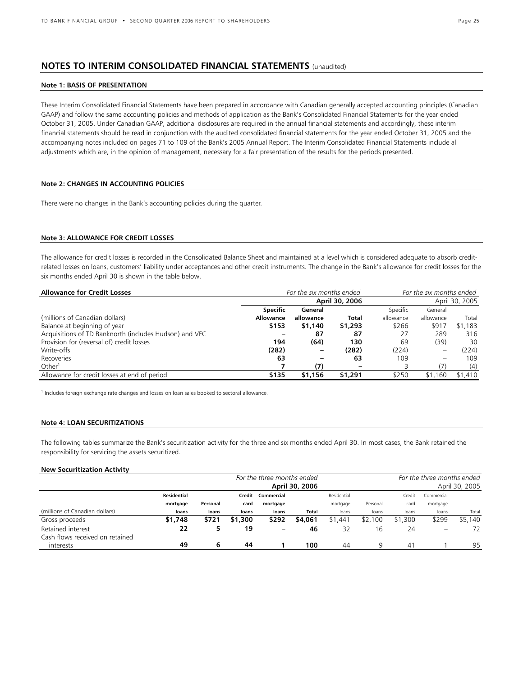## **NOTES TO INTERIM CONSOLIDATED FINANCIAL STATEMENTS** (unaudited)

### **Note 1: BASIS OF PRESENTATION**

These Interim Consolidated Financial Statements have been prepared in accordance with Canadian generally accepted accounting principles (Canadian GAAP) and follow the same accounting policies and methods of application as the Bank's Consolidated Financial Statements for the year ended October 31, 2005. Under Canadian GAAP, additional disclosures are required in the annual financial statements and accordingly, these interim financial statements should be read in conjunction with the audited consolidated financial statements for the year ended October 31, 2005 and the accompanying notes included on pages 71 to 109 of the Bank's 2005 Annual Report. The Interim Consolidated Financial Statements include all adjustments which are, in the opinion of management, necessary for a fair presentation of the results for the periods presented.

### **Note 2: CHANGES IN ACCOUNTING POLICIES**

There were no changes in the Bank's accounting policies during the quarter.

### **Note 3: ALLOWANCE FOR CREDIT LOSSES**

The allowance for credit losses is recorded in the Consolidated Balance Sheet and maintained at a level which is considered adequate to absorb creditrelated losses on loans, customers' liability under acceptances and other credit instruments. The change in the Bank's allowance for credit losses for the six months ended April 30 is shown in the table below.

| <b>Allowance for Credit Losses</b>                     |                 | For the six months ended |                | For the six months ended |                          |                |
|--------------------------------------------------------|-----------------|--------------------------|----------------|--------------------------|--------------------------|----------------|
|                                                        |                 |                          | April 30, 2006 |                          |                          | April 30, 2005 |
|                                                        | <b>Specific</b> | General                  |                | Specific                 | General                  |                |
| (millions of Canadian dollars)                         | Allowance       | allowance                | Total          | allowance                | allowance                | Total          |
| Balance at beginning of year                           | \$153           | \$1,140                  | \$1,293        | \$266                    | \$917                    | \$1,183        |
| Acquisitions of TD Banknorth (includes Hudson) and VFC |                 | 87                       | -87            | 27                       | 289                      | 316            |
| Provision for (reversal of) credit losses              | 194             | (64)                     | 130            | 69                       | (39)                     | 30             |
| Write-offs                                             | (282)           | -                        | (282)          | (224)                    | $\overline{\phantom{0}}$ | (224)          |
| Recoveries                                             | 63              |                          | 63             | 109                      |                          | 109            |
| Other <sup>1</sup>                                     |                 | (7)                      |                |                          | 7                        | (4)            |
| Allowance for credit losses at end of period           | \$135           | \$1,156                  | \$1,291        | \$250                    | \$1,160                  | \$1,410        |

1 Includes foreign exchange rate changes and losses on loan sales booked to sectoral allowance.

### **Note 4: LOAN SECURITIZATIONS**

The following tables summarize the Bank's securitization activity for the three and six months ended April 30. In most cases, the Bank retained the responsibility for servicing the assets securitized.

### **New Securitization Activity**

|                                 |             | For the three months ended |         |                   |                |             |          |         |                         | For the three months ended |
|---------------------------------|-------------|----------------------------|---------|-------------------|----------------|-------------|----------|---------|-------------------------|----------------------------|
|                                 |             |                            |         |                   | April 30, 2005 |             |          |         |                         |                            |
|                                 | Residential |                            |         | Credit Commercial |                | Residential |          | Credit  | Commercial              |                            |
|                                 | mortgage    | Personal                   | card    | mortgage          |                | mortgage    | Personal | card    | mortgage                |                            |
| (millions of Canadian dollars)  | loans       | loans                      | loans   | loans             | Total          | loans       | loans    | loans   | loans                   | Total                      |
| Gross proceeds                  | \$1,748     | \$721                      | \$1,300 | \$292             | \$4,061        | .441<br>\$1 | \$2,100  | \$1,300 | \$299                   | \$5,140                    |
| Retained interest               | 22          |                            | 19      | -                 | 46             | 32          | 16       | 24      | $\qquad \qquad \  \, -$ | 72                         |
| Cash flows received on retained |             |                            |         |                   |                |             |          |         |                         |                            |
| interests                       | 49          | 6                          | 44      |                   | 100            | 44          | 9        | 41      |                         | 95                         |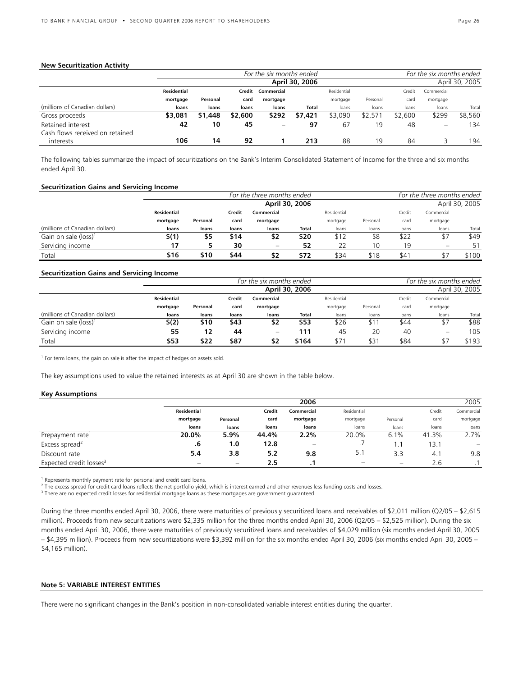### **New Securitization Activity**

|                                 |             |                                  | For the six months ended |            | For the six months ended |             |          |         |            |         |  |
|---------------------------------|-------------|----------------------------------|--------------------------|------------|--------------------------|-------------|----------|---------|------------|---------|--|
|                                 |             | April 30, 2005<br>April 30, 2006 |                          |            |                          |             |          |         |            |         |  |
|                                 | Residential |                                  | Credit                   | Commercial |                          | Residential |          | Credit  | Commercial |         |  |
|                                 | mortgage    | Personal                         | card                     | mortgage   |                          | mortgage    | Personal | card    | mortgage   |         |  |
| (millions of Canadian dollars)  | loans       | loans                            | loans                    | loans      | Total                    | loans       | loans    | loans   | loans      | Total   |  |
| Gross proceeds                  | \$3,081     | \$1,448                          | \$2,600                  | \$292      | \$7,421                  | \$3,090     | \$2.571  | \$2,600 | \$299      | \$8,560 |  |
| Retained interest               | 42          | 10                               | 45                       |            | 97                       | 67          | 19       | 48      | -          | 134     |  |
| Cash flows received on retained |             |                                  |                          |            |                          |             |          |         |            |         |  |
| interests                       | 106         | 14                               | 92                       |            | 213                      | 88          | 19       | 84      |            | 194     |  |

The following tables summarize the impact of securitizations on the Bank's Interim Consolidated Statement of Income for the three and six months ended April 30.

### **Securitization Gains and Servicing Income**

|                                  |                    | For the three months ended |        |                                |                |             |          |        |                          | For the three months ended |
|----------------------------------|--------------------|----------------------------|--------|--------------------------------|----------------|-------------|----------|--------|--------------------------|----------------------------|
|                                  |                    |                            |        |                                | April 30, 2005 |             |          |        |                          |                            |
|                                  | <b>Residential</b> |                            | Credit | Commercial                     |                | Residential |          | Credit | Commercial               |                            |
|                                  | mortgage           | Personal                   | card   | mortgage                       |                | mortgage    | Personal | card   | mortgage                 |                            |
| (millions of Canadian dollars)   | loans              | loans                      | loans  | loans                          | Total          | loans       | loans    | loans  | loans                    | Total                      |
| Gain on sale (loss) <sup>1</sup> | \$(1)              | \$5                        | \$14   | \$2                            | \$20           | \$12        | \$8      | \$22   |                          | \$49                       |
| Servicing income                 |                    |                            | 30     | $\qquad \qquad \longleftarrow$ | 52             |             | 10       | 19     | $\overline{\phantom{0}}$ | 51                         |
| Total                            | \$16               | \$10                       | \$44   | \$2                            | \$72           | \$34        | \$18     | \$41   |                          | \$100                      |

### **Securitization Gains and Servicing Income**

|                                  |                    | For the six months ended |        |                         |                |             |          |        |            | For the six months ended |
|----------------------------------|--------------------|--------------------------|--------|-------------------------|----------------|-------------|----------|--------|------------|--------------------------|
|                                  |                    |                          |        |                         | April 30, 2005 |             |          |        |            |                          |
|                                  | <b>Residential</b> |                          | Credit | Commercial              |                | Residential |          | Credit | Commercial |                          |
|                                  | mortgage           | Personal                 | card   | mortgage                |                | mortgage    | Personal | card   | mortgage   |                          |
| (millions of Canadian dollars)   | loans              | loans                    | loans  | loans                   | Total          | loans       | loans    | loans  | loans      | Total                    |
| Gain on sale (loss) <sup>1</sup> | \$(2)              | \$10                     | \$43   | \$2                     | \$53           | \$26        | \$1      | \$44   | \$7        | \$88                     |
| Servicing income                 | 55                 | 12                       | 44     | $\qquad \qquad \  \, -$ | 111            | 45          | 20       | 40     | -          | 105                      |
| Total                            | \$53               | \$22                     | \$87   | \$2                     | \$164          | 57٬         | \$31     | \$84   |            | \$193                    |

<sup>1</sup> For term loans, the gain on sale is after the impact of hedges on assets sold.

The key assumptions used to value the retained interests as at April 30 are shown in the table below.

### **Key Assumptions**

|                                     |                    | 2006                     |        |            |                  |                          |        |            |
|-------------------------------------|--------------------|--------------------------|--------|------------|------------------|--------------------------|--------|------------|
|                                     | <b>Residential</b> |                          | Credit | Commercial | Residential      |                          | Credit | Commercial |
|                                     | mortgage           | Personal                 | card   | mortgage   | mortgage         | Personal                 | card   | mortgage   |
|                                     | loans              | loans                    | loans  | loans      | loans            | loans                    | loans  | loans      |
| Prepayment rate <sup>1</sup>        | 20.0%              | 5.9%                     | 44.4%  | 2.2%       | 20.0%            | 6.1%                     | 41.3%  | 2.7%       |
| Excess spread <sup>2</sup>          | .6                 | 1.0                      | 12.8   | -          | $\cdot$ $\prime$ |                          | 13.1   |            |
| Discount rate                       | 5.4                | 3.8                      | 5.2    | 9.8        | 5.1              | 3.3                      | 4.1    | 9.8        |
| Expected credit losses <sup>3</sup> |                    | $\overline{\phantom{0}}$ | 2.5    |            |                  | $\overline{\phantom{0}}$ | 2.6    |            |

<sup>1</sup> Represents monthly payment rate for personal and credit card loans.

 $^2$  The excess spread for credit card loans reflects the net portfolio yield, which is interest earned and other revenues less funding costs and losses.<br><sup>3</sup> There are no expected credit lesses for residential mertaage lo

<sup>3</sup> There are no expected credit losses for residential mortgage loans as these mortgages are government guaranteed.

During the three months ended April 30, 2006, there were maturities of previously securitized loans and receivables of \$2,011 million (Q2/05 – \$2,615 million). Proceeds from new securitizations were \$2,335 million for the three months ended April 30, 2006 (Q2/05 – \$2,525 million). During the six months ended April 30, 2006, there were maturities of previously securitized loans and receivables of \$4,029 million (six months ended April 30, 2005 – \$4,395 million). Proceeds from new securitizations were \$3,392 million for the six months ended April 30, 2006 (six months ended April 30, 2005 – \$4,165 million).

### **Note 5: VARIABLE INTEREST ENTITIES**

There were no significant changes in the Bank's position in non-consolidated variable interest entities during the quarter.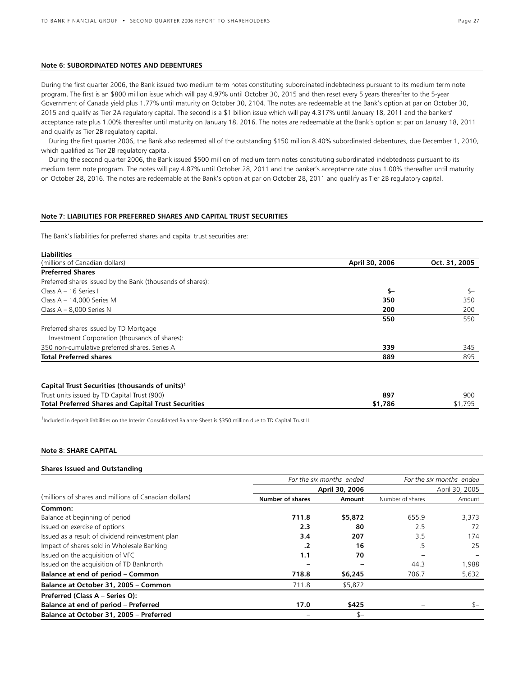### **Note 6: SUBORDINATED NOTES AND DEBENTURES**

During the first quarter 2006, the Bank issued two medium term notes constituting subordinated indebtedness pursuant to its medium term note program. The first is an \$800 million issue which will pay 4.97% until October 30, 2015 and then reset every 5 years thereafter to the 5-year Government of Canada yield plus 1.77% until maturity on October 30, 2104. The notes are redeemable at the Bank's option at par on October 30, 2015 and qualify as Tier 2A regulatory capital. The second is a \$1 billion issue which will pay 4.317% until January 18, 2011 and the bankers' acceptance rate plus 1.00% thereafter until maturity on January 18, 2016. The notes are redeemable at the Bank's option at par on January 18, 2011 and qualify as Tier 2B regulatory capital.

During the first quarter 2006, the Bank also redeemed all of the outstanding \$150 million 8.40% subordinated debentures, due December 1, 2010, which qualified as Tier 2B regulatory capital.

During the second quarter 2006, the Bank issued \$500 million of medium term notes constituting subordinated indebtedness pursuant to its medium term note program. The notes will pay 4.87% until October 28, 2011 and the banker's acceptance rate plus 1.00% thereafter until maturity on October 28, 2016. The notes are redeemable at the Bank's option at par on October 28, 2011 and qualify as Tier 2B regulatory capital.

### **Note 7: LIABILITIES FOR PREFERRED SHARES AND CAPITAL TRUST SECURITIES**

The Bank's liabilities for preferred shares and capital trust securities are:

| Liabilities                                                |                |               |
|------------------------------------------------------------|----------------|---------------|
| (millions of Canadian dollars)                             | April 30, 2006 | Oct. 31, 2005 |
| <b>Preferred Shares</b>                                    |                |               |
| Preferred shares issued by the Bank (thousands of shares): |                |               |
| Class A - 16 Series I                                      | \$-            | $S-$          |
| Class $A - 14,000$ Series M                                | 350            | 350           |
| Class $A - 8.000$ Series N                                 | 200            | 200           |
|                                                            | 550            | 550           |
| Preferred shares issued by TD Mortgage                     |                |               |
| Investment Corporation (thousands of shares):              |                |               |
| 350 non-cumulative preferred shares, Series A              | 339            | 345           |
| <b>Total Preferred shares</b>                              | 889            | 895           |
|                                                            |                |               |
| Capital Trust Securities (thousands of units) <sup>1</sup> |                |               |
| Trust units issued by TD Capital Trust (900)               | 897            | 900           |
| <b>Total Preferred Shares and Capital Trust Securities</b> | \$1,786        | \$1,795       |

<sup>1</sup>Included in deposit liabilities on the Interim Consolidated Balance Sheet is \$350 million due to TD Capital Trust II.

### **Note 8**: **SHARE CAPITAL**

**Liabilities** 

### **Shares Issued and Outstanding**

|                                                       | For the six months ended | For the six months ended<br>April 30, 2005 |                  |        |
|-------------------------------------------------------|--------------------------|--------------------------------------------|------------------|--------|
|                                                       | April 30, 2006           |                                            |                  |        |
| (millions of shares and millions of Canadian dollars) | Number of shares         | Amount                                     | Number of shares | Amount |
| Common:                                               |                          |                                            |                  |        |
| Balance at beginning of period                        | 711.8                    | \$5,872                                    | 655.9            | 3,373  |
| Issued on exercise of options                         | 2.3                      | 80                                         | 2.5              | 72     |
| Issued as a result of dividend reinvestment plan      | 3.4                      | 207                                        | 3.5              | 174    |
| Impact of shares sold in Wholesale Banking            | .2                       | 16                                         | .5               | 25     |
| Issued on the acquisition of VFC                      | 1.1                      | 70                                         |                  |        |
| Issued on the acquisition of TD Banknorth             |                          |                                            | 44.3             | 1,988  |
| Balance at end of period - Common                     | 718.8                    | \$6,245                                    | 706.7            | 5,632  |
| Balance at October 31, 2005 - Common                  | 711.8                    | \$5,872                                    |                  |        |
| Preferred (Class A – Series O):                       |                          |                                            |                  |        |
| Balance at end of period - Preferred                  | 17.0                     | \$425                                      |                  | ¶–     |
| Balance at October 31, 2005 - Preferred               |                          | \$-                                        |                  |        |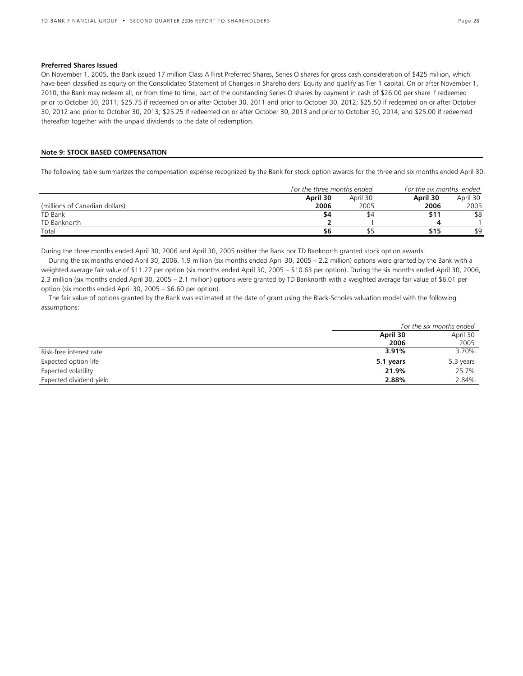### **Preferred Shares Issued**

On November 1, 2005, the Bank issued 17 million Class A First Preferred Shares, Series O shares for gross cash consideration of \$425 million, which have been classified as equity on the Consolidated Statement of Changes in Shareholders' Equity and qualify as Tier 1 capital. On or after November 1, 2010, the Bank may redeem all, or from time to time, part of the outstanding Series O shares by payment in cash of \$26.00 per share if redeemed prior to October 30, 2011; \$25.75 if redeemed on or after October 30, 2011 and prior to October 30, 2012; \$25.50 if redeemed on or after October 30, 2012 and prior to October 30, 2013; \$25.25 if redeemed on or after October 30, 2013 and prior to October 30, 2014; and \$25.00 if redeemed thereafter together with the unpaid dividends to the date of redemption.

### **Note 9: STOCK BASED COMPENSATION**

The following table summarizes the compensation expense recognized by the Bank for stock option awards for the three and six months ended April 30.

|                                | For the three months ended | For the six months ended |          |          |
|--------------------------------|----------------------------|--------------------------|----------|----------|
|                                | April 30                   | April 30                 | April 30 | April 30 |
| (millions of Canadian dollars) | 2006                       | 2005                     | 2006     | 2005     |
| TD Bank                        | \$4                        | \$4                      | \$11     | \$8      |
| TD Banknorth                   |                            |                          |          |          |
| Total                          | 56                         |                          | \$15     | \$9      |

During the three months ended April 30, 2006 and April 30, 2005 neither the Bank nor TD Banknorth granted stock option awards.

During the six months ended April 30, 2006, 1.9 million (six months ended April 30, 2005 – 2.2 million) options were granted by the Bank with a weighted average fair value of \$11.27 per option (six months ended April 30, 2005 – \$10.63 per option). During the six months ended April 30, 2006, 2.3 million (six months ended April 30, 2005 – 2.1 million) options were granted by TD Banknorth with a weighted average fair value of \$6.01 per option (six months ended April 30, 2005 – \$6.60 per option).

The fair value of options granted by the Bank was estimated at the date of grant using the Black-Scholes valuation model with the following assumptions:

|                         |                      | For the six months ended |
|-------------------------|----------------------|--------------------------|
|                         | April 30<br>April 30 |                          |
|                         | 2006                 | 2005                     |
| Risk-free interest rate | 3.91%                | 3.70%                    |
| Expected option life    | 5.1 years            | 5.3 years                |
| Expected volatility     | 21.9%                | 25.7%                    |
| Expected dividend yield | 2.88%                | 2.84%                    |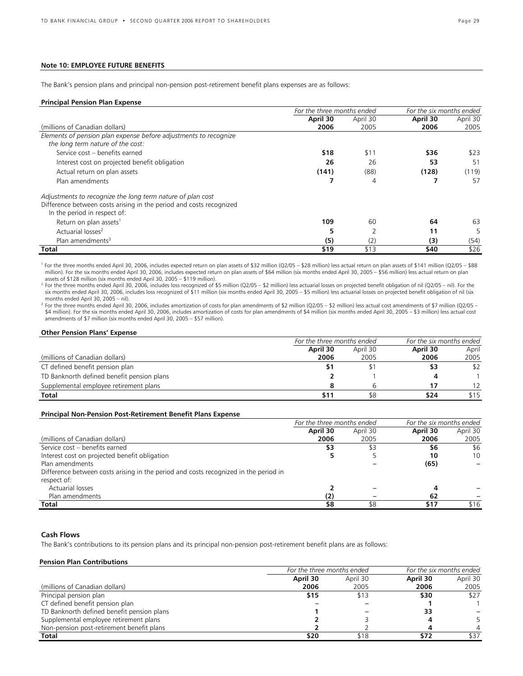### **Note 10: EMPLOYEE FUTURE BENEFITS**

The Bank's pension plans and principal non-pension post-retirement benefit plans expenses are as follows:

### **Principal Pension Plan Expense**

|                                                                     | For the three months ended |          | For the six months ended |          |
|---------------------------------------------------------------------|----------------------------|----------|--------------------------|----------|
|                                                                     | April 30                   | April 30 | April 30                 | April 30 |
| (millions of Canadian dollars)                                      | 2006                       | 2005     | 2006                     | 2005     |
| Elements of pension plan expense before adjustments to recognize    |                            |          |                          |          |
| the long term nature of the cost:                                   |                            |          |                          |          |
| Service cost - benefits earned                                      | \$18                       | \$11     | \$36                     | \$23     |
| Interest cost on projected benefit obligation                       | 26                         | 26       | 53                       | 51       |
| Actual return on plan assets                                        | (141)                      | (88)     | (128)                    | (119)    |
| Plan amendments                                                     |                            | 4        |                          | 57       |
| Adjustments to recognize the long term nature of plan cost          |                            |          |                          |          |
| Difference between costs arising in the period and costs recognized |                            |          |                          |          |
| In the period in respect of:                                        |                            |          |                          |          |
| Return on plan assets <sup>1</sup>                                  | 109                        | 60       | 64                       | 63       |
| Actuarial losses <sup>2</sup>                                       | 5                          |          | 11                       |          |
| Plan amendments <sup>3</sup>                                        | (5)                        | (2)      | (3)                      | (54)     |
| <b>Total</b>                                                        | \$19                       | \$13     | \$40                     | \$26     |

<sup>1</sup> For the three months ended April 30, 2006, includes expected return on plan assets of \$32 million (Q2/05 - \$28 million) less actual return on plan assets of \$141 million (Q2/05 - \$88 million). For the six months ended April 30, 2006, includes expected return on plan assets of \$64 million (six months ended April 30, 2005 – \$56 million) less actual return on plan assets of \$128 million (six months ended April 30, 2005 – \$119 million).

<sup>2</sup> For the three months ended April 30, 2006, includes loss recognized of \$5 million (Q2/05 - \$2 million) less actuarial losses on projected benefit obligation of nil (Q2/05 - nil). For the six months ended April 30, 2006, includes loss recognized of \$11 million (six months ended April 30, 2005 – \$5 million) less actuarial losses on projected benefit obligation of nil (six months ended April 30, 2005 – nil).

<sup>3</sup> For the three months ended April 30, 2006, includes amortization of costs for plan amendments of \$2 million (Q2/05 – \$2 million) less actual cost amendments of \$7 million (Q2/05 – \$4 million). For the six months ended April 30, 2006, includes amortization of costs for plan amendments of \$4 million (six months ended April 30, 2005 – \$3 million) less actual cost amendments of \$7 million (six months ended April 30, 2005 – \$57 million).

### **Other Pension Plans' Expense**

|                                            | For the three months ended |          | For the six months ended |       |  |
|--------------------------------------------|----------------------------|----------|--------------------------|-------|--|
|                                            | April 30                   | April 30 | April 30                 | April |  |
| (millions of Canadian dollars)             | 2006                       | 2005     | 2006                     | 2005  |  |
| CT defined benefit pension plan            |                            |          |                          | \$2   |  |
| TD Banknorth defined benefit pension plans |                            |          |                          |       |  |
| Supplemental employee retirement plans     |                            |          |                          | 12    |  |
| <b>Total</b>                               |                            | \$8      | \$24                     | \$15  |  |

### **Principal Non-Pension Post-Retirement Benefit Plans Expense**

|                                                                                      | For the three months ended |          | For the six months ended |          |  |
|--------------------------------------------------------------------------------------|----------------------------|----------|--------------------------|----------|--|
|                                                                                      | April 30                   | April 30 | April 30                 | April 30 |  |
| (millions of Canadian dollars)                                                       | 2006                       | 2005     | 2006                     | 2005     |  |
| Service cost - benefits earned                                                       | \$3                        | \$3      | \$6                      | \$6      |  |
| Interest cost on projected benefit obligation                                        |                            |          | 10                       | 10       |  |
| Plan amendments                                                                      |                            |          | (65)                     |          |  |
| Difference between costs arising in the period and costs recognized in the period in |                            |          |                          |          |  |
| respect of:                                                                          |                            |          |                          |          |  |
| Actuarial losses                                                                     |                            |          |                          |          |  |
| Plan amendments                                                                      | (2)                        |          | 62                       |          |  |
| Total                                                                                | \$8                        | \$8      | \$17                     | \$16     |  |

### **Cash Flows**

The Bank's contributions to its pension plans and its principal non-pension post-retirement benefit plans are as follows:

### **Pension Plan Contributions**

|                                            | For the three months ended | For the six months ended |          |          |
|--------------------------------------------|----------------------------|--------------------------|----------|----------|
|                                            | April 30                   | April 30                 | April 30 | April 30 |
| (millions of Canadian dollars)             | 2006                       | 2005                     | 2006     | 2005     |
| Principal pension plan                     | \$15                       | \$13                     | \$30     | \$27     |
| CT defined benefit pension plan            |                            |                          |          |          |
| TD Banknorth defined benefit pension plans |                            |                          | 33       |          |
| Supplemental employee retirement plans     |                            |                          |          |          |
| Non-pension post-retirement benefit plans  |                            |                          |          |          |
| Total                                      | \$20                       | \$18                     | \$72     | \$37     |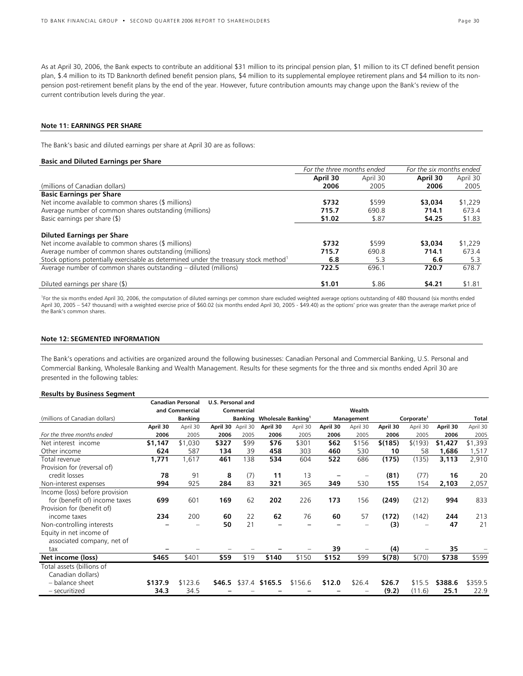As at April 30, 2006, the Bank expects to contribute an additional \$31 million to its principal pension plan, \$1 million to its CT defined benefit pension plan, \$.4 million to its TD Banknorth defined benefit pension plans, \$4 million to its supplemental employee retirement plans and \$4 million to its nonpension post-retirement benefit plans by the end of the year. However, future contribution amounts may change upon the Bank's review of the current contribution levels during the year.

### **Note 11: EARNINGS PER SHARE**

The Bank's basic and diluted earnings per share at April 30 are as follows:

### **Basic and Diluted Earnings per Share**

|                                                                                                  | For the three months ended |          | For the six months ended |          |  |
|--------------------------------------------------------------------------------------------------|----------------------------|----------|--------------------------|----------|--|
|                                                                                                  | April 30                   | April 30 | April 30                 | April 30 |  |
| (millions of Canadian dollars)                                                                   | 2006                       | 2005     | 2006                     | 2005     |  |
| <b>Basic Earnings per Share</b>                                                                  |                            |          |                          |          |  |
| Net income available to common shares (\$ millions)                                              | \$732                      | \$599    | \$3,034                  | \$1,229  |  |
| Average number of common shares outstanding (millions)                                           | 715.7                      | 690.8    | 714.1                    | 673.4    |  |
| Basic earnings per share (\$)                                                                    | \$1.02                     | \$.87    | \$4.25                   | \$1.83   |  |
| <b>Diluted Earnings per Share</b>                                                                |                            |          |                          |          |  |
| Net income available to common shares (\$ millions)                                              | \$732                      | \$599    | \$3,034                  | \$1,229  |  |
| Average number of common shares outstanding (millions)                                           | 715.7                      | 690.8    | 714.1                    | 673.4    |  |
| Stock options potentially exercisable as determined under the treasury stock method <sup>1</sup> | 6.8                        | 5.3      | 6.6                      | 5.3      |  |
| Average number of common shares outstanding – diluted (millions)                                 | 722.5                      | 696.1    | 720.7                    | 678.7    |  |
| Diluted earnings per share (\$)                                                                  | \$1.01                     | \$.86    | \$4.21                   | \$1.81   |  |

<sup>1</sup>For the six months ended April 30, 2006, the computation of diluted earnings per common share excluded weighted average options outstanding of 480 thousand (six months ended April 30, 2005 – 547 thousand) with a weighted exercise price of \$60.02 (six months ended April 30, 2005 - \$49.40) as the options' price was greater than the average market price of the Bank's common shares.

### **Note 12: SEGMENTED INFORMATION**

The Bank's operations and activities are organized around the following businesses: Canadian Personal and Commercial Banking, U.S. Personal and Commercial Banking, Wholesale Banking and Wealth Management. Results for these segments for the three and six months ended April 30 are presented in the following tables:

### **Results by Business Segment**

|                                |          | <b>Canadian Personal</b> | U.S. Personal and |            |                           |          |          |            |          |                        |          |          |
|--------------------------------|----------|--------------------------|-------------------|------------|---------------------------|----------|----------|------------|----------|------------------------|----------|----------|
|                                |          | and Commercial           |                   | Commercial |                           |          |          | Wealth     |          |                        |          |          |
| (millions of Canadian dollars) |          | <b>Banking</b>           |                   | Banking    | <b>Wholesale Banking1</b> |          |          | Management |          | Corporate <sup>1</sup> |          | Total    |
|                                | April 30 | April 30                 | April 30 April 30 |            | April 30                  | April 30 | April 30 | April 30   | April 30 | April 30               | April 30 | April 30 |
| For the three months ended     | 2006     | 2005                     | 2006              | 2005       | 2006                      | 2005     | 2006     | 2005       | 2006     | 2005                   | 2006     | 2005     |
| Net interest income            | \$1,147  | \$1,030                  | \$327             | \$99       | \$76                      | \$301    | \$62     | \$156      | \$(185)  | \$(193)                | \$1,427  | \$1,393  |
| Other income                   | 624      | 587                      | 134               | 39         | 458                       | 303      | 460      | 530        | 10       | 58                     | 1,686    | 1,517    |
| Total revenue                  | 1,771    | 1,617                    | 461               | 138        | 534                       | 604      | 522      | 686        | (175)    | (135)                  | 3,113    | 2,910    |
| Provision for (reversal of)    |          |                          |                   |            |                           |          |          |            |          |                        |          |          |
| credit losses                  | 78       | 91                       | 8                 | (7)        | 11                        | 13       |          |            | (81)     | (77)                   | 16       | 20       |
| Non-interest expenses          | 994      | 925                      | 284               | 83         | 321                       | 365      | 349      | 530        | 155      | 154                    | 2,103    | 2,057    |
| Income (loss) before provision |          |                          |                   |            |                           |          |          |            |          |                        |          |          |
| for (benefit of) income taxes  | 699      | 601                      | 169               | 62         | 202                       | 226      | 173      | 156        | (249)    | (212)                  | 994      | 833      |
| Provision for (benefit of)     |          |                          |                   |            |                           |          |          |            |          |                        |          |          |
| income taxes                   | 234      | 200                      | 60                | 22         | 62                        | 76       | 60       | 57         | (172)    | (142)                  | 244      | 213      |
| Non-controlling interests      |          |                          | 50                | 21         |                           |          |          |            | (3)      |                        | 47       | 21       |
| Equity in net income of        |          |                          |                   |            |                           |          |          |            |          |                        |          |          |
| associated company, net of     |          |                          |                   |            |                           |          |          |            |          |                        |          |          |
| tax                            |          |                          |                   |            |                           |          | 39       |            | (4)      |                        | 35       |          |
| Net income (loss)              | \$465    | \$401                    | \$59              | \$19       | \$140                     | \$150    | \$152    | \$99       | \$(78)   | \$(70)                 | \$738    | \$599    |
| Total assets (billions of      |          |                          |                   |            |                           |          |          |            |          |                        |          |          |
| Canadian dollars)              |          |                          |                   |            |                           |          |          |            |          |                        |          |          |
| - balance sheet                | \$137.9  | \$123.6                  | \$46.5            |            | \$37.4 \$165.5            | \$156.6  | \$12.0   | \$26.4     | \$26.7   | \$15.5                 | \$388.6  | \$359.5  |
| - securitized                  | 34.3     | 34.5                     |                   |            |                           |          |          |            | (9.2)    | (11.6)                 | 25.1     | 22.9     |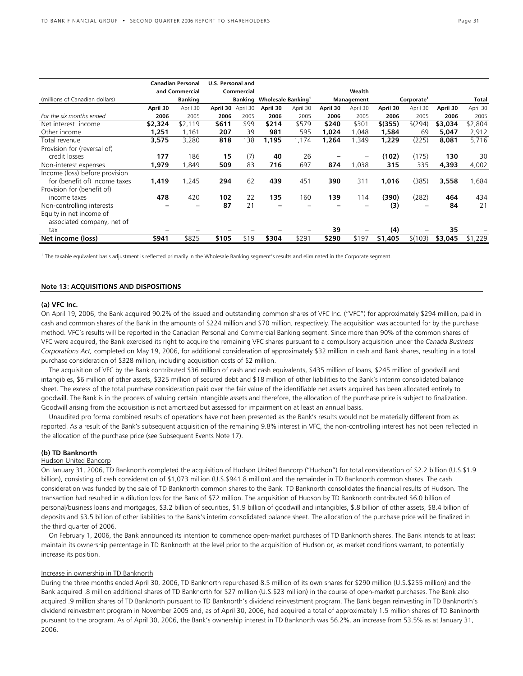|                                |          | <b>Canadian Personal</b> | U.S. Personal and |            |                                        |          |          |                          |           |                        |          |          |
|--------------------------------|----------|--------------------------|-------------------|------------|----------------------------------------|----------|----------|--------------------------|-----------|------------------------|----------|----------|
|                                |          | and Commercial           |                   | Commercial |                                        |          |          | Wealth                   |           |                        |          |          |
| (millions of Canadian dollars) |          | <b>Banking</b>           |                   |            | Banking Wholesale Banking <sup>1</sup> |          |          | Management               |           | Corporate <sup>1</sup> |          | Total    |
|                                | April 30 | April 30                 | April 30 April 30 |            | April 30                               | April 30 | April 30 | April 30                 | April 30  | April 30               | April 30 | April 30 |
| For the six months ended       | 2006     | 2005                     | 2006              | 2005       | 2006                                   | 2005     | 2006     | 2005                     | 2006      | 2005                   | 2006     | 2005     |
| Net interest income            | \$2,324  | \$2,119                  | \$611             | \$99       | \$214                                  | \$579    | \$240    | \$301                    | $$$ (355) | \$(294)                | \$3,034  | \$2,804  |
| Other income                   | 1,251    | 1,161                    | 207               | 39         | 981                                    | 595      | 1,024    | ,048                     | 1,584     | 69                     | 5,047    | 2,912    |
| Total revenue                  | 3,575    | 3,280                    | 818               | 138        | 1,195                                  | 1,174    | 1,264    | ,349                     | 1,229     | (225)                  | 8,081    | 5,716    |
| Provision for (reversal of)    |          |                          |                   |            |                                        |          |          |                          |           |                        |          |          |
| credit losses                  | 177      | 186                      | 15                | (7)        | 40                                     | 26       |          | $\overline{\phantom{m}}$ | (102)     | (175)                  | 130      | 30       |
| Non-interest expenses          | 1,979    | 1,849                    | 509               | 83         | 716                                    | 697      | 874      | ,038                     | 315       | 335                    | 4,393    | 4,002    |
| Income (loss) before provision |          |                          |                   |            |                                        |          |          |                          |           |                        |          |          |
| for (benefit of) income taxes  | 1,419    | 1,245                    | 294               | 62         | 439                                    | 451      | 390      | 311                      | 1,016     | (385)                  | 3,558    | 1,684    |
| Provision for (benefit of)     |          |                          |                   |            |                                        |          |          |                          |           |                        |          |          |
| income taxes                   | 478      | 420                      | 102               | 22         | 135                                    | 160      | 139      | 114                      | (390)     | (282)                  | 464      | 434      |
| Non-controlling interests      |          |                          | 87                | 21         |                                        |          |          |                          | (3)       |                        | 84       | 21       |
| Equity in net income of        |          |                          |                   |            |                                        |          |          |                          |           |                        |          |          |
| associated company, net of     |          |                          |                   |            |                                        |          |          |                          |           |                        |          |          |
| tax                            |          |                          |                   |            |                                        |          | 39       |                          | (4)       |                        | 35       |          |
| Net income (loss)              | \$941    | \$825                    | \$105             | \$19       | \$304                                  | \$291    | \$290    | \$197                    | \$1,405   | \$(103)                | \$3,045  | \$1,229  |

1 The taxable equivalent basis adjustment is reflected primarily in the Wholesale Banking segment's results and eliminated in the Corporate segment.

#### **Note 13: ACQUISITIONS AND DISPOSITIONS**

### **(a) VFC Inc.**

On April 19, 2006, the Bank acquired 90.2% of the issued and outstanding common shares of VFC Inc. ("VFC") for approximately \$294 million, paid in cash and common shares of the Bank in the amounts of \$224 million and \$70 million, respectively. The acquisition was accounted for by the purchase method. VFC's results will be reported in the Canadian Personal and Commercial Banking segment. Since more than 90% of the common shares of VFC were acquired, the Bank exercised its right to acquire the remaining VFC shares pursuant to a compulsory acquisition under the *Canada Business Corporations Act,* completed on May 19, 2006, for additional consideration of approximately \$32 million in cash and Bank shares, resulting in a total purchase consideration of \$328 million, including acquisition costs of \$2 million.

The acquisition of VFC by the Bank contributed \$36 million of cash and cash equivalents, \$435 million of loans, \$245 million of goodwill and intangibles, \$6 million of other assets, \$325 million of secured debt and \$18 million of other liabilities to the Bank's interim consolidated balance sheet. The excess of the total purchase consideration paid over the fair value of the identifiable net assets acquired has been allocated entirely to goodwill. The Bank is in the process of valuing certain intangible assets and therefore, the allocation of the purchase price is subject to finalization. Goodwill arising from the acquisition is not amortized but assessed for impairment on at least an annual basis.

Unaudited pro forma combined results of operations have not been presented as the Bank's results would not be materially different from as reported. As a result of the Bank's subsequent acquisition of the remaining 9.8% interest in VFC, the non-controlling interest has not been reflected in the allocation of the purchase price (see Subsequent Events Note 17).

### **(b) TD Banknorth**

### Hudson United Bancorp

On January 31, 2006, TD Banknorth completed the acquisition of Hudson United Bancorp ("Hudson") for total consideration of \$2.2 billion (U.S.\$1.9 billion), consisting of cash consideration of \$1,073 million (U.S.\$941.8 million) and the remainder in TD Banknorth common shares. The cash consideration was funded by the sale of TD Banknorth common shares to the Bank. TD Banknorth consolidates the financial results of Hudson. The transaction had resulted in a dilution loss for the Bank of \$72 million. The acquisition of Hudson by TD Banknorth contributed \$6.0 billion of personal/business loans and mortgages, \$3.2 billion of securities, \$1.9 billion of goodwill and intangibles, \$.8 billion of other assets, \$8.4 billion of deposits and \$3.5 billion of other liabilities to the Bank's interim consolidated balance sheet. The allocation of the purchase price will be finalized in the third quarter of 2006.

On February 1, 2006, the Bank announced its intention to commence open-market purchases of TD Banknorth shares. The Bank intends to at least maintain its ownership percentage in TD Banknorth at the level prior to the acquisition of Hudson or, as market conditions warrant, to potentially increase its position.

#### Increase in ownership in TD Banknorth

During the three months ended April 30, 2006, TD Banknorth repurchased 8.5 million of its own shares for \$290 million (U.S.\$255 million) and the Bank acquired .8 million additional shares of TD Banknorth for \$27 million (U.S.\$23 million) in the course of open-market purchases. The Bank also acquired .9 million shares of TD Banknorth pursuant to TD Banknorth's dividend reinvestment program. The Bank began reinvesting in TD Banknorth's dividend reinvestment program in November 2005 and, as of April 30, 2006, had acquired a total of approximately 1.5 million shares of TD Banknorth pursuant to the program. As of April 30, 2006, the Bank's ownership interest in TD Banknorth was 56.2%, an increase from 53.5% as at January 31, 2006.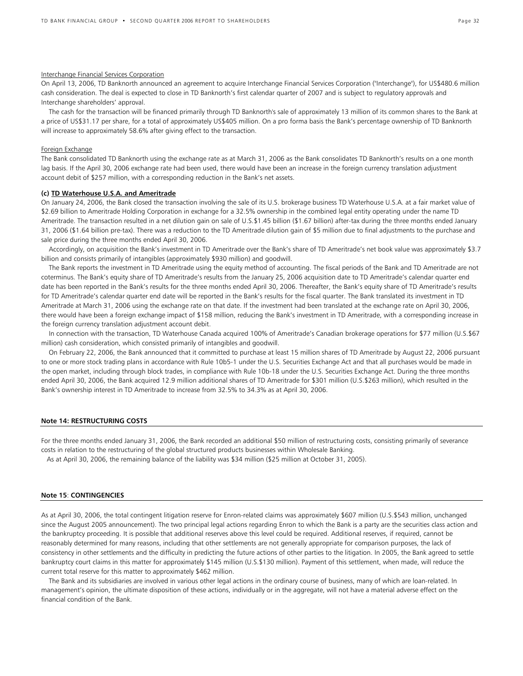### Interchange Financial Services Corporation

On April 13, 2006, TD Banknorth announced an agreement to acquire Interchange Financial Services Corporation ("Interchange"), for US\$480.6 million cash consideration. The deal is expected to close in TD Banknorth's first calendar quarter of 2007 and is subject to regulatory approvals and Interchange shareholders' approval.

The cash for the transaction will be financed primarily through TD Banknorth's sale of approximately 13 million of its common shares to the Bank at a price of US\$31.17 per share, for a total of approximately US\$405 million. On a pro forma basis the Bank's percentage ownership of TD Banknorth will increase to approximately 58.6% after giving effect to the transaction.

#### Foreign Exchange

The Bank consolidated TD Banknorth using the exchange rate as at March 31, 2006 as the Bank consolidates TD Banknorth's results on a one month lag basis. If the April 30, 2006 exchange rate had been used, there would have been an increase in the foreign currency translation adjustment account debit of \$257 million, with a corresponding reduction in the Bank's net assets.

#### **(c) TD Waterhouse U.S.A. and Ameritrade**

On January 24, 2006, the Bank closed the transaction involving the sale of its U.S. brokerage business TD Waterhouse U.S.A. at a fair market value of \$2.69 billion to Ameritrade Holding Corporation in exchange for a 32.5% ownership in the combined legal entity operating under the name TD Ameritrade. The transaction resulted in a net dilution gain on sale of U.S.\$1.45 billion (\$1.67 billion) after-tax during the three months ended January 31, 2006 (\$1.64 billion pre-tax). There was a reduction to the TD Ameritrade dilution gain of \$5 million due to final adjustments to the purchase and sale price during the three months ended April 30, 2006.

Accordingly, on acquisition the Bank's investment in TD Ameritrade over the Bank's share of TD Ameritrade's net book value was approximately \$3.7 billion and consists primarily of intangibles (approximately \$930 million) and goodwill.

The Bank reports the investment in TD Ameritrade using the equity method of accounting. The fiscal periods of the Bank and TD Ameritrade are not coterminus. The Bank's equity share of TD Ameritrade's results from the January 25, 2006 acquisition date to TD Ameritrade's calendar quarter end date has been reported in the Bank's results for the three months ended April 30, 2006. Thereafter, the Bank's equity share of TD Ameritrade's results for TD Ameritrade's calendar quarter end date will be reported in the Bank's results for the fiscal quarter. The Bank translated its investment in TD Ameritrade at March 31, 2006 using the exchange rate on that date. If the investment had been translated at the exchange rate on April 30, 2006, there would have been a foreign exchange impact of \$158 million, reducing the Bank's investment in TD Ameritrade, with a corresponding increase in the foreign currency translation adjustment account debit.

In connection with the transaction, TD Waterhouse Canada acquired 100% of Ameritrade's Canadian brokerage operations for \$77 million (U.S.\$67 million) cash consideration, which consisted primarily of intangibles and goodwill.

On February 22, 2006, the Bank announced that it committed to purchase at least 15 million shares of TD Ameritrade by August 22, 2006 pursuant to one or more stock trading plans in accordance with Rule 10b5-1 under the U.S. Securities Exchange Act and that all purchases would be made in the open market, including through block trades, in compliance with Rule 10b-18 under the U.S. Securities Exchange Act. During the three months ended April 30, 2006, the Bank acquired 12.9 million additional shares of TD Ameritrade for \$301 million (U.S.\$263 million), which resulted in the Bank's ownership interest in TD Ameritrade to increase from 32.5% to 34.3% as at April 30, 2006.

### **Note 14: RESTRUCTURING COSTS**

For the three months ended January 31, 2006, the Bank recorded an additional \$50 million of restructuring costs, consisting primarily of severance costs in relation to the restructuring of the global structured products businesses within Wholesale Banking.

As at April 30, 2006, the remaining balance of the liability was \$34 million (\$25 million at October 31, 2005).

### **Note 15**: **CONTINGENCIES**

As at April 30, 2006, the total contingent litigation reserve for Enron-related claims was approximately \$607 million (U.S.\$543 million, unchanged since the August 2005 announcement). The two principal legal actions regarding Enron to which the Bank is a party are the securities class action and the bankruptcy proceeding. It is possible that additional reserves above this level could be required. Additional reserves, if required, cannot be reasonably determined for many reasons, including that other settlements are not generally appropriate for comparison purposes, the lack of consistency in other settlements and the difficulty in predicting the future actions of other parties to the litigation. In 2005, the Bank agreed to settle bankruptcy court claims in this matter for approximately \$145 million (U.S.\$130 million). Payment of this settlement, when made, will reduce the current total reserve for this matter to approximately \$462 million.

The Bank and its subsidiaries are involved in various other legal actions in the ordinary course of business, many of which are loan-related. In management's opinion, the ultimate disposition of these actions, individually or in the aggregate, will not have a material adverse effect on the financial condition of the Bank.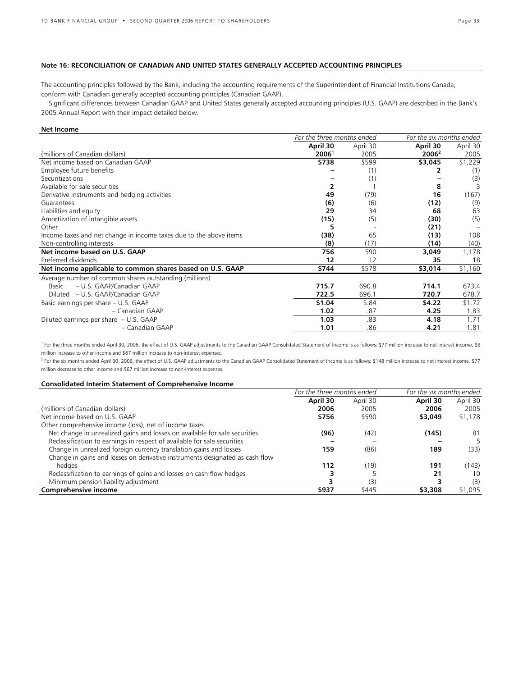### **Note 16: RECONCILIATION OF CANADIAN AND UNITED STATES GENERALLY ACCEPTED ACCOUNTING PRINCIPLES**

The accounting principles followed by the Bank, including the accounting requirements of the Superintendent of Financial Institutions Canada, conform with Canadian generally accepted accounting principles (Canadian GAAP).

Significant differences between Canadian GAAP and United States generally accepted accounting principles (U.S. GAAP) are described in the Bank's 2005 Annual Report with their impact detailed below.

### **Net Income**

|                                                                    | For the three months ended | For the six months ended |          |          |
|--------------------------------------------------------------------|----------------------------|--------------------------|----------|----------|
|                                                                    | April 30                   | April 30                 | April 30 | April 30 |
| (millions of Canadian dollars)                                     | 20061                      | 2005                     | $2006^2$ | 2005     |
| Net income based on Canadian GAAP                                  | \$738                      | \$599                    | \$3,045  | \$1,229  |
| Employee future benefits                                           |                            | (1)                      |          | (1)      |
| Securitizations                                                    |                            | (1)                      |          | (3)      |
| Available for sale securities                                      |                            |                          | 8        | 3        |
| Derivative instruments and hedging activities                      | 49                         | (79)                     | 16       | (167)    |
| Guarantees                                                         | (6)                        | (6)                      | (12)     | (9)      |
| Liabilities and equity                                             | 29                         | 34                       | 68       | 63       |
| Amortization of intangible assets                                  | (15)                       | (5)                      | (30)     | (5)      |
| Other                                                              |                            |                          | (21)     |          |
| Income taxes and net change in income taxes due to the above items | (38)                       | 65                       | (13)     | 108      |
| Non-controlling interests                                          | (8)                        | (17)                     | (14)     | (40)     |
| Net income based on U.S. GAAP                                      | 756                        | 590                      | 3,049    | 1,178    |
| Preferred dividends                                                | 12                         | 12                       | 35       | 18       |
| Net income applicable to common shares based on U.S. GAAP          | \$744                      | \$578                    | \$3,014  | \$1,160  |
| Average number of common shares outstanding (millions)             |                            |                          |          |          |
| - U.S. GAAP/Canadian GAAP<br>Basic                                 | 715.7                      | 690.8                    | 714.1    | 673.4    |
| Diluted – U.S. GAAP/Canadian GAAP                                  | 722.5                      | 696.1                    | 720.7    | 678.7    |
| Basic earnings per share - U.S. GAAP                               | \$1.04                     | \$.84                    | \$4.22   | \$1.72   |
| - Canadian GAAP                                                    | 1.02                       | .87                      | 4.25     | 1.83     |
| Diluted earnings per share - U.S. GAAP                             | 1.03                       | .83                      | 4.18     | 1.71     |
| - Canadian GAAP                                                    | 1.01                       | .86                      | 4.21     | 1.81     |
|                                                                    |                            |                          |          |          |

<sup>1</sup> For the three months ended April 30, 2006, the effect of U.S. GAAP adjustments to the Canadian GAAP Consolidated Statement of Income is as follows: \$77 million increase to net interest income, \$8 million increase to other income and \$67 million increase to non-interest expenses.

2 For the six months ended April 30, 2006, the effect of U.S. GAAP adjustments to the Canadian GAAP Consolidated Statement of Income is as follows: \$148 million increase to net interest income, \$77 million decrease to other income and \$67 million increase to non-interest expenses.

### **Consolidated Interim Statement of Comprehensive Income**

|                                                                              | For the three months ended |          | For the six months ended |          |  |
|------------------------------------------------------------------------------|----------------------------|----------|--------------------------|----------|--|
|                                                                              | April 30                   | April 30 | April 30                 | April 30 |  |
| (millions of Canadian dollars)                                               | 2006                       | 2005     | 2006                     | 2005     |  |
| Net income based on U.S. GAAP                                                | \$756                      | \$590    | \$3,049                  | \$1,178  |  |
| Other comprehensive income (loss), net of income taxes                       |                            |          |                          |          |  |
| Net change in unrealized gains and losses on available for sale securities   | (96)                       | (42)     | (145)                    | 81       |  |
| Reclassification to earnings in respect of available for sale securities     |                            |          |                          |          |  |
| Change in unrealized foreign currency translation gains and losses           | 159                        | (86)     | 189                      | (33)     |  |
| Change in gains and losses on derivative instruments designated as cash flow |                            |          |                          |          |  |
| hedges                                                                       | 112                        | (19)     | 191                      | (143)    |  |
| Reclassification to earnings of gains and losses on cash flow hedges         |                            |          | 21                       | 10       |  |
| Minimum pension liability adjustment                                         |                            | (3)      |                          | (3)      |  |
| Comprehensive income                                                         | \$937                      | \$445    | \$3,308                  | \$1,095  |  |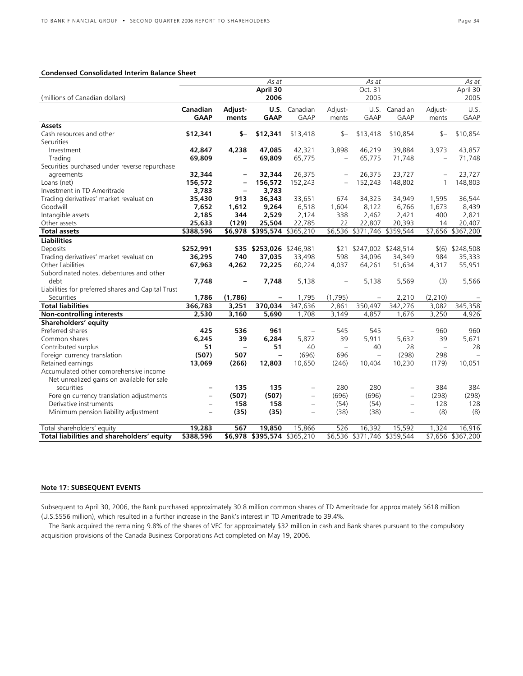|  | <b>Condensed Consolidated Interim Balance Sheet</b> |  |
|--|-----------------------------------------------------|--|
|--|-----------------------------------------------------|--|

|                                                    |                          |                          | As at                       |                      |                   | As at                       |             |                   | As at             |
|----------------------------------------------------|--------------------------|--------------------------|-----------------------------|----------------------|-------------------|-----------------------------|-------------|-------------------|-------------------|
|                                                    |                          |                          | April 30                    |                      |                   | Oct. 31                     |             |                   | April 30          |
| (millions of Canadian dollars)                     |                          |                          | 2006                        |                      |                   | 2005                        |             |                   | 2005              |
|                                                    | Canadian                 | Adjust-                  |                             | <b>U.S.</b> Canadian | Adjust-           | U.S.                        | Canadian    | Adjust-           | U.S.              |
|                                                    | <b>GAAP</b>              | ments                    | <b>GAAP</b>                 | <b>GAAP</b>          | ments             | <b>GAAP</b>                 | <b>GAAP</b> | ments             | <b>GAAP</b>       |
| <b>Assets</b>                                      |                          |                          |                             |                      |                   |                             |             |                   |                   |
| Cash resources and other                           | \$12,341                 | \$-                      | \$12,341                    | \$13,418             | \$—               | \$13,418                    | \$10,854    | \$—               | \$10,854          |
| <b>Securities</b>                                  |                          |                          |                             |                      |                   |                             |             |                   |                   |
| Investment                                         | 42,847                   | 4,238                    | 47,085                      | 42,321               | 3,898             | 46,219                      | 39,884      | 3,973             | 43,857            |
| Trading                                            | 69,809                   |                          | 69,809                      | 65,775               | $\qquad \qquad -$ | 65,775                      | 71,748      | $\equiv$          | 71,748            |
| Securities purchased under reverse repurchase      |                          |                          |                             |                      |                   |                             |             |                   |                   |
| agreements                                         | 32,344                   |                          | 32,344                      | 26,375               |                   | 26,375                      | 23,727      |                   | 23,727            |
| Loans (net)                                        | 156,572                  |                          | 156,572                     | 152,243              |                   | 152,243                     | 148,802     | 1                 | 148,803           |
| Investment in TD Ameritrade                        | 3,783                    | $\overline{\phantom{0}}$ | 3,783                       |                      |                   |                             |             |                   |                   |
| Trading derivatives' market revaluation            | 35,430                   | 913                      | 36,343                      | 33,651               | 674               | 34,325                      | 34,949      | 1,595             | 36,544            |
| Goodwill                                           | 7,652                    | 1,612                    | 9,264                       | 6,518                | 1,604             | 8,122                       | 6,766       | 1,673             | 8,439             |
| Intangible assets                                  | 2,185                    | 344                      | 2,529                       | 2,124                | 338               | 2,462                       | 2,421       | 400               | 2,821             |
| Other assets                                       | 25,633                   | (129)                    | 25,504                      | 22,785               | 22                | 22,807                      | 20,393      | 14                | 20,407            |
| <b>Total assets</b>                                | \$388,596                |                          | \$6,978 \$395,574 \$365,210 |                      |                   | \$6,536 \$371,746 \$359,544 |             |                   | \$7,656 \$367,200 |
| <b>Liabilities</b>                                 |                          |                          |                             |                      |                   |                             |             |                   |                   |
| Deposits                                           | \$252,991                |                          | \$35 \$253,026 \$246,981    |                      | \$21              | \$247,002 \$248,514         |             |                   | $(6)$ \$248,508   |
| Trading derivatives' market revaluation            | 36,295                   | 740                      | 37,035                      | 33,498               | 598               | 34,096                      | 34,349      | 984               | 35,333            |
| Other liabilities                                  | 67,963                   | 4,262                    | 72,225                      | 60,224               | 4,037             | 64,261                      | 51,634      | 4,317             | 55,951            |
| Subordinated notes, debentures and other           |                          |                          |                             |                      |                   |                             |             |                   |                   |
| debt                                               | 7,748                    |                          | 7,748                       | 5,138                | $\equiv$          | 5,138                       | 5,569       | (3)               | 5,566             |
| Liabilities for preferred shares and Capital Trust |                          |                          |                             |                      |                   |                             |             |                   |                   |
| Securities                                         | 1,786                    | (1,786)                  |                             | 1,795                | (1, 795)          |                             | 2,210       | (2, 210)          |                   |
| <b>Total liabilities</b>                           | 366,783                  | 3,251                    | 370,034                     | 347,636              | 2,861             | 350,497                     | 342,276     | 3,082             | 345.358           |
| Non-controlling interests                          | 2,530                    | 3,160                    | 5,690                       | 1,708                | 3,149             | 4,857                       | 1,676       | 3,250             | 4,926             |
| Shareholders' equity                               |                          |                          |                             |                      |                   |                             |             |                   |                   |
| Preferred shares                                   | 425                      | 536                      | 961                         | $\equiv$             | 545               | 545                         | $\equiv$    | 960               | 960               |
| Common shares                                      | 6,245                    | 39                       | 6,284                       | 5,872                | 39                | 5,911                       | 5,632       | 39                | 5,671             |
| Contributed surplus                                | 51                       |                          | 51                          | 40                   | $\qquad \qquad -$ | 40                          | 28          | $\qquad \qquad -$ | 28                |
| Foreign currency translation                       | (507)                    | 507                      | $\overline{\phantom{a}}$    | (696)                | 696               | $\equiv$                    | (298)       | 298               |                   |
| Retained earnings                                  | 13,069                   | (266)                    | 12,803                      | 10,650               | (246)             | 10.404                      | 10,230      | (179)             | 10,051            |
| Accumulated other comprehensive income             |                          |                          |                             |                      |                   |                             |             |                   |                   |
| Net unrealized gains on available for sale         |                          |                          |                             |                      |                   |                             |             |                   |                   |
| securities                                         |                          | 135                      | 135                         |                      | 280               | 280                         |             | 384               | 384               |
| Foreign currency translation adjustments           | $\overline{\phantom{0}}$ | (507)                    | (507)                       | $\equiv$             | (696)             | (696)                       | $\equiv$    | (298)             | (298)             |
| Derivative instruments                             | $\overline{\phantom{0}}$ | 158                      | 158                         | $\equiv$             | (54)              | (54)                        | $\equiv$    | 128               | 128               |
| Minimum pension liability adjustment               |                          | (35)                     | (35)                        | $\sim$               | (38)              | (38)                        | L,          | (8)               | (8)               |
| Total shareholders' equity                         | 19,283                   | 567                      | 19,850                      | 15,866               | 526               | 16,392                      | 15.592      | 1.324             | 16,916            |
| Total liabilities and shareholders' equity         | \$388,596                |                          | \$6,978 \$395,574 \$365,210 |                      |                   | \$6,536 \$371,746 \$359,544 |             |                   | \$7,656 \$367,200 |
|                                                    |                          |                          |                             |                      |                   |                             |             |                   |                   |

### **Note 17: SUBSEQUENT EVENTS**

Subsequent to April 30, 2006, the Bank purchased approximately 30.8 million common shares of TD Ameritrade for approximately \$618 million (U.S.\$556 million), which resulted in a further increase in the Bank's interest in TD Ameritrade to 39.4%.

The Bank acquired the remaining 9.8% of the shares of VFC for approximately \$32 million in cash and Bank shares pursuant to the compulsory acquisition provisions of the Canada Business Corporations Act completed on May 19, 2006.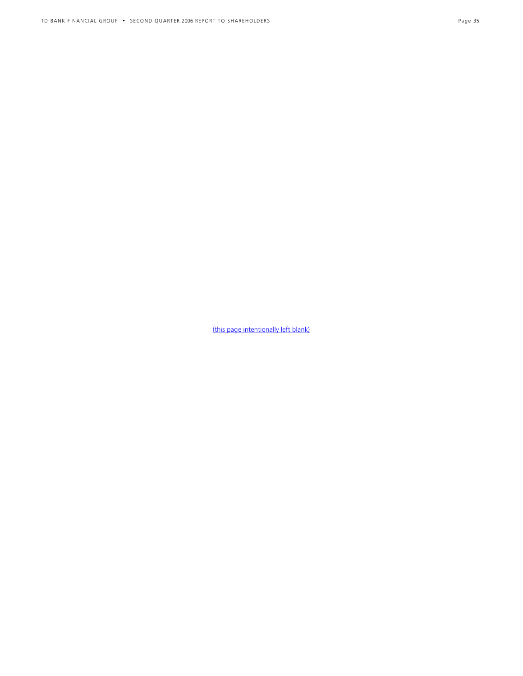(this page intentionally left blank)